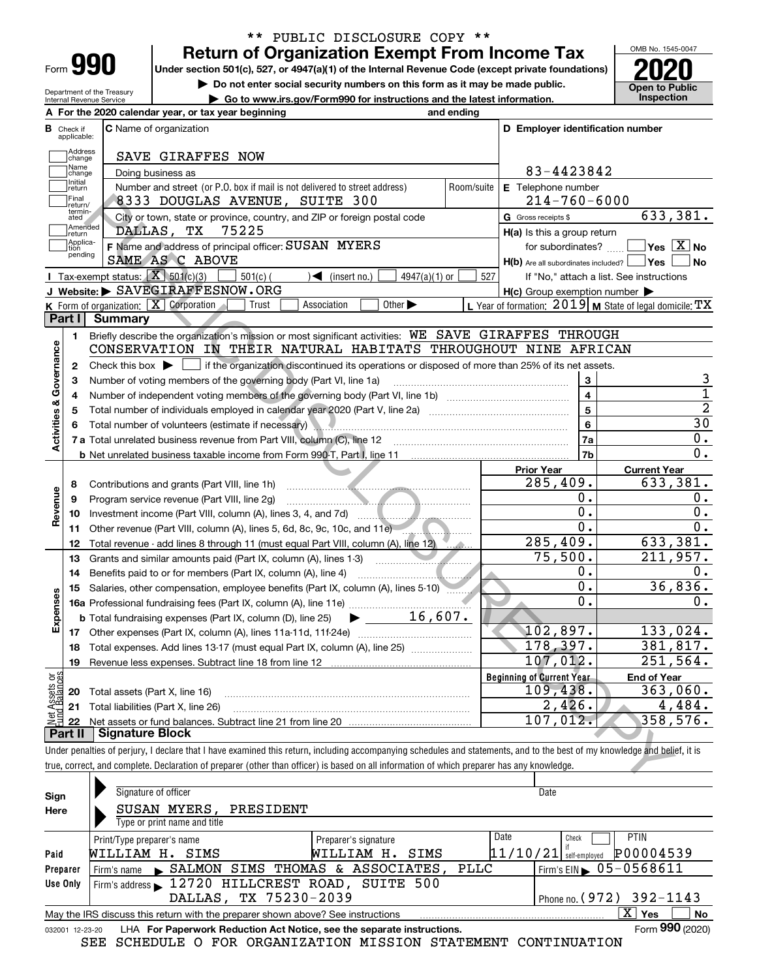| ⊦orm |  |
|------|--|

Department of the Treasury Internal Revenue Service

# **Return of Organization Exempt From Income Tax** \*\* PUBLIC DISCLOSURE COPY \*\*

**Under section 501(c), 527, or 4947(a)(1) of the Internal Revenue Code (except private foundations) 2020**

**| Do not enter social security numbers on this form as it may be made public.**

**| Go to www.irs.gov/Form990 for instructions and the latest information. Inspection**



|    |                                  | A For the 2020 calendar year, or tax year beginning                                                                                                                                                                                                                                                      | and ending |                                                     |                                                           |
|----|----------------------------------|----------------------------------------------------------------------------------------------------------------------------------------------------------------------------------------------------------------------------------------------------------------------------------------------------------|------------|-----------------------------------------------------|-----------------------------------------------------------|
|    | <b>B</b> Check if<br>applicable: | <b>C</b> Name of organization                                                                                                                                                                                                                                                                            |            | D Employer identification number                    |                                                           |
|    | Address<br>change                | SAVE GIRAFFES NOW                                                                                                                                                                                                                                                                                        |            |                                                     |                                                           |
|    | Name<br>change                   | Doing business as                                                                                                                                                                                                                                                                                        |            | 83-4423842                                          |                                                           |
|    | Initial<br>  return              | Number and street (or P.O. box if mail is not delivered to street address)                                                                                                                                                                                                                               | Room/suite | E Telephone number                                  |                                                           |
|    | Final<br>return/                 | 8333 DOUGLAS AVENUE, SUITE 300                                                                                                                                                                                                                                                                           |            | $214 - 760 - 6000$                                  |                                                           |
|    | termin-<br>ated                  | City or town, state or province, country, and ZIP or foreign postal code                                                                                                                                                                                                                                 |            | G Gross receipts \$                                 | 633,381.                                                  |
|    | Amended<br> return               | 75225<br>DALLAS, TX                                                                                                                                                                                                                                                                                      |            | H(a) Is this a group return                         |                                                           |
|    | Applica-<br>tion                 | F Name and address of principal officer: SUSAN MYERS                                                                                                                                                                                                                                                     |            | for subordinates?                                   | $\sqrt{\ }$ Yes $\sqrt{\ \text{X}}$ No                    |
|    | pending                          | SAME AS C ABOVE                                                                                                                                                                                                                                                                                          |            | H(b) Are all subordinates included? Ves             | No                                                        |
|    |                                  | Tax-exempt status: $X \ 501(c)(3)$<br>$501(c)$ (<br>$\blacktriangleleft$ (insert no.)<br>$4947(a)(1)$ or                                                                                                                                                                                                 | 527        |                                                     | If "No," attach a list. See instructions                  |
|    |                                  | J Website: SAVEGIRAFFESNOW.ORG                                                                                                                                                                                                                                                                           |            | $H(c)$ Group exemption number $\blacktriangleright$ |                                                           |
|    |                                  | K Form of organization: X Corporation<br>Other $\blacktriangleright$<br>Association<br>Trust                                                                                                                                                                                                             |            |                                                     | L Year of formation: $2019$ M State of legal domicile: TX |
|    | Part I                           | Summary                                                                                                                                                                                                                                                                                                  |            |                                                     |                                                           |
|    | 1.                               | Briefly describe the organization's mission or most significant activities: WE SAVE GIRAFFES THROUGH                                                                                                                                                                                                     |            |                                                     |                                                           |
|    |                                  | CONSERVATION IN THEIR NATURAL HABITATS THROUGHOUT NINE AFRICAN                                                                                                                                                                                                                                           |            |                                                     |                                                           |
|    | 2                                | Check this box $\blacktriangleright$<br>if the organization discontinued its operations or disposed of more than 25% of its net assets.                                                                                                                                                                  |            |                                                     |                                                           |
|    | з                                | Number of voting members of the governing body (Part VI, line 1a)                                                                                                                                                                                                                                        |            | 3                                                   | 3                                                         |
|    | 4                                |                                                                                                                                                                                                                                                                                                          |            | $\overline{\mathbf{4}}$                             | $\overline{1}$                                            |
|    | 5                                |                                                                                                                                                                                                                                                                                                          |            | 5                                                   | $\overline{2}$                                            |
|    |                                  | Total number of volunteers (estimate if necessary)<br>Manufacture manufacture communication communication contract in the contract of the contract of the contract of the contract of the contract of the contract of the contra                                                                         |            | $\bf 6$                                             | $\overline{30}$                                           |
|    |                                  |                                                                                                                                                                                                                                                                                                          |            | 7a                                                  | 0.                                                        |
|    |                                  |                                                                                                                                                                                                                                                                                                          |            | 7b                                                  | 0.                                                        |
|    |                                  |                                                                                                                                                                                                                                                                                                          |            | <b>Prior Year</b>                                   | <b>Current Year</b>                                       |
|    | 8                                |                                                                                                                                                                                                                                                                                                          |            | 285,409.                                            | 633,381.                                                  |
| 9  |                                  | Program service revenue (Part VIII, line 2g)                                                                                                                                                                                                                                                             |            | 0.                                                  | 0.                                                        |
|    | 10                               |                                                                                                                                                                                                                                                                                                          |            | 0.                                                  | 0.                                                        |
|    | 11                               |                                                                                                                                                                                                                                                                                                          |            | $\overline{0}$ .                                    | 0.                                                        |
|    | 12                               | Total revenue - add lines 8 through 11 (must equal Part VIII, column (A), line 12)                                                                                                                                                                                                                       |            | 285,409.                                            | 633,381.                                                  |
| 13 |                                  | <u> Estados de Anos de San Anos de Anos de la facta de la facta de la facta de la facta de la facta de la facta de la facta de la facta de la facta de la facta de la facta de la facta de la facta de la facta de la facta de l</u><br>Grants and similar amounts paid (Part IX, column (A), lines 1-3) |            | $\overline{75,500}$ .                               | 211,957.                                                  |
| 14 |                                  | Benefits paid to or for members (Part IX, column (A), line 4)                                                                                                                                                                                                                                            |            | 0.                                                  | 0.                                                        |
| 15 |                                  | Salaries, other compensation, employee benefits (Part IX, column (A), lines 5-10)                                                                                                                                                                                                                        |            | 0.                                                  | 36,836.                                                   |
|    |                                  |                                                                                                                                                                                                                                                                                                          |            | 0.                                                  | 0.                                                        |
|    |                                  | <b>b</b> Total fundraising expenses (Part IX, column (D), line 25) $\rightarrow$ _ 16, 607.                                                                                                                                                                                                              |            |                                                     |                                                           |
|    |                                  |                                                                                                                                                                                                                                                                                                          |            | 102,897.                                            | 133,024.                                                  |
|    | 18                               | Total expenses. Add lines 13-17 (must equal Part IX, column (A), line 25) <i></i>                                                                                                                                                                                                                        |            | 178,397.                                            | 381,817.                                                  |
|    |                                  | 19 Revenue less expenses. Subtract line 18 from line 12                                                                                                                                                                                                                                                  |            | 107,012.                                            | 251,564.                                                  |
|    |                                  |                                                                                                                                                                                                                                                                                                          |            | <b>Beginning of Current Year</b>                    | <b>End of Year</b>                                        |
|    | 20                               | Total assets (Part X, line 16)                                                                                                                                                                                                                                                                           |            | 109,438.                                            | 363,060.                                                  |
|    | 21                               | Total liabilities (Part X, line 26)                                                                                                                                                                                                                                                                      |            | 2,426.                                              | 4,484.                                                    |
|    | 22                               |                                                                                                                                                                                                                                                                                                          |            | 107,012.                                            | 358,576.                                                  |
|    | Part II                          | <b>Signature Block</b>                                                                                                                                                                                                                                                                                   |            |                                                     |                                                           |
|    |                                  | Under penalties of perjury, I declare that I have examined this return, including accompanying schedules and statements, and to the best of my knowledge and belief, it is                                                                                                                               |            |                                                     |                                                           |
|    |                                  | true, correct, and complete. Declaration of preparer (other than officer) is based on all information of which preparer has any knowledge.                                                                                                                                                               |            |                                                     |                                                           |
|    |                                  |                                                                                                                                                                                                                                                                                                          |            |                                                     |                                                           |

| Sign            | Signature of officer                                                                                        |                      | Date     |                                            |  |  |  |
|-----------------|-------------------------------------------------------------------------------------------------------------|----------------------|----------|--------------------------------------------|--|--|--|
| Here            | SUSAN MYERS, PRESIDENT                                                                                      |                      |          |                                            |  |  |  |
|                 | Type or print name and title                                                                                |                      |          |                                            |  |  |  |
|                 | Print/Type preparer's name                                                                                  | Preparer's signature | Date     | PTIN<br>Check                              |  |  |  |
| Paid            | WILLIAM H.<br>SIMS                                                                                          | SIMS<br>WILLIAM H.   | 11/10/21 | P00004539<br>self-emploved                 |  |  |  |
| Preparer        | Firm's name SALMON SIMS THOMAS & ASSOCIATES,                                                                |                      | PLLC     | $1$ Firm's EIN $\triangleright$ 05-0568611 |  |  |  |
| Use Only        | Firm's address 12720 HILLCREST ROAD, SUITE 500                                                              |                      |          |                                            |  |  |  |
|                 | DALLAS, TX 75230-2039                                                                                       |                      |          | Phone no. $(972)$ 392-1143                 |  |  |  |
|                 | $\overline{X}$ Yes<br>No<br>May the IRS discuss this return with the preparer shown above? See instructions |                      |          |                                            |  |  |  |
| 032001 12-23-20 | LHA For Paperwork Reduction Act Notice, see the separate instructions.                                      |                      |          | Form 990 (2020)                            |  |  |  |
|                 | SEE SCHEDULE O FOR ORGANIZATION MISSION STATEMENT CONTINUATION                                              |                      |          |                                            |  |  |  |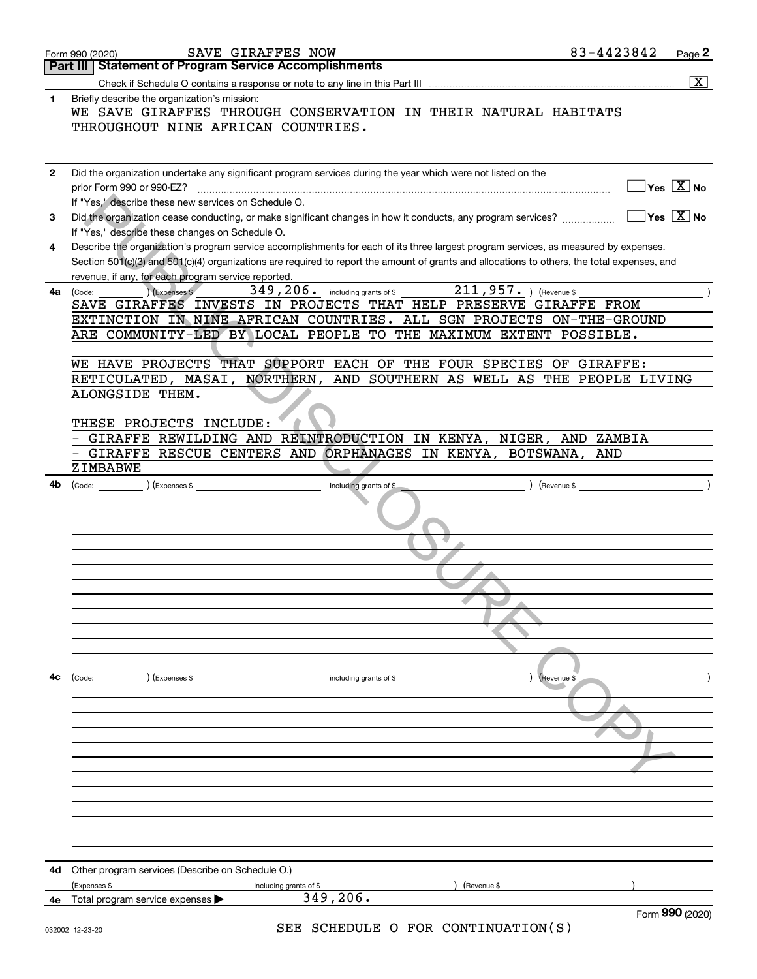|              | <b>Part III Statement of Program Service Accomplishments</b>                                                                                                                                                                                                                                                                                |                                           |
|--------------|---------------------------------------------------------------------------------------------------------------------------------------------------------------------------------------------------------------------------------------------------------------------------------------------------------------------------------------------|-------------------------------------------|
|              |                                                                                                                                                                                                                                                                                                                                             |                                           |
|              |                                                                                                                                                                                                                                                                                                                                             | $\sqrt{X}$                                |
| 1            | Briefly describe the organization's mission:<br>WE SAVE GIRAFFES THROUGH CONSERVATION IN THEIR NATURAL HABITATS<br>THROUGHOUT NINE AFRICAN COUNTRIES.                                                                                                                                                                                       |                                           |
|              |                                                                                                                                                                                                                                                                                                                                             |                                           |
| $\mathbf{2}$ | Did the organization undertake any significant program services during the year which were not listed on the                                                                                                                                                                                                                                |                                           |
|              | prior Form 990 or 990-EZ?<br>If "Yes," describe these new services on Schedule O.                                                                                                                                                                                                                                                           | $\sqrt{}$ Yes $\sqrt{X}$ No               |
| 3            | Did the organization cease conducting, or make significant changes in how it conducts, any program services?<br>If "Yes," describe these changes on Schedule O.                                                                                                                                                                             | $\overline{\ }$ Yes $\overline{\ \ X}$ No |
| 4            | Describe the organization's program service accomplishments for each of its three largest program services, as measured by expenses.<br>Section 501(c)(3) and 501(c)(4) organizations are required to report the amount of grants and allocations to others, the total expenses, and<br>revenue, if any, for each program service reported. |                                           |
| 4a (Code:    | 349, 206. including grants of \$211, 957. ) (Revenue \$<br>(Expenses \$                                                                                                                                                                                                                                                                     |                                           |
|              | SAVE GIRAFFES INVESTS IN PROJECTS THAT HELP PRESERVE GIRAFFE FROM                                                                                                                                                                                                                                                                           |                                           |
|              | EXTINCTION IN NINE AFRICAN COUNTRIES. ALL SGN PROJECTS ON-THE-GROUND                                                                                                                                                                                                                                                                        |                                           |
|              | ARE COMMUNITY-LED BY LOCAL PEOPLE TO THE MAXIMUM EXTENT POSSIBLE.                                                                                                                                                                                                                                                                           |                                           |
|              | WE HAVE PROJECTS THAT SUPPORT EACH OF THE FOUR SPECIES OF GIRAFFE:                                                                                                                                                                                                                                                                          |                                           |
|              | RETICULATED, MASAI, NORTHERN, AND SOUTHERN AS WELL AS THE PEOPLE LIVING                                                                                                                                                                                                                                                                     |                                           |
|              | ALONGSIDE THEM.                                                                                                                                                                                                                                                                                                                             |                                           |
|              |                                                                                                                                                                                                                                                                                                                                             |                                           |
|              | THESE PROJECTS INCLUDE:                                                                                                                                                                                                                                                                                                                     |                                           |
|              | GIRAFFE REWILDING AND REINTRODUCTION IN KENYA, NIGER, AND ZAMBIA                                                                                                                                                                                                                                                                            |                                           |
|              | GIRAFFE RESCUE CENTERS AND ORPHANAGES IN KENYA, BOTSWANA, AND<br>ZIMBABWE                                                                                                                                                                                                                                                                   |                                           |
| 4b           | $\begin{pmatrix} \text{Code:} \\ \text{Complex} \end{pmatrix}$ (Expenses \$<br>including grants of \$                                                                                                                                                                                                                                       | $($ Revenue \$                            |
|              |                                                                                                                                                                                                                                                                                                                                             |                                           |
|              |                                                                                                                                                                                                                                                                                                                                             |                                           |
|              |                                                                                                                                                                                                                                                                                                                                             |                                           |
|              |                                                                                                                                                                                                                                                                                                                                             |                                           |
|              |                                                                                                                                                                                                                                                                                                                                             |                                           |
|              |                                                                                                                                                                                                                                                                                                                                             |                                           |
|              |                                                                                                                                                                                                                                                                                                                                             |                                           |
|              |                                                                                                                                                                                                                                                                                                                                             |                                           |
|              |                                                                                                                                                                                                                                                                                                                                             |                                           |
|              |                                                                                                                                                                                                                                                                                                                                             |                                           |
|              |                                                                                                                                                                                                                                                                                                                                             |                                           |
| 4c           | $\left(\text{Code:}\right)$ $\left(\text{Expenses $}\right)$<br>(Revenue \$<br>including grants of \$                                                                                                                                                                                                                                       |                                           |
|              |                                                                                                                                                                                                                                                                                                                                             |                                           |
|              |                                                                                                                                                                                                                                                                                                                                             |                                           |
|              |                                                                                                                                                                                                                                                                                                                                             |                                           |
|              |                                                                                                                                                                                                                                                                                                                                             |                                           |
|              |                                                                                                                                                                                                                                                                                                                                             |                                           |
|              |                                                                                                                                                                                                                                                                                                                                             |                                           |
|              |                                                                                                                                                                                                                                                                                                                                             |                                           |
|              |                                                                                                                                                                                                                                                                                                                                             |                                           |
|              |                                                                                                                                                                                                                                                                                                                                             |                                           |
| 4d           | Other program services (Describe on Schedule O.)                                                                                                                                                                                                                                                                                            |                                           |
|              | (Expenses \$<br>(Revenue \$<br>including grants of \$                                                                                                                                                                                                                                                                                       |                                           |
|              | 349,206.<br>Total program service expenses                                                                                                                                                                                                                                                                                                  |                                           |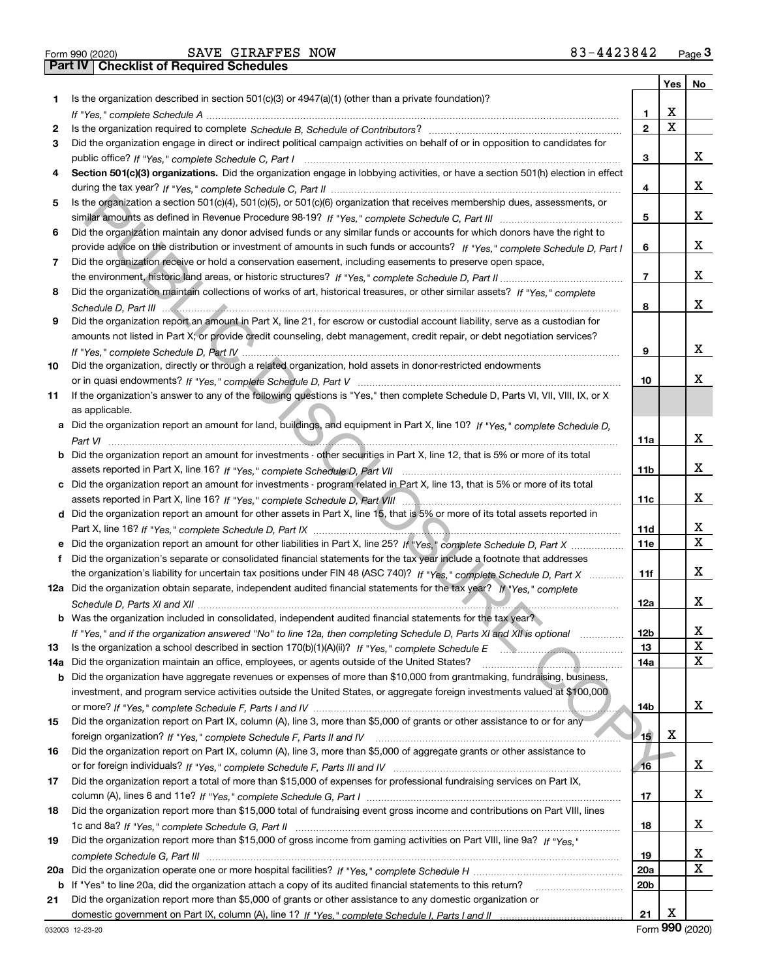|  | Form 990 (2020) |
|--|-----------------|

|     |                                                                                                                                                                                                                                                  |                 | Yes | No |
|-----|--------------------------------------------------------------------------------------------------------------------------------------------------------------------------------------------------------------------------------------------------|-----------------|-----|----|
| 1.  | Is the organization described in section $501(c)(3)$ or $4947(a)(1)$ (other than a private foundation)?                                                                                                                                          |                 |     |    |
|     |                                                                                                                                                                                                                                                  | 1               | х   |    |
| 2   |                                                                                                                                                                                                                                                  | $\mathbf{2}$    | X   |    |
| 3   | Did the organization engage in direct or indirect political campaign activities on behalf of or in opposition to candidates for                                                                                                                  |                 |     |    |
|     |                                                                                                                                                                                                                                                  | 3               |     | x  |
| 4   | Section 501(c)(3) organizations. Did the organization engage in lobbying activities, or have a section 501(h) election in effect                                                                                                                 |                 |     |    |
|     |                                                                                                                                                                                                                                                  | 4               |     | х  |
| 5   | Is the organization a section 501(c)(4), 501(c)(5), or 501(c)(6) organization that receives membership dues, assessments, or                                                                                                                     |                 |     |    |
|     |                                                                                                                                                                                                                                                  | 5               |     | х  |
| 6   | Did the organization maintain any donor advised funds or any similar funds or accounts for which donors have the right to                                                                                                                        |                 |     |    |
|     | provide advice on the distribution or investment of amounts in such funds or accounts? If "Yes," complete Schedule D, Part I                                                                                                                     | 6               |     | х  |
| 7   | Did the organization receive or hold a conservation easement, including easements to preserve open space,                                                                                                                                        |                 |     |    |
|     |                                                                                                                                                                                                                                                  | 7               |     | х  |
| 8   | Did the organization maintain collections of works of art, historical treasures, or other similar assets? If "Yes," complete                                                                                                                     |                 |     |    |
|     |                                                                                                                                                                                                                                                  | 8               |     | х  |
| 9   | Did the organization report an amount in Part X, line 21, for escrow or custodial account liability, serve as a custodian for                                                                                                                    |                 |     |    |
|     | amounts not listed in Part X; or provide credit counseling, debt management, credit repair, or debt negotiation services?                                                                                                                        |                 |     |    |
|     |                                                                                                                                                                                                                                                  | 9               |     | х  |
| 10  | Did the organization, directly or through a related organization, hold assets in donor-restricted endowments                                                                                                                                     |                 |     |    |
|     |                                                                                                                                                                                                                                                  | 10              |     | x  |
| 11  | If the organization's answer to any of the following questions is "Yes," then complete Schedule D, Parts VI, VII, VIII, IX, or X                                                                                                                 |                 |     |    |
|     | as applicable.                                                                                                                                                                                                                                   |                 |     |    |
|     | a Did the organization report an amount for land, buildings, and equipment in Part X, line 10? If "Yes," complete Schedule D,                                                                                                                    |                 |     |    |
|     |                                                                                                                                                                                                                                                  | 11a             |     | х  |
|     | <b>b</b> Did the organization report an amount for investments - other securities in Part X, line 12, that is 5% or more of its total                                                                                                            |                 |     |    |
|     |                                                                                                                                                                                                                                                  | 11 <sub>b</sub> |     | х  |
|     | c Did the organization report an amount for investments - program related in Part X, line 13, that is 5% or more of its total                                                                                                                    |                 |     |    |
|     |                                                                                                                                                                                                                                                  | 11c             |     | х  |
|     | d Did the organization report an amount for other assets in Part X, line 15, that is 5% or more of its total assets reported in                                                                                                                  |                 |     | х  |
|     |                                                                                                                                                                                                                                                  | 11d             |     | X  |
|     | Did the organization report an amount for other liabilities in Part X, line 25? If "Yes," complete Schedule D, Part X<br>Did the organization's separate or consolidated financial statements for the tax year include a footnote that addresses | 11e             |     |    |
| f   | the organization's liability for uncertain tax positions under FIN 48 (ASC 740)? If "Yes," complete Schedule D, Part X                                                                                                                           | 11f             |     | х  |
|     | 12a Did the organization obtain separate, independent audited financial statements for the tax year? If "Yes," complete                                                                                                                          |                 |     |    |
|     |                                                                                                                                                                                                                                                  | 12a             |     | х  |
|     | <b>b</b> Was the organization included in consolidated, independent audited financial statements for the tax year?                                                                                                                               |                 |     |    |
|     | If "Yes," and if the organization answered "No" to line 12a, then completing Schedule D, Parts XI and XII is optional                                                                                                                            | 12 <sub>b</sub> |     |    |
| 13  |                                                                                                                                                                                                                                                  | 13              |     | X  |
| 14a | Did the organization maintain an office, employees, or agents outside of the United States?                                                                                                                                                      | 14a             |     | x  |
|     | <b>b</b> Did the organization have aggregate revenues or expenses of more than \$10,000 from grantmaking, fundraising, business,                                                                                                                 |                 |     |    |
|     | investment, and program service activities outside the United States, or aggregate foreign investments valued at \$100,000                                                                                                                       |                 |     |    |
|     |                                                                                                                                                                                                                                                  | 14b             |     | x  |
| 15  | Did the organization report on Part IX, column (A), line 3, more than \$5,000 of grants or other assistance to or for any                                                                                                                        |                 |     |    |
|     |                                                                                                                                                                                                                                                  | 15              | х   |    |
| 16  | Did the organization report on Part IX, column (A), line 3, more than \$5,000 of aggregate grants or other assistance to                                                                                                                         |                 |     |    |
|     |                                                                                                                                                                                                                                                  | 16              |     | x  |
| 17  | Did the organization report a total of more than \$15,000 of expenses for professional fundraising services on Part IX,                                                                                                                          |                 |     |    |
|     |                                                                                                                                                                                                                                                  | 17              |     | x  |
| 18  | Did the organization report more than \$15,000 total of fundraising event gross income and contributions on Part VIII, lines                                                                                                                     |                 |     |    |
|     |                                                                                                                                                                                                                                                  | 18              |     | x  |
| 19  | Did the organization report more than \$15,000 of gross income from gaming activities on Part VIII, line 9a? If "Yes."                                                                                                                           |                 |     |    |
|     |                                                                                                                                                                                                                                                  | 19              |     | x  |
| 20a |                                                                                                                                                                                                                                                  | 20a             |     | x  |
|     | <b>b</b> If "Yes" to line 20a, did the organization attach a copy of its audited financial statements to this return?                                                                                                                            | 20 <sub>b</sub> |     |    |
| 21  | Did the organization report more than \$5,000 of grants or other assistance to any domestic organization or                                                                                                                                      |                 |     |    |
|     |                                                                                                                                                                                                                                                  | 21              | X   |    |

Form (2020) **990**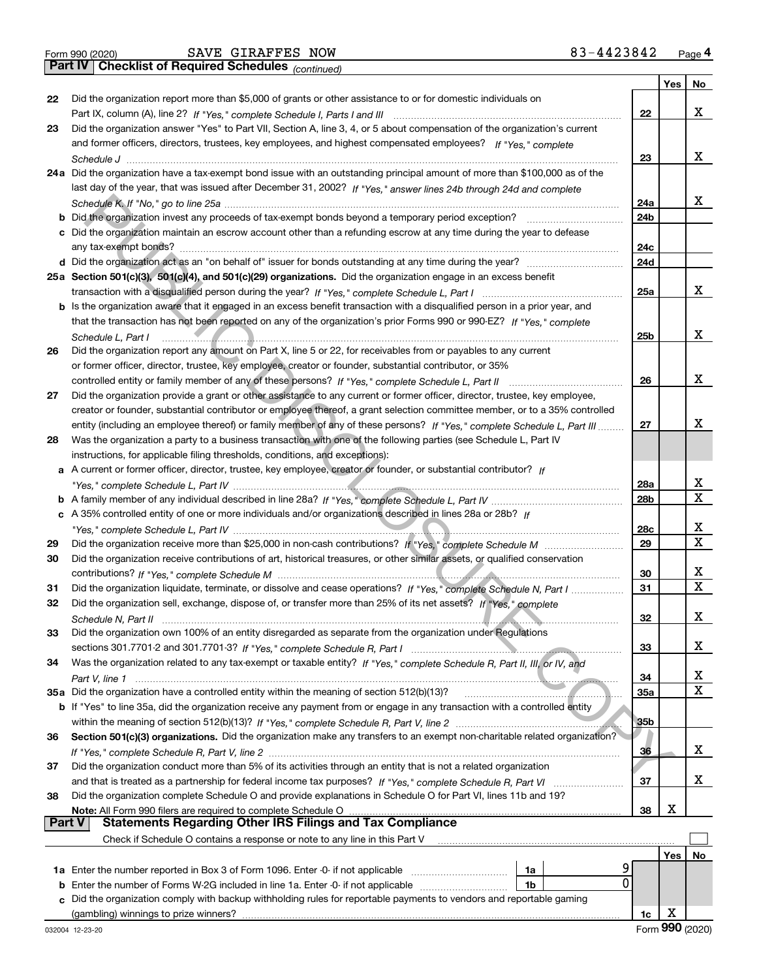|  | Form 990 (2020) |
|--|-----------------|
|  |                 |

*(continued)*

|               |                                                                                                                                                                                                                                   |                 | Yes | No          |
|---------------|-----------------------------------------------------------------------------------------------------------------------------------------------------------------------------------------------------------------------------------|-----------------|-----|-------------|
| 22            | Did the organization report more than \$5,000 of grants or other assistance to or for domestic individuals on                                                                                                                     |                 |     |             |
|               |                                                                                                                                                                                                                                   | 22              |     | х           |
| 23            | Did the organization answer "Yes" to Part VII, Section A, line 3, 4, or 5 about compensation of the organization's current                                                                                                        |                 |     |             |
|               | and former officers, directors, trustees, key employees, and highest compensated employees? If "Yes," complete                                                                                                                    |                 |     |             |
|               |                                                                                                                                                                                                                                   | 23              |     | x           |
|               | 24a Did the organization have a tax-exempt bond issue with an outstanding principal amount of more than \$100,000 as of the                                                                                                       |                 |     |             |
|               | last day of the year, that was issued after December 31, 2002? If "Yes," answer lines 24b through 24d and complete                                                                                                                |                 |     |             |
|               |                                                                                                                                                                                                                                   | 24a             |     | x           |
| b             | Did the organization invest any proceeds of tax-exempt bonds beyond a temporary period exception?                                                                                                                                 | 24 <sub>b</sub> |     |             |
| c             | Did the organization maintain an escrow account other than a refunding escrow at any time during the year to defease                                                                                                              |                 |     |             |
|               | any tax-exempt bonds?                                                                                                                                                                                                             | 24c             |     |             |
|               |                                                                                                                                                                                                                                   | 24d             |     |             |
|               | 25a Section 501(c)(3), 501(c)(4), and 501(c)(29) organizations. Did the organization engage in an excess benefit                                                                                                                  |                 |     |             |
|               |                                                                                                                                                                                                                                   | 25a             |     | x           |
|               | b Is the organization aware that it engaged in an excess benefit transaction with a disqualified person in a prior year, and                                                                                                      |                 |     |             |
|               | that the transaction has not been reported on any of the organization's prior Forms 990 or 990-EZ? If "Yes," complete                                                                                                             |                 |     | x           |
|               | Schedule L. Part I                                                                                                                                                                                                                | 25b             |     |             |
| 26            | Did the organization report any amount on Part X, line 5 or 22, for receivables from or payables to any current                                                                                                                   |                 |     |             |
|               | or former officer, director, trustee, key employee, creator or founder, substantial contributor, or 35%                                                                                                                           | 26              |     | x           |
| 27            | controlled entity or family member of any of these persons? If "Yes," complete Schedule L, Part II<br>Did the organization provide a grant or other assistance to any current or former officer, director, trustee, key employee, |                 |     |             |
|               | creator or founder, substantial contributor or employee thereof, a grant selection committee member, or to a 35% controlled                                                                                                       |                 |     |             |
|               | entity (including an employee thereof) or family member of any of these persons? If "Yes," complete Schedule L, Part III                                                                                                          | 27              |     | x           |
| 28            | Was the organization a party to a business transaction with one of the following parties (see Schedule L, Part IV                                                                                                                 |                 |     |             |
|               | instructions, for applicable filing thresholds, conditions, and exceptions):                                                                                                                                                      |                 |     |             |
|               | a A current or former officer, director, trustee, key employee, creator or founder, or substantial contributor? If                                                                                                                |                 |     |             |
|               |                                                                                                                                                                                                                                   | 28a             |     | x           |
|               |                                                                                                                                                                                                                                   | 28 <sub>b</sub> |     | $\mathbf X$ |
|               | c A 35% controlled entity of one or more individuals and/or organizations described in lines 28a or 28b? If                                                                                                                       |                 |     |             |
|               |                                                                                                                                                                                                                                   | 28c             |     | х           |
| 29            |                                                                                                                                                                                                                                   | 29              |     | $\mathbf x$ |
| 30            | Did the organization receive contributions of art, historical treasures, or other similar assets, or qualified conservation                                                                                                       |                 |     |             |
|               |                                                                                                                                                                                                                                   | 30              |     | х           |
| 31            | Did the organization liquidate, terminate, or dissolve and cease operations? If "Yes," complete Schedule N, Part I                                                                                                                | 31              |     | $\mathbf X$ |
| 32            | Did the organization sell, exchange, dispose of, or transfer more than 25% of its net assets? If "Yes," complete                                                                                                                  |                 |     |             |
|               |                                                                                                                                                                                                                                   | 32              |     | х           |
| 33            | Did the organization own 100% of an entity disregarded as separate from the organization under Regulations                                                                                                                        |                 |     |             |
|               |                                                                                                                                                                                                                                   | 33              |     | x           |
| 34            | Was the organization related to any tax-exempt or taxable entity? If "Yes," complete Schedule R, Part II, III, or IV, and                                                                                                         |                 |     |             |
|               |                                                                                                                                                                                                                                   | 34              |     | X           |
|               | 35a Did the organization have a controlled entity within the meaning of section 512(b)(13)?                                                                                                                                       | <b>35a</b>      |     | $\mathbf X$ |
|               | b If "Yes" to line 35a, did the organization receive any payment from or engage in any transaction with a controlled entity                                                                                                       |                 |     |             |
|               |                                                                                                                                                                                                                                   | 35 <sub>b</sub> |     |             |
| 36            | Section 501(c)(3) organizations. Did the organization make any transfers to an exempt non-charitable related organization?                                                                                                        |                 |     | x           |
| 37            | Did the organization conduct more than 5% of its activities through an entity that is not a related organization                                                                                                                  | 36              |     |             |
|               |                                                                                                                                                                                                                                   | 37              |     | x           |
| 38            | Did the organization complete Schedule O and provide explanations in Schedule O for Part VI, lines 11b and 19?                                                                                                                    |                 |     |             |
|               | Note: All Form 990 filers are required to complete Schedule O                                                                                                                                                                     | 38              | х   |             |
| <b>Part V</b> | <b>Statements Regarding Other IRS Filings and Tax Compliance</b>                                                                                                                                                                  |                 |     |             |
|               | Check if Schedule O contains a response or note to any line in this Part V                                                                                                                                                        |                 |     |             |
|               |                                                                                                                                                                                                                                   |                 | Yes | No          |
| 1a            | Enter the number reported in Box 3 of Form 1096. Enter -0- if not applicable<br>1a                                                                                                                                                |                 |     |             |
| b             | 0<br>Enter the number of Forms W-2G included in line 1a. Enter -0- if not applicable<br>1b                                                                                                                                        |                 |     |             |
| c             | Did the organization comply with backup withholding rules for reportable payments to vendors and reportable gaming                                                                                                                |                 |     |             |
|               |                                                                                                                                                                                                                                   | 1c              | X   |             |
|               |                                                                                                                                                                                                                                   |                 |     |             |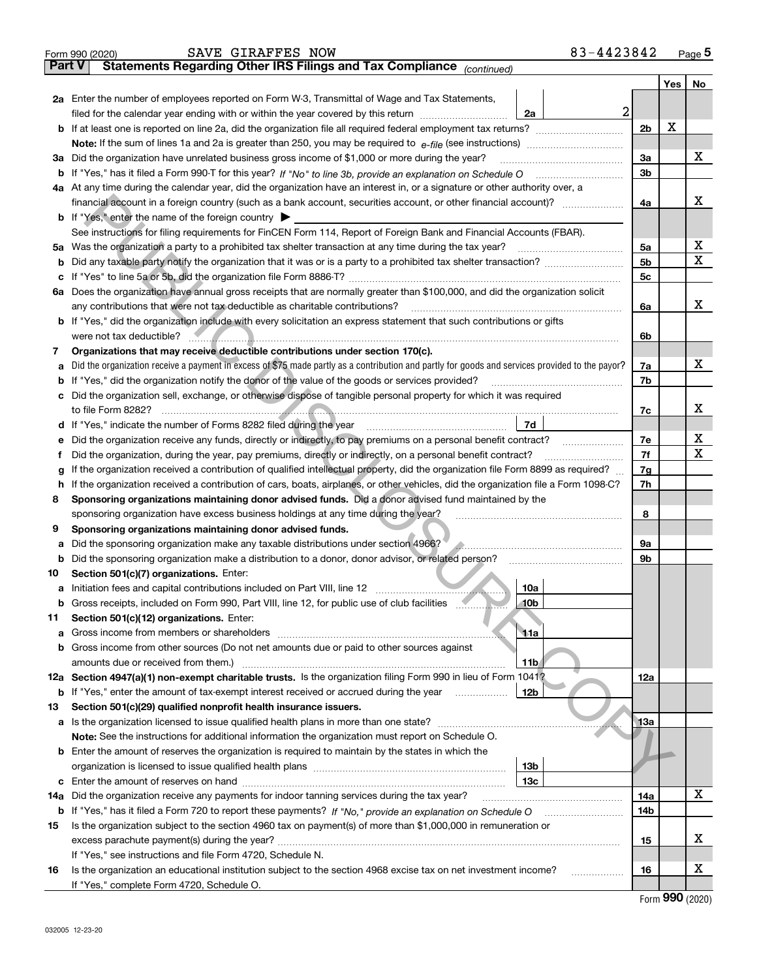| <b>Part V</b> | 83-4423842<br>SAVE GIRAFFES NOW<br>Form 990 (2020)<br>Statements Regarding Other IRS Filings and Tax Compliance (continued)                                                                                                          |                |     | Page 5 |
|---------------|--------------------------------------------------------------------------------------------------------------------------------------------------------------------------------------------------------------------------------------|----------------|-----|--------|
|               |                                                                                                                                                                                                                                      |                | Yes | No     |
|               | 2a Enter the number of employees reported on Form W-3, Transmittal of Wage and Tax Statements,                                                                                                                                       |                |     |        |
|               | $\overline{a}$<br>filed for the calendar year ending with or within the year covered by this return <i>manumumumum</i><br>2a                                                                                                         |                |     |        |
|               |                                                                                                                                                                                                                                      | 2 <sub>b</sub> | x   |        |
|               |                                                                                                                                                                                                                                      |                |     |        |
|               | 3a Did the organization have unrelated business gross income of \$1,000 or more during the year?                                                                                                                                     | 3a             |     | x      |
|               | b If "Yes," has it filed a Form 990-T for this year? If "No" to line 3b, provide an explanation on Schedule O                                                                                                                        | 3 <sub>b</sub> |     |        |
|               | 4a At any time during the calendar year, did the organization have an interest in, or a signature or other authority over, a                                                                                                         |                |     |        |
|               |                                                                                                                                                                                                                                      | 4a             |     | x      |
|               | <b>b</b> If "Yes," enter the name of the foreign country $\triangleright$                                                                                                                                                            |                |     |        |
|               | See instructions for filing requirements for FinCEN Form 114, Report of Foreign Bank and Financial Accounts (FBAR).                                                                                                                  |                |     |        |
|               | 5a Was the organization a party to a prohibited tax shelter transaction at any time during the tax year?                                                                                                                             | 5a             |     | X      |
| b             |                                                                                                                                                                                                                                      | 5 <sub>b</sub> |     | х      |
| c             |                                                                                                                                                                                                                                      | 5c             |     |        |
| 6a            | Does the organization have annual gross receipts that are normally greater than \$100,000, and did the organization solicit                                                                                                          |                |     |        |
|               | any contributions that were not tax deductible as charitable contributions?                                                                                                                                                          | 6a             |     | х      |
|               | <b>b</b> If "Yes," did the organization include with every solicitation an express statement that such contributions or gifts                                                                                                        |                |     |        |
|               | were not tax deductible? <b>Washington and the contract of the contract of the contract of the contract of the contract of the contract of the contract of the contract of the contract of the contract of the contract of the c</b> | 6b             |     |        |
| 7             | Organizations that may receive deductible contributions under section 170(c).                                                                                                                                                        |                |     |        |
|               | a Did the organization receive a payment in excess of \$75 made partly as a contribution and partly for goods and services provided to the payor?                                                                                    | 7a             |     | x      |
| b             | If "Yes," did the organization notify the donor of the value of the goods or services provided?                                                                                                                                      | 7b             |     |        |
| c             | Did the organization sell, exchange, or otherwise dispose of tangible personal property for which it was required                                                                                                                    |                |     |        |
|               | to file Form 8282?                                                                                                                                                                                                                   | 7c             |     | х      |
|               | 7d<br>d If "Yes," indicate the number of Forms 8282 filed during the year                                                                                                                                                            |                |     |        |
| е             | Did the organization receive any funds, directly or indirectly, to pay premiums on a personal benefit contract?                                                                                                                      | 7e             |     | х      |
| f             | Did the organization, during the year, pay premiums, directly or indirectly, on a personal benefit contract?                                                                                                                         | 7f             |     | х      |
| g             | If the organization received a contribution of qualified intellectual property, did the organization file Form 8899 as required?                                                                                                     | 7g             |     |        |
| h             | If the organization received a contribution of cars, boats, airplanes, or other vehicles, did the organization file a Form 1098-C?                                                                                                   | 7h             |     |        |
| 8             | Sponsoring organizations maintaining donor advised funds. Did a donor advised fund maintained by the                                                                                                                                 |                |     |        |
| 9             | sponsoring organization have excess business holdings at any time during the year?<br>Sponsoring organizations maintaining donor advised funds.                                                                                      | 8              |     |        |
| a             | Did the sponsoring organization make any taxable distributions under section 4966?                                                                                                                                                   | 9a             |     |        |
| b             | Did the sponsoring organization make a distribution to a donor, donor advisor, or related person?                                                                                                                                    | 9b             |     |        |
| 10            | Section 501(c)(7) organizations. Enter:                                                                                                                                                                                              |                |     |        |
|               | a Initiation fees and capital contributions included on Part VIII, line 12<br>10a                                                                                                                                                    |                |     |        |
| b             | Gross receipts, included on Form 990, Part VIII, line 12, for public use of club facilities<br>10 <sub>b</sub>                                                                                                                       |                |     |        |
| 11            | Section 501(c)(12) organizations. Enter:                                                                                                                                                                                             |                |     |        |
| а             | Gross income from members or shareholders [111] [12] contract the front from members or shareholders [11] [12]<br>11a                                                                                                                |                |     |        |
| b             | Gross income from other sources (Do not net amounts due or paid to other sources against                                                                                                                                             |                |     |        |
|               | 11 <sub>b</sub><br>amounts due or received from them.)                                                                                                                                                                               |                |     |        |
| 12a           | Section 4947(a)(1) non-exempt charitable trusts. Is the organization filing Form 990 in lieu of Form 1041?                                                                                                                           | 12a            |     |        |
| b             | If "Yes," enter the amount of tax-exempt interest received or accrued during the year<br><b>12b</b>                                                                                                                                  |                |     |        |
| 13            | Section 501(c)(29) qualified nonprofit health insurance issuers.                                                                                                                                                                     |                |     |        |
| а             |                                                                                                                                                                                                                                      | 13a            |     |        |
|               | Note: See the instructions for additional information the organization must report on Schedule O.                                                                                                                                    |                |     |        |
|               | <b>b</b> Enter the amount of reserves the organization is required to maintain by the states in which the                                                                                                                            |                |     |        |
|               | 13b                                                                                                                                                                                                                                  |                |     |        |
| c             | 13с                                                                                                                                                                                                                                  |                |     |        |
| 14a           | Did the organization receive any payments for indoor tanning services during the tax year?                                                                                                                                           | 14a            |     | х      |
| b             |                                                                                                                                                                                                                                      | 14b            |     |        |
| 15            | Is the organization subject to the section 4960 tax on payment(s) of more than \$1,000,000 in remuneration or                                                                                                                        |                |     |        |
|               |                                                                                                                                                                                                                                      | 15             |     | х      |
|               | If "Yes," see instructions and file Form 4720, Schedule N.                                                                                                                                                                           |                |     |        |
| 16            | Is the organization an educational institution subject to the section 4968 excise tax on net investment income?<br>.                                                                                                                 | 16             |     | х      |
|               | If "Yes," complete Form 4720, Schedule O.                                                                                                                                                                                            |                |     |        |

Form (2020) **990**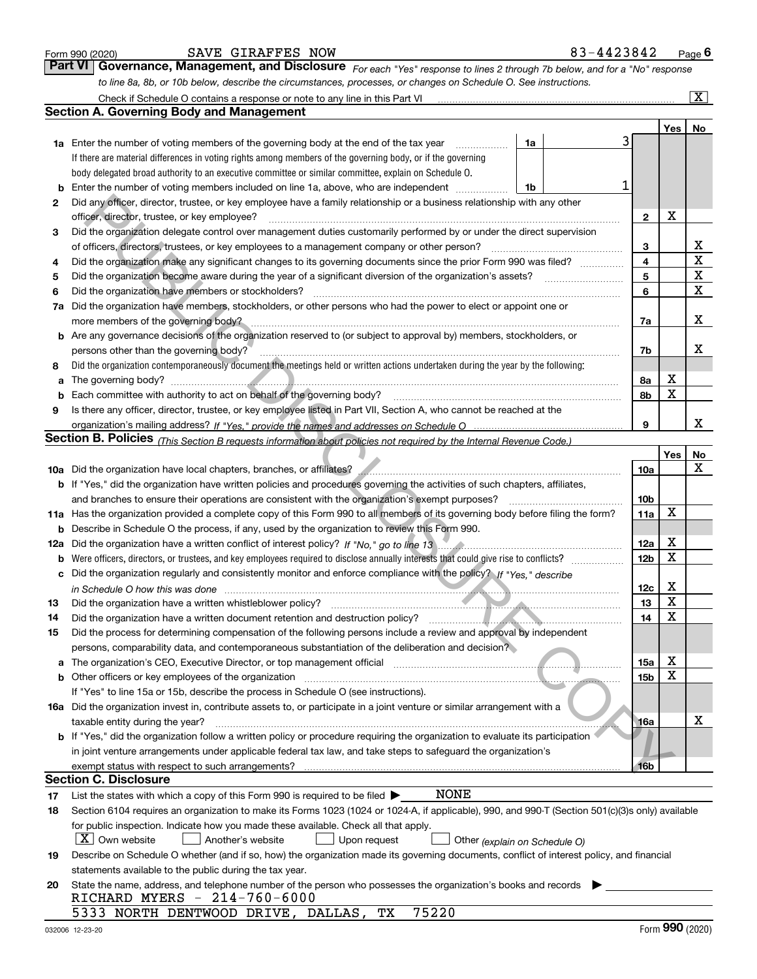|  | Form 990 (2020) |
|--|-----------------|
|  |                 |

|  | <b>SAVE GIRAFFES</b> | <b>NOW</b> |
|--|----------------------|------------|
|--|----------------------|------------|

*For each "Yes" response to lines 2 through 7b below, and for a "No" response to line 8a, 8b, or 10b below, describe the circumstances, processes, or changes on Schedule O. See instructions.* Form 990 (2020) **CONFITTER STAT AT A SAVE GIRAFFES NOW** 83-4423842 Page 6<br>**Part VI** | Governance, Management, and Disclosure *For each "Yes" response to lines 2 through 7b below, and for a "No" response* 

|     | Check if Schedule O contains a response or note to any line in this Part VI                                                                                                                                                    |                               |                 |     | X           |
|-----|--------------------------------------------------------------------------------------------------------------------------------------------------------------------------------------------------------------------------------|-------------------------------|-----------------|-----|-------------|
|     | Section A. Governing Body and Management                                                                                                                                                                                       |                               |                 |     |             |
|     |                                                                                                                                                                                                                                |                               |                 | Yes | No          |
|     | 1a Enter the number of voting members of the governing body at the end of the tax year                                                                                                                                         | 1a                            |                 |     |             |
|     | If there are material differences in voting rights among members of the governing body, or if the governing                                                                                                                    |                               |                 |     |             |
|     | body delegated broad authority to an executive committee or similar committee, explain on Schedule O.                                                                                                                          |                               |                 |     |             |
| b   | Enter the number of voting members included on line 1a, above, who are independent                                                                                                                                             | 1b                            |                 |     |             |
| 2   | Did any officer, director, trustee, or key employee have a family relationship or a business relationship with any other                                                                                                       |                               |                 |     |             |
|     | officer, director, trustee, or key employee?                                                                                                                                                                                   |                               | $\mathbf{2}$    | X   |             |
| 3   | Did the organization delegate control over management duties customarily performed by or under the direct supervision                                                                                                          |                               |                 |     |             |
|     | of officers, directors, trustees, or key employees to a management company or other person?                                                                                                                                    |                               | 3               |     | х           |
| 4   | Did the organization make any significant changes to its governing documents since the prior Form 990 was filed?                                                                                                               |                               | 4               |     | $\mathbf X$ |
| 5   |                                                                                                                                                                                                                                |                               | 5               |     | $\mathbf X$ |
| 6   | Did the organization have members or stockholders?                                                                                                                                                                             |                               | 6               |     | х           |
| 7a  | Did the organization have members, stockholders, or other persons who had the power to elect or appoint one or                                                                                                                 |                               |                 |     |             |
|     | more members of the governing body?                                                                                                                                                                                            |                               | 7a              |     | х           |
|     | <b>b</b> Are any governance decisions of the organization reserved to (or subject to approval by) members, stockholders, or                                                                                                    |                               |                 |     |             |
|     | persons other than the governing body?                                                                                                                                                                                         |                               | 7b              |     | x           |
| 8   | Did the organization contemporaneously document the meetings held or written actions undertaken during the year by the following:                                                                                              |                               |                 |     |             |
| a   | The governing body?                                                                                                                                                                                                            |                               | 8a              | X   |             |
| b   |                                                                                                                                                                                                                                |                               | 8b              | X   |             |
| 9   | Is there any officer, director, trustee, or key employee listed in Part VII, Section A, who cannot be reached at the                                                                                                           |                               |                 |     |             |
|     |                                                                                                                                                                                                                                |                               | 9               |     | x           |
|     | Section B. Policies <sub>(This Section B requests information about policies not required by the Internal Revenue Code.)</sub>                                                                                                 |                               |                 |     |             |
|     |                                                                                                                                                                                                                                |                               |                 | Yes | No          |
|     | <b>10a</b> Did the organization have local chapters, branches, or affiliates?                                                                                                                                                  |                               | 10a             |     | x           |
|     | b If "Yes," did the organization have written policies and procedures governing the activities of such chapters, affiliates,                                                                                                   |                               |                 |     |             |
|     | and branches to ensure their operations are consistent with the organization's exempt purposes?                                                                                                                                |                               | 10 <sub>b</sub> |     |             |
|     | 11a Has the organization provided a complete copy of this Form 990 to all members of its governing body before filing the form?                                                                                                |                               | 11a             | X   |             |
| b   | Describe in Schedule O the process, if any, used by the organization to review this Form 990.                                                                                                                                  |                               |                 |     |             |
| 12a |                                                                                                                                                                                                                                |                               | 12a             | X   |             |
| b   |                                                                                                                                                                                                                                |                               | 12 <sub>b</sub> | X   |             |
| с   | Did the organization regularly and consistently monitor and enforce compliance with the policy? If "Yes," describe                                                                                                             |                               |                 |     |             |
|     | in Schedule O how this was done measurements and contact the state of the state of the state of the state of the state of the state of the state of the state of the state of the state of the state of the state of the state |                               | 12c             | X   |             |
| 13  | Did the organization have a written whistleblower policy?                                                                                                                                                                      |                               | 13              | X   |             |
| 14  |                                                                                                                                                                                                                                |                               | 14              | X   |             |
| 15  | Did the process for determining compensation of the following persons include a review and approval by independent                                                                                                             |                               |                 |     |             |
|     | persons, comparability data, and contemporaneous substantiation of the deliberation and decision?                                                                                                                              |                               |                 |     |             |
| a   |                                                                                                                                                                                                                                |                               | 15a             | х   |             |
|     | <b>b</b> Other officers or key employees of the organization                                                                                                                                                                   |                               | 15 <sub>b</sub> | х   |             |
|     | If "Yes" to line 15a or 15b, describe the process in Schedule O (see instructions).                                                                                                                                            |                               |                 |     |             |
|     | 16a Did the organization invest in, contribute assets to, or participate in a joint venture or similar arrangement with a                                                                                                      |                               |                 |     |             |
|     | taxable entity during the year?                                                                                                                                                                                                |                               | <b>16a</b>      |     | х           |
|     | <b>b</b> If "Yes," did the organization follow a written policy or procedure requiring the organization to evaluate its participation                                                                                          |                               |                 |     |             |
|     | in joint venture arrangements under applicable federal tax law, and take steps to safeguard the organization's                                                                                                                 |                               |                 |     |             |
|     | exempt status with respect to such arrangements?                                                                                                                                                                               |                               | 16b             |     |             |
|     | <b>Section C. Disclosure</b>                                                                                                                                                                                                   |                               |                 |     |             |
| 17  | <b>NONE</b><br>List the states with which a copy of this Form 990 is required to be filed $\blacktriangleright$                                                                                                                |                               |                 |     |             |
| 18  | Section 6104 requires an organization to make its Forms 1023 (1024 or 1024-A, if applicable), 990, and 990-T (Section 501(c)(3)s only) available                                                                               |                               |                 |     |             |
|     | for public inspection. Indicate how you made these available. Check all that apply.                                                                                                                                            |                               |                 |     |             |
|     | $X$ Own website<br>Another's website<br>Upon request                                                                                                                                                                           | Other (explain on Schedule O) |                 |     |             |
| 19  | Describe on Schedule O whether (and if so, how) the organization made its governing documents, conflict of interest policy, and financial                                                                                      |                               |                 |     |             |
|     | statements available to the public during the tax year.                                                                                                                                                                        |                               |                 |     |             |
| 20  | State the name, address, and telephone number of the person who possesses the organization's books and records                                                                                                                 |                               |                 |     |             |
|     | RICHARD MYERS - 214-760-6000                                                                                                                                                                                                   |                               |                 |     |             |
|     | 75220<br>5333 NORTH DENTWOOD DRIVE, DALLAS, TX                                                                                                                                                                                 |                               |                 |     |             |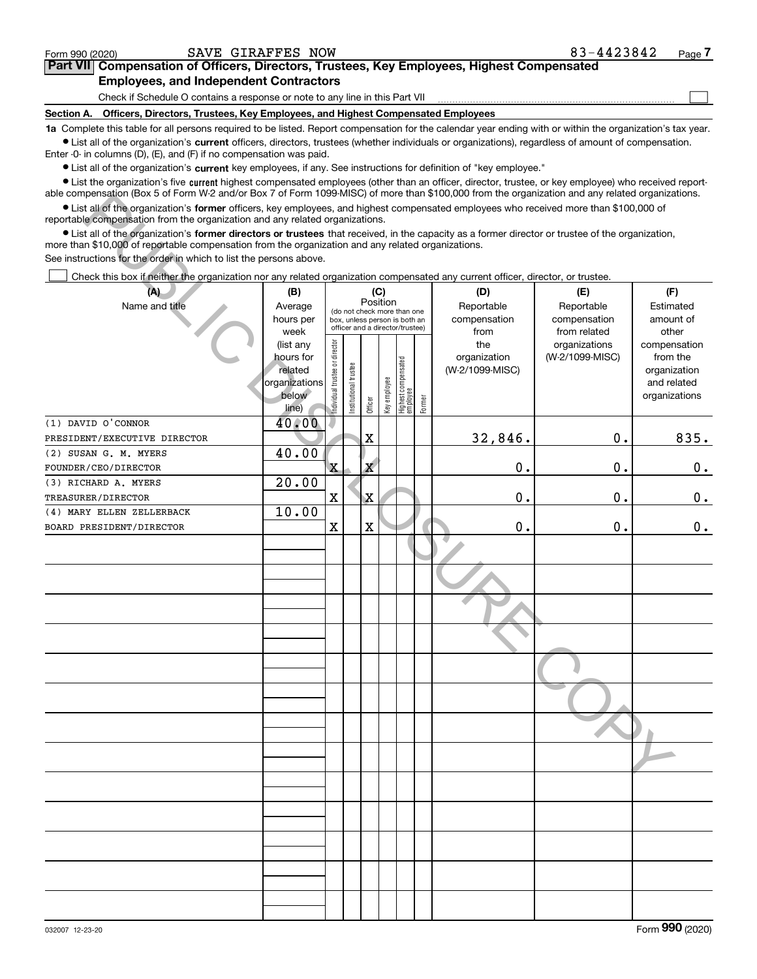| Form 990 (2020) | SAVE GIRAFFES NOW                                                                                                                                          | 83-4423842 | Page |
|-----------------|------------------------------------------------------------------------------------------------------------------------------------------------------------|------------|------|
|                 | Part VII Compensation of Officers, Directors, Trustees, Key Employees, Highest Compensated                                                                 |            |      |
|                 | <b>Employees, and Independent Contractors</b>                                                                                                              |            |      |
|                 | Check if Schedule O contains a response or note to any line in this Part VII                                                                               |            |      |
| Section A.      | Officers, Directors, Trustees, Key Employees, and Highest Compensated Employees                                                                            |            |      |
|                 | 1a Complete this table for all persons required to be listed. Report compensation for the calendar year ending with or within the organization's tax year. |            |      |
|                 | • List all of the organization's current officers, directors, trustees (whether individuals or organizations), regardless of amount of compensation.       |            |      |
|                 | Enter $-0$ in columns $(D)$ , $(E)$ , and $(F)$ if no compensation was paid.                                                                               |            |      |

 $\bullet$  List all of the organization's  $\,$ current key employees, if any. See instructions for definition of "key employee."

■ List the organization's five current highest compensated employees (other than an officer, director, trustee, or key employee) who received report-<br>able compensation (Box 5 of Form W-2 and/or Box 7 of Form 1099-MISC) of

| able compensation (box 5 or Form W-2 and/or box 7 or Form 1099-MISC) or more than \$100,000 nom the organization and any related organizations.                                                                        |                        |                                |                       |             |              |                                                                                                 |        |                     |                                  |                          |
|------------------------------------------------------------------------------------------------------------------------------------------------------------------------------------------------------------------------|------------------------|--------------------------------|-----------------------|-------------|--------------|-------------------------------------------------------------------------------------------------|--------|---------------------|----------------------------------|--------------------------|
| · List all of the organization's former officers, key employees, and highest compensated employees who received more than \$100,000 of<br>reportable compensation from the organization and any related organizations. |                        |                                |                       |             |              |                                                                                                 |        |                     |                                  |                          |
| • List all of the organization's former directors or trustees that received, in the capacity as a former director or trustee of the organization,                                                                      |                        |                                |                       |             |              |                                                                                                 |        |                     |                                  |                          |
| more than \$10,000 of reportable compensation from the organization and any related organizations.<br>See instructions for the order in which to list the persons above.                                               |                        |                                |                       |             |              |                                                                                                 |        |                     |                                  |                          |
| Check this box if neither the organization nor any related organization compensated any current officer, director, or trustee.                                                                                         |                        |                                |                       |             |              |                                                                                                 |        |                     |                                  |                          |
| (A)                                                                                                                                                                                                                    | (B)                    |                                |                       |             | (C)          |                                                                                                 |        | (D)                 | (E)                              | (F)                      |
| Name and title                                                                                                                                                                                                         | Average                |                                |                       | Position    |              |                                                                                                 |        | Reportable          | Reportable                       | Estimated                |
|                                                                                                                                                                                                                        | hours per              |                                |                       |             |              | (do not check more than one<br>box, unless person is both an<br>officer and a director/trustee) |        | compensation        | compensation                     | amount of                |
|                                                                                                                                                                                                                        | week                   |                                |                       |             |              |                                                                                                 |        | from                | from related                     | other                    |
|                                                                                                                                                                                                                        | (list any<br>hours for |                                |                       |             |              |                                                                                                 |        | the<br>organization | organizations<br>(W-2/1099-MISC) | compensation<br>from the |
|                                                                                                                                                                                                                        | related                |                                |                       |             |              |                                                                                                 |        | (W-2/1099-MISC)     |                                  | organization             |
|                                                                                                                                                                                                                        | organizations          |                                |                       |             |              |                                                                                                 |        |                     |                                  | and related              |
|                                                                                                                                                                                                                        | below<br>line)         | Individual trustee or director | Institutional trustee | Officer     | Key employee | Highest compensated<br>  employee                                                               | Former |                     |                                  | organizations            |
| (1) DAVID O'CONNOR                                                                                                                                                                                                     | 40.00                  |                                |                       |             |              |                                                                                                 |        |                     |                                  |                          |
| PRESIDENT/EXECUTIVE DIRECTOR                                                                                                                                                                                           |                        |                                |                       | $\mathbf x$ |              |                                                                                                 |        | 32,846.             | 0.                               | 835.                     |
| (2) SUSAN G. M. MYERS                                                                                                                                                                                                  | 40.00                  |                                |                       |             |              |                                                                                                 |        |                     |                                  |                          |
| FOUNDER/CEO/DIRECTOR                                                                                                                                                                                                   |                        | $\mathbf{x}$                   |                       | $\mathbf X$ |              |                                                                                                 |        | 0.                  | 0.                               | 0.                       |
| (3) RICHARD A. MYERS                                                                                                                                                                                                   | 20.00                  |                                |                       |             |              |                                                                                                 |        |                     |                                  |                          |
| <b>TREASURER/DIRECTOR</b>                                                                                                                                                                                              | 10.00                  | $\mathbf X$                    |                       | $\mathbf X$ |              |                                                                                                 |        | 0.                  | $\mathbf 0$ .                    | 0.                       |
| (4) MARY ELLEN ZELLERBACK<br>BOARD PRESIDENT/DIRECTOR                                                                                                                                                                  |                        | $\mathbf X$                    |                       | $\mathbf X$ |              |                                                                                                 |        | 0.                  | 0.                               | 0.                       |
|                                                                                                                                                                                                                        |                        |                                |                       |             |              |                                                                                                 |        |                     |                                  |                          |
|                                                                                                                                                                                                                        |                        |                                |                       |             |              |                                                                                                 |        |                     |                                  |                          |
|                                                                                                                                                                                                                        |                        |                                |                       |             |              |                                                                                                 |        |                     |                                  |                          |
|                                                                                                                                                                                                                        |                        |                                |                       |             |              |                                                                                                 |        |                     |                                  |                          |
|                                                                                                                                                                                                                        |                        |                                |                       |             |              |                                                                                                 |        |                     |                                  |                          |
|                                                                                                                                                                                                                        |                        |                                |                       |             |              |                                                                                                 |        |                     |                                  |                          |
|                                                                                                                                                                                                                        |                        |                                |                       |             |              |                                                                                                 |        |                     |                                  |                          |
|                                                                                                                                                                                                                        |                        |                                |                       |             |              |                                                                                                 |        |                     |                                  |                          |
|                                                                                                                                                                                                                        |                        |                                |                       |             |              |                                                                                                 |        |                     |                                  |                          |
|                                                                                                                                                                                                                        |                        |                                |                       |             |              |                                                                                                 |        |                     |                                  |                          |
|                                                                                                                                                                                                                        |                        |                                |                       |             |              |                                                                                                 |        |                     |                                  |                          |
|                                                                                                                                                                                                                        |                        |                                |                       |             |              |                                                                                                 |        |                     |                                  |                          |
|                                                                                                                                                                                                                        |                        |                                |                       |             |              |                                                                                                 |        |                     |                                  |                          |
|                                                                                                                                                                                                                        |                        |                                |                       |             |              |                                                                                                 |        |                     |                                  |                          |
|                                                                                                                                                                                                                        |                        |                                |                       |             |              |                                                                                                 |        |                     |                                  |                          |
|                                                                                                                                                                                                                        |                        |                                |                       |             |              |                                                                                                 |        |                     |                                  |                          |
|                                                                                                                                                                                                                        |                        |                                |                       |             |              |                                                                                                 |        |                     |                                  |                          |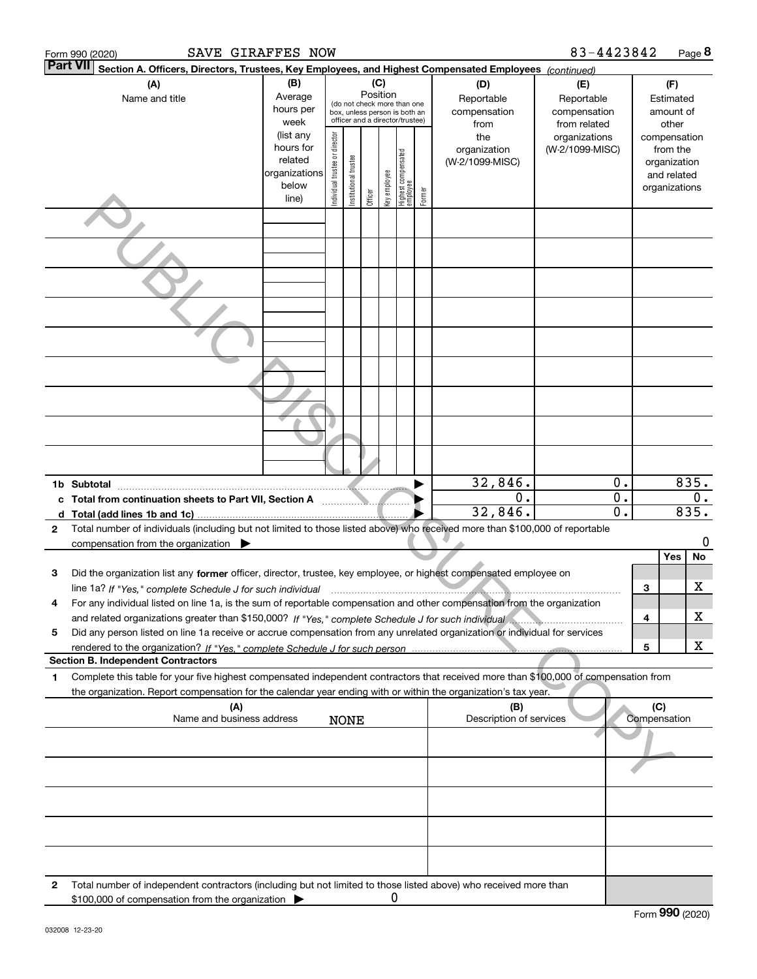|                            | SAVE GIRAFFES NOW<br>Form 990 (2020)                                                                                                                                                                                               |                                                             |                                |                       |                                                                                                                      |              |                                 |  |                                                                                                                    | 83-4423842                       |                     |                                           |                                                          | Page 8        |  |                                        |  |
|----------------------------|------------------------------------------------------------------------------------------------------------------------------------------------------------------------------------------------------------------------------------|-------------------------------------------------------------|--------------------------------|-----------------------|----------------------------------------------------------------------------------------------------------------------|--------------|---------------------------------|--|--------------------------------------------------------------------------------------------------------------------|----------------------------------|---------------------|-------------------------------------------|----------------------------------------------------------|---------------|--|----------------------------------------|--|
|                            | <b>Part VII</b><br>Section A. Officers, Directors, Trustees, Key Employees, and Highest Compensated Employees (continued)                                                                                                          |                                                             |                                |                       |                                                                                                                      |              |                                 |  |                                                                                                                    |                                  |                     |                                           |                                                          |               |  |                                        |  |
|                            | (A)<br>Name and title                                                                                                                                                                                                              | Average<br>hours per<br>week                                | (B)                            |                       |                                                                                                                      |              |                                 |  | (C)<br>Position<br>(do not check more than one<br>box, unless person is both an<br>officer and a director/trustee) |                                  |                     | (D)<br>Reportable<br>compensation<br>from | (E)<br>Reportable<br>compensation<br>from related        |               |  | (F)<br>Estimated<br>amount of<br>other |  |
|                            |                                                                                                                                                                                                                                    | (list any<br>hours for<br>related<br>organizations<br>below | Individual trustee or director | Institutional trustee |                                                                                                                      | key employee | Highest compensated<br>employee |  | the<br>organization<br>(W-2/1099-MISC)                                                                             | organizations<br>(W-2/1099-MISC) |                     | compensation                              | from the<br>organization<br>and related<br>organizations |               |  |                                        |  |
| Former<br>Officer<br>line) |                                                                                                                                                                                                                                    |                                                             |                                |                       |                                                                                                                      |              |                                 |  |                                                                                                                    |                                  |                     |                                           |                                                          |               |  |                                        |  |
|                            |                                                                                                                                                                                                                                    |                                                             |                                |                       |                                                                                                                      |              |                                 |  |                                                                                                                    |                                  |                     |                                           |                                                          |               |  |                                        |  |
|                            |                                                                                                                                                                                                                                    |                                                             |                                |                       |                                                                                                                      |              |                                 |  |                                                                                                                    |                                  |                     |                                           |                                                          |               |  |                                        |  |
|                            |                                                                                                                                                                                                                                    |                                                             |                                |                       |                                                                                                                      |              |                                 |  |                                                                                                                    |                                  |                     |                                           |                                                          |               |  |                                        |  |
|                            |                                                                                                                                                                                                                                    |                                                             |                                |                       |                                                                                                                      |              |                                 |  |                                                                                                                    |                                  |                     |                                           |                                                          |               |  |                                        |  |
|                            |                                                                                                                                                                                                                                    |                                                             |                                |                       |                                                                                                                      |              |                                 |  |                                                                                                                    |                                  |                     |                                           |                                                          |               |  |                                        |  |
|                            |                                                                                                                                                                                                                                    |                                                             |                                |                       |                                                                                                                      |              |                                 |  |                                                                                                                    |                                  |                     |                                           |                                                          |               |  |                                        |  |
|                            |                                                                                                                                                                                                                                    |                                                             |                                |                       |                                                                                                                      |              |                                 |  |                                                                                                                    |                                  |                     |                                           |                                                          |               |  |                                        |  |
|                            |                                                                                                                                                                                                                                    |                                                             |                                |                       |                                                                                                                      |              |                                 |  |                                                                                                                    |                                  |                     |                                           |                                                          |               |  |                                        |  |
|                            |                                                                                                                                                                                                                                    |                                                             |                                |                       |                                                                                                                      |              |                                 |  |                                                                                                                    |                                  |                     |                                           |                                                          |               |  |                                        |  |
|                            | 1b Subtotal<br>c Total from continuation sheets to Part VII, Section A                                                                                                                                                             |                                                             |                                |                       |                                                                                                                      |              |                                 |  | 32,846.<br>0.                                                                                                      |                                  | 0.<br>$\mathbf 0$ . |                                           |                                                          | 835.<br>$0$ . |  |                                        |  |
|                            |                                                                                                                                                                                                                                    |                                                             |                                |                       | <u> 1986 - Jan Stein Harry Harry Harry Harry Harry Harry Harry Harry Harry Harry Harry Harry Harry Harry Harry H</u> |              |                                 |  | 32,846.                                                                                                            |                                  | $\overline{0}$ .    | 835.                                      |                                                          |               |  |                                        |  |
| 2                          | Total number of individuals (including but not limited to those listed above) who received more than \$100,000 of reportable<br>compensation from the organization $\blacktriangleright$                                           |                                                             |                                |                       |                                                                                                                      |              |                                 |  |                                                                                                                    |                                  |                     |                                           |                                                          | 0             |  |                                        |  |
|                            |                                                                                                                                                                                                                                    |                                                             |                                |                       |                                                                                                                      |              |                                 |  |                                                                                                                    |                                  |                     |                                           | Yes                                                      | No            |  |                                        |  |
| 3                          | Did the organization list any former officer, director, trustee, key employee, or highest compensated employee on<br>line 1a? If "Yes," complete Schedule J for such individual manufactured contained and the manufactured in the |                                                             |                                |                       |                                                                                                                      |              |                                 |  |                                                                                                                    |                                  |                     | 3                                         |                                                          | x             |  |                                        |  |
| 4                          | For any individual listed on line 1a, is the sum of reportable compensation and other compensation from the organization                                                                                                           |                                                             |                                |                       |                                                                                                                      |              |                                 |  |                                                                                                                    |                                  |                     |                                           |                                                          |               |  |                                        |  |
|                            | and related organizations greater than \$150,000? If "Yes," complete Schedule J for such individual                                                                                                                                |                                                             |                                |                       |                                                                                                                      |              |                                 |  |                                                                                                                    |                                  |                     | 4                                         |                                                          | x             |  |                                        |  |
| 5                          | Did any person listed on line 1a receive or accrue compensation from any unrelated organization or individual for services                                                                                                         |                                                             |                                |                       |                                                                                                                      |              |                                 |  |                                                                                                                    |                                  |                     | 5                                         |                                                          | x             |  |                                        |  |
|                            | <b>Section B. Independent Contractors</b>                                                                                                                                                                                          |                                                             |                                |                       |                                                                                                                      |              |                                 |  |                                                                                                                    |                                  |                     |                                           |                                                          |               |  |                                        |  |
| 1                          | Complete this table for your five highest compensated independent contractors that received more than \$100,000 of compensation from                                                                                               |                                                             |                                |                       |                                                                                                                      |              |                                 |  |                                                                                                                    |                                  |                     |                                           |                                                          |               |  |                                        |  |
|                            | the organization. Report compensation for the calendar year ending with or within the organization's tax year.<br>(C)<br>(A)<br>(B)<br>Name and business address<br>Description of services<br>Compensation<br><b>NONE</b>         |                                                             |                                |                       |                                                                                                                      |              |                                 |  |                                                                                                                    |                                  |                     |                                           |                                                          |               |  |                                        |  |
|                            |                                                                                                                                                                                                                                    |                                                             |                                |                       |                                                                                                                      |              |                                 |  |                                                                                                                    |                                  |                     |                                           |                                                          |               |  |                                        |  |
|                            |                                                                                                                                                                                                                                    |                                                             |                                |                       |                                                                                                                      |              |                                 |  |                                                                                                                    |                                  |                     |                                           |                                                          |               |  |                                        |  |
|                            |                                                                                                                                                                                                                                    |                                                             |                                |                       |                                                                                                                      |              |                                 |  |                                                                                                                    |                                  |                     |                                           |                                                          |               |  |                                        |  |
|                            |                                                                                                                                                                                                                                    |                                                             |                                |                       |                                                                                                                      |              |                                 |  |                                                                                                                    |                                  |                     |                                           |                                                          |               |  |                                        |  |
|                            |                                                                                                                                                                                                                                    |                                                             |                                |                       |                                                                                                                      |              |                                 |  |                                                                                                                    |                                  |                     |                                           |                                                          |               |  |                                        |  |
| $\mathbf{2}$               | Total number of independent contractors (including but not limited to those listed above) who received more than<br>\$100,000 of compensation from the organization                                                                |                                                             |                                |                       |                                                                                                                      | 0            |                                 |  |                                                                                                                    |                                  |                     |                                           |                                                          |               |  |                                        |  |
|                            |                                                                                                                                                                                                                                    |                                                             |                                |                       |                                                                                                                      |              |                                 |  |                                                                                                                    |                                  |                     | $F_{\rm arm}$ 990 (2020)                  |                                                          |               |  |                                        |  |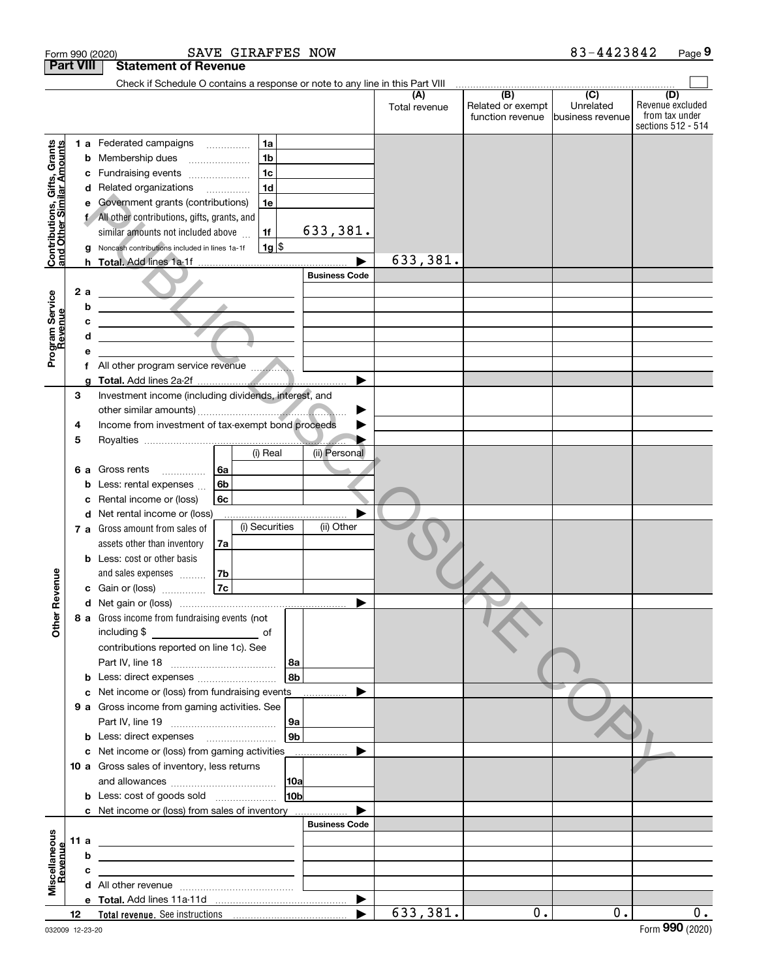|                                                           |                  | SAVE GIRAFFES NOW<br>Form 990 (2020)                                                                                  |                      |                                              | 83-4423842                                        | Page 9                                                          |
|-----------------------------------------------------------|------------------|-----------------------------------------------------------------------------------------------------------------------|----------------------|----------------------------------------------|---------------------------------------------------|-----------------------------------------------------------------|
|                                                           | <b>Part VIII</b> | <b>Statement of Revenue</b>                                                                                           |                      |                                              |                                                   |                                                                 |
|                                                           |                  | Check if Schedule O contains a response or note to any line in this Part VIII                                         |                      |                                              |                                                   |                                                                 |
|                                                           |                  |                                                                                                                       | (A)<br>Total revenue | (B)<br>Related or exempt<br>function revenue | $\overline{(C)}$<br>Unrelated<br>business revenue | (D)<br>Revenue excluded<br>from tax under<br>sections 512 - 514 |
|                                                           |                  | 1a<br><b>1 a</b> Federated campaigns                                                                                  |                      |                                              |                                                   |                                                                 |
| Contributions, Gifts, Grants<br>and Other Similar Amounts | b                | 1 <sub>b</sub><br>Membership dues<br>$\ldots \ldots \ldots \ldots \ldots$                                             |                      |                                              |                                                   |                                                                 |
|                                                           | с                | 1 <sub>c</sub><br>Fundraising events                                                                                  |                      |                                              |                                                   |                                                                 |
|                                                           | d                | 1 <sub>d</sub><br>Related organizations <i>manuming</i>                                                               |                      |                                              |                                                   |                                                                 |
|                                                           | е                | Government grants (contributions)<br>1e                                                                               |                      |                                              |                                                   |                                                                 |
|                                                           |                  | All other contributions, gifts, grants, and                                                                           |                      |                                              |                                                   |                                                                 |
|                                                           |                  | 633,381.<br>similar amounts not included above<br>1f                                                                  |                      |                                              |                                                   |                                                                 |
|                                                           |                  | 1g <br>Noncash contributions included in lines 1a-1f                                                                  |                      |                                              |                                                   |                                                                 |
|                                                           |                  |                                                                                                                       | 633,381.             |                                              |                                                   |                                                                 |
|                                                           |                  | <b>Business Code</b>                                                                                                  |                      |                                              |                                                   |                                                                 |
|                                                           | 2a               |                                                                                                                       |                      |                                              |                                                   |                                                                 |
| Program Service<br>Revenue                                | b                |                                                                                                                       |                      |                                              |                                                   |                                                                 |
|                                                           | c                |                                                                                                                       |                      |                                              |                                                   |                                                                 |
|                                                           | d                |                                                                                                                       |                      |                                              |                                                   |                                                                 |
|                                                           | е                |                                                                                                                       |                      |                                              |                                                   |                                                                 |
|                                                           | f                |                                                                                                                       |                      |                                              |                                                   |                                                                 |
|                                                           | a                | ▶                                                                                                                     |                      |                                              |                                                   |                                                                 |
|                                                           | 3                | Investment income (including dividends, interest, and                                                                 |                      |                                              |                                                   |                                                                 |
|                                                           |                  |                                                                                                                       |                      |                                              |                                                   |                                                                 |
|                                                           | 4                | Income from investment of tax-exempt bond proceeds                                                                    |                      |                                              |                                                   |                                                                 |
|                                                           | 5                |                                                                                                                       |                      |                                              |                                                   |                                                                 |
|                                                           |                  | (ii) Personal<br>(i) Real                                                                                             |                      |                                              |                                                   |                                                                 |
|                                                           | 6а               | 6a<br>Gross rents                                                                                                     |                      |                                              |                                                   |                                                                 |
|                                                           | b                | 6b<br>Less: rental expenses                                                                                           |                      |                                              |                                                   |                                                                 |
|                                                           | с                | 6c<br>Rental income or (loss)                                                                                         |                      |                                              |                                                   |                                                                 |
|                                                           |                  | d Net rental income or (loss)                                                                                         |                      |                                              |                                                   |                                                                 |
|                                                           |                  | (i) Securities<br>(ii) Other<br>7 a Gross amount from sales of                                                        |                      |                                              |                                                   |                                                                 |
|                                                           |                  | assets other than inventory<br>7a                                                                                     |                      |                                              |                                                   |                                                                 |
|                                                           |                  | <b>b</b> Less: cost or other basis                                                                                    |                      |                                              |                                                   |                                                                 |
|                                                           |                  | 7b<br>and sales expenses                                                                                              |                      |                                              |                                                   |                                                                 |
|                                                           |                  | 7c<br>c Gain or (loss)                                                                                                |                      |                                              |                                                   |                                                                 |
|                                                           |                  |                                                                                                                       |                      |                                              |                                                   |                                                                 |
|                                                           |                  | 8 a Gross income from fundraising events (not                                                                         |                      |                                              |                                                   |                                                                 |
|                                                           |                  |                                                                                                                       |                      |                                              |                                                   |                                                                 |
|                                                           |                  | contributions reported on line 1c). See                                                                               |                      |                                              |                                                   |                                                                 |
|                                                           |                  | 8a                                                                                                                    |                      |                                              |                                                   |                                                                 |
|                                                           |                  | 8b<br><b>b</b> Less: direct expenses <b>constants</b> b                                                               |                      |                                              |                                                   |                                                                 |
|                                                           |                  | c Net income or (loss) from fundraising events                                                                        |                      |                                              |                                                   |                                                                 |
|                                                           |                  | 9 a Gross income from gaming activities. See                                                                          |                      |                                              |                                                   |                                                                 |
|                                                           |                  | 9a                                                                                                                    |                      |                                              |                                                   |                                                                 |
|                                                           |                  | 9 <sub>b</sub><br><b>b</b> Less: direct expenses <b>manually</b>                                                      |                      |                                              |                                                   |                                                                 |
|                                                           |                  | c Net income or (loss) from gaming activities _______________                                                         |                      |                                              |                                                   |                                                                 |
|                                                           |                  | 10 a Gross sales of inventory, less returns                                                                           |                      |                                              |                                                   |                                                                 |
|                                                           |                  |                                                                                                                       |                      |                                              |                                                   |                                                                 |
|                                                           |                  | 10 <sub>b</sub>                                                                                                       |                      |                                              |                                                   |                                                                 |
|                                                           |                  | c Net income or (loss) from sales of inventory                                                                        |                      |                                              |                                                   |                                                                 |
|                                                           |                  | <b>Business Code</b>                                                                                                  |                      |                                              |                                                   |                                                                 |
|                                                           | 11a              | <u> 1989 - Johann Barn, mars and de Branch Barn, mars and de Branch Barn, mars and de Branch Barn, mars and de Br</u> |                      |                                              |                                                   |                                                                 |
|                                                           | b                | the control of the control of the control of the control of the control of                                            |                      |                                              |                                                   |                                                                 |
| Revenue                                                   | c                | <u> 1989 - Johann Stein, fransk politik (d. 1989)</u>                                                                 |                      |                                              |                                                   |                                                                 |
| Miscellaneous                                             |                  |                                                                                                                       |                      |                                              |                                                   |                                                                 |
|                                                           |                  |                                                                                                                       |                      |                                              |                                                   |                                                                 |
|                                                           | 12 <sub>2</sub>  |                                                                                                                       | 633,381.             | 0.                                           | $0$ .                                             | 0.                                                              |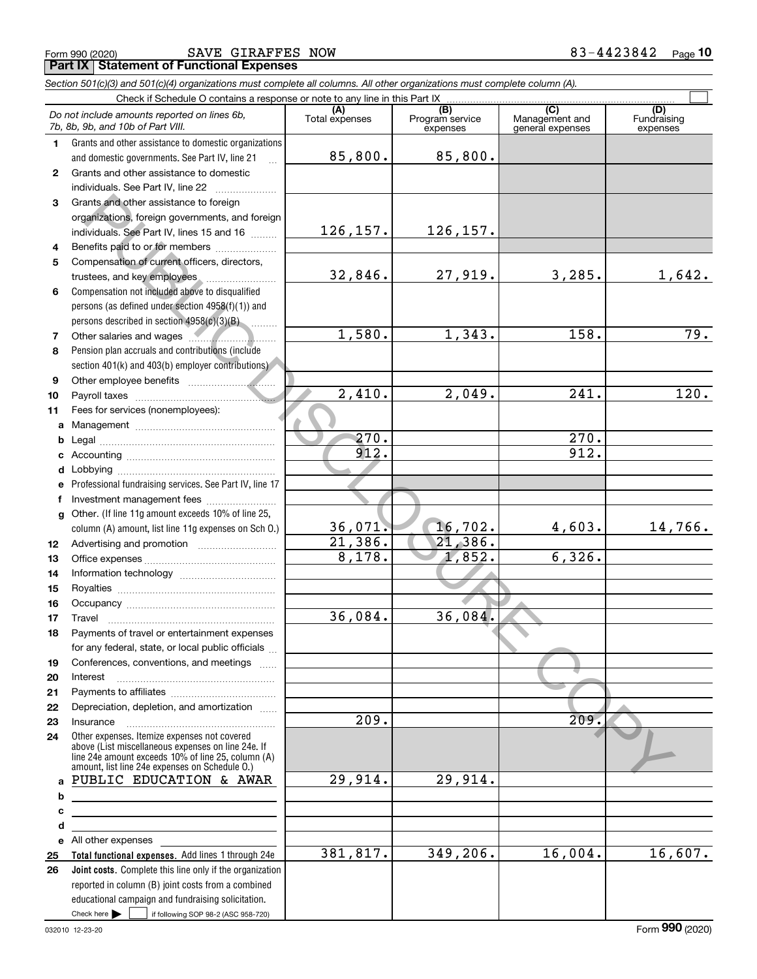**e** All other expenses

**bcd**

**25 26**

Check here  $\begin{array}{|c|c|c|c|c|}\hline \text{ } & \text{ if following SOP 98-2 (ASC 958-720)} \hline \end{array}$ 

reported in column (B) joint costs from a combined educational campaign and fundraising solicitation.

**Total functional expenses.**  Add lines 1 through 24e **Joint costs.** Complete this line only if the organization

|              | <b>Part IX   Statement of Functional Expenses</b>                                                                                                          |                       |                                    |                                           |                    |
|--------------|------------------------------------------------------------------------------------------------------------------------------------------------------------|-----------------------|------------------------------------|-------------------------------------------|--------------------|
|              | Section 501(c)(3) and 501(c)(4) organizations must complete all columns. All other organizations must complete column (A).                                 |                       |                                    |                                           |                    |
|              | Check if Schedule O contains a response or note to any line in this Part IX                                                                                |                       |                                    |                                           |                    |
|              | Do not include amounts reported on lines 6b,<br>7b, 8b, 9b, and 10b of Part VIII.                                                                          | (A)<br>Total expenses | (B)<br>Program service<br>expenses | (C)<br>Management and<br>general expenses | (D)<br>Fundraising |
|              |                                                                                                                                                            |                       |                                    |                                           | expenses           |
| 1.           | Grants and other assistance to domestic organizations<br>and domestic governments. See Part IV, line 21                                                    | 85,800.               | 85,800.                            |                                           |                    |
| $\mathbf{2}$ | Grants and other assistance to domestic                                                                                                                    |                       |                                    |                                           |                    |
|              | individuals. See Part IV, line 22                                                                                                                          |                       |                                    |                                           |                    |
| 3            | Grants and other assistance to foreign                                                                                                                     |                       |                                    |                                           |                    |
|              | organizations, foreign governments, and foreign                                                                                                            |                       |                                    |                                           |                    |
|              | individuals. See Part IV, lines 15 and 16                                                                                                                  | 126, 157.             | 126,157.                           |                                           |                    |
| 4            | Benefits paid to or for members                                                                                                                            |                       |                                    |                                           |                    |
| 5            | Compensation of current officers, directors,                                                                                                               |                       |                                    |                                           |                    |
|              | trustees, and key employees                                                                                                                                | 32,846.               | 27,919.                            | 3,285.                                    | 1,642.             |
| 6            | Compensation not included above to disqualified                                                                                                            |                       |                                    |                                           |                    |
|              | persons (as defined under section 4958(f)(1)) and                                                                                                          |                       |                                    |                                           |                    |
|              | persons described in section $4958(c)(3)(B)$                                                                                                               |                       |                                    |                                           |                    |
| 7            | Other salaries and wages <b>Manual Accord Patients</b>                                                                                                     | 1,580.                | 1,343.                             | 158.                                      | $\overline{79}$ .  |
| 8            | Pension plan accruals and contributions (include                                                                                                           |                       |                                    |                                           |                    |
|              | section 401(k) and 403(b) employer contributions)                                                                                                          |                       |                                    |                                           |                    |
| 9            |                                                                                                                                                            |                       |                                    |                                           |                    |
| 10           |                                                                                                                                                            | 2,410.                | 2,049.                             | 241.                                      | 120.               |
| 11           | Fees for services (nonemployees):                                                                                                                          |                       |                                    |                                           |                    |
|              |                                                                                                                                                            |                       |                                    |                                           |                    |
|              |                                                                                                                                                            | 270.                  |                                    | $\overline{270}$ .                        |                    |
|              |                                                                                                                                                            | 912.                  |                                    | 912.                                      |                    |
|              |                                                                                                                                                            |                       |                                    |                                           |                    |
|              | e Professional fundraising services. See Part IV, line 17                                                                                                  |                       |                                    |                                           |                    |
| f.           | Investment management fees                                                                                                                                 |                       |                                    |                                           |                    |
|              | g Other. (If line 11g amount exceeds 10% of line 25,                                                                                                       |                       |                                    |                                           |                    |
|              | column (A) amount, list line 11g expenses on Sch 0.)                                                                                                       | 36,071.               | 16,702.                            | 4,603.                                    | 14,766.            |
| 12           |                                                                                                                                                            | 21,386.               | 21,386.                            |                                           |                    |
| 13           |                                                                                                                                                            | 8,178.                | 1,852.                             | 6,326.                                    |                    |
| 14           |                                                                                                                                                            |                       |                                    |                                           |                    |
| 15           |                                                                                                                                                            |                       |                                    |                                           |                    |
| 16           |                                                                                                                                                            |                       |                                    |                                           |                    |
| 17           |                                                                                                                                                            | 36,084.               | 36,084.                            |                                           |                    |
| 18           | Payments of travel or entertainment expenses                                                                                                               |                       |                                    |                                           |                    |
|              | for any federal, state, or local public officials                                                                                                          |                       |                                    |                                           |                    |
| 19           | Conferences, conventions, and meetings                                                                                                                     |                       |                                    |                                           |                    |
| 20           | Interest                                                                                                                                                   |                       |                                    |                                           |                    |
| 21           |                                                                                                                                                            |                       |                                    |                                           |                    |
| 22           | Depreciation, depletion, and amortization                                                                                                                  |                       |                                    |                                           |                    |
| 23           | Insurance                                                                                                                                                  | 209.                  |                                    | 209.                                      |                    |
| 24           | Other expenses. Itemize expenses not covered                                                                                                               |                       |                                    |                                           |                    |
|              | above (List miscellaneous expenses on line 24e. If<br>line 24e amount exceeds 10% of line 25, column (A)<br>amount, list line 24e expenses on Schedule O.) |                       |                                    |                                           |                    |
|              | a PUBLIC EDUCATION & AWAR                                                                                                                                  | 29,914.               | 29,914.                            |                                           |                    |

349,206. 16,004. 16,607.

381,817.

1,642.

 $\overline{120.}$ 

14,766.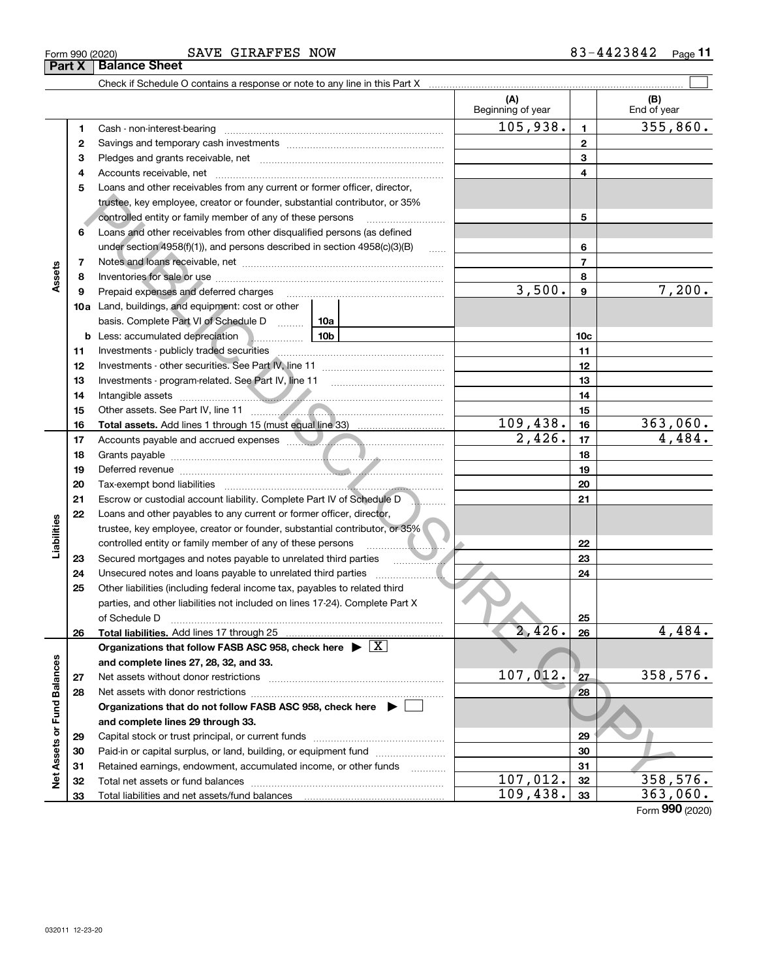| Form 990 (2020) |                                                                            | SAVE GIRAFFES NOW |  |    | 83-4423842 | Page 11 |
|-----------------|----------------------------------------------------------------------------|-------------------|--|----|------------|---------|
| <b>Part X</b>   | <b>Balance Sheet</b>                                                       |                   |  |    |            |         |
|                 | Check if Schedule O contains a response or note to any line in this Part X |                   |  |    |            |         |
|                 |                                                                            |                   |  | ίΔ | (B)        |         |

# Form (2020) **990**

|                             |          |                                                                                                                                                                                                                                      | (A)<br>Beginning of year |                  | (B)<br>End of year          |
|-----------------------------|----------|--------------------------------------------------------------------------------------------------------------------------------------------------------------------------------------------------------------------------------------|--------------------------|------------------|-----------------------------|
|                             | 1        |                                                                                                                                                                                                                                      | 105,938.                 | $\mathbf{1}$     | 355,860.                    |
|                             | 2        |                                                                                                                                                                                                                                      |                          | $\mathbf{2}$     |                             |
|                             | 3        |                                                                                                                                                                                                                                      |                          | 3                |                             |
|                             | 4        |                                                                                                                                                                                                                                      |                          | 4                |                             |
|                             | 5        | Loans and other receivables from any current or former officer, director,                                                                                                                                                            |                          |                  |                             |
|                             |          | trustee, key employee, creator or founder, substantial contributor, or 35%                                                                                                                                                           |                          |                  |                             |
|                             |          | controlled entity or family member of any of these persons                                                                                                                                                                           |                          | 5                |                             |
|                             | 6        | Loans and other receivables from other disqualified persons (as defined                                                                                                                                                              |                          |                  |                             |
|                             |          | under section 4958(f)(1)), and persons described in section 4958(c)(3)(B)<br><b>Section</b>                                                                                                                                          |                          | 6                |                             |
|                             | 7        |                                                                                                                                                                                                                                      |                          | $\overline{7}$   |                             |
| Assets                      | 8        |                                                                                                                                                                                                                                      |                          | 8                |                             |
|                             | 9        | Prepaid expenses and deferred charges                                                                                                                                                                                                | 3,500.                   | $\boldsymbol{9}$ | 7,200.                      |
|                             |          | 10a Land, buildings, and equipment: cost or other                                                                                                                                                                                    |                          |                  |                             |
|                             |          | basis. Complete Part VI of Schedule D  10a                                                                                                                                                                                           |                          |                  |                             |
|                             |          | 10b<br><b>b</b> Less: accumulated depreciation                                                                                                                                                                                       |                          | 10 <sub>c</sub>  |                             |
|                             | 11       |                                                                                                                                                                                                                                      |                          | 11               |                             |
|                             | 12       |                                                                                                                                                                                                                                      |                          | 12               |                             |
|                             | 13       |                                                                                                                                                                                                                                      |                          | 13               |                             |
|                             | 14       | Intangible assets <b>continued and the contract of the contract of the contract of the contract of the contract of the contract of the contract of the contract of the contract of the contract of the contract of the contract </b> |                          | 14               |                             |
|                             | 15       |                                                                                                                                                                                                                                      |                          | 15               |                             |
|                             | 16       |                                                                                                                                                                                                                                      | 109,438.                 | 16               | 363,060.                    |
|                             | 17       | Accounts payable and accrued expenses <b>manufactures Accounts</b> payable and accrued expenses                                                                                                                                      | 2,426.                   | 17               | 4,484.                      |
|                             | 18       |                                                                                                                                                                                                                                      |                          | 18               |                             |
|                             | 19       | Deferred revenue <b>contract and the contract of the contract of the contract of the contract of the contract of the contract of the contract of the contract of the contract of the contract of the contract of the contract of</b> |                          | 19               |                             |
|                             | 20       |                                                                                                                                                                                                                                      |                          | 20               |                             |
|                             | 21       | Escrow or custodial account liability. Complete Part IV of Schedule D<br>.                                                                                                                                                           |                          | 21               |                             |
|                             | 22       | Loans and other payables to any current or former officer, director,                                                                                                                                                                 |                          |                  |                             |
| Liabilities                 |          | trustee, key employee, creator or founder, substantial contributor, or 35%                                                                                                                                                           |                          |                  |                             |
|                             |          | controlled entity or family member of any of these persons                                                                                                                                                                           |                          | 22               |                             |
|                             | 23       | Secured mortgages and notes payable to unrelated third parties                                                                                                                                                                       |                          | 23<br>24         |                             |
|                             | 24<br>25 |                                                                                                                                                                                                                                      |                          |                  |                             |
|                             |          | Other liabilities (including federal income tax, payables to related third<br>parties, and other liabilities not included on lines 17-24). Complete Part X                                                                           |                          |                  |                             |
|                             |          | of Schedule D                                                                                                                                                                                                                        |                          | 25               |                             |
|                             | 26       | Total liabilities. Add lines 17 through 25                                                                                                                                                                                           | $\bullet$<br>2,426.      | 26               | 4,484.                      |
|                             |          | Organizations that follow FASB ASC 958, check here $\blacktriangleright \lfloor X \rfloor$                                                                                                                                           |                          |                  |                             |
|                             |          | and complete lines 27, 28, 32, and 33.                                                                                                                                                                                               |                          |                  |                             |
|                             | 27       |                                                                                                                                                                                                                                      | 107,012.                 | 27               | 358,576.                    |
|                             | 28       |                                                                                                                                                                                                                                      |                          | 28               |                             |
|                             |          | Organizations that do not follow FASB ASC 958, check here $\blacktriangleright$                                                                                                                                                      |                          |                  |                             |
|                             |          | and complete lines 29 through 33.                                                                                                                                                                                                    |                          |                  |                             |
|                             | 29       |                                                                                                                                                                                                                                      |                          | 29               |                             |
|                             | 30       | Paid-in or capital surplus, or land, building, or equipment fund                                                                                                                                                                     |                          | 30               |                             |
| Net Assets or Fund Balances | 31       | Retained earnings, endowment, accumulated income, or other funds                                                                                                                                                                     |                          | 31               |                             |
|                             | 32       |                                                                                                                                                                                                                                      | 107,012.                 | 32               | 358,576.                    |
|                             | 33       |                                                                                                                                                                                                                                      | 109,438.                 | 33               | 363,060.                    |
|                             |          |                                                                                                                                                                                                                                      |                          |                  | $F_{\text{arm}}$ 990 (2020) |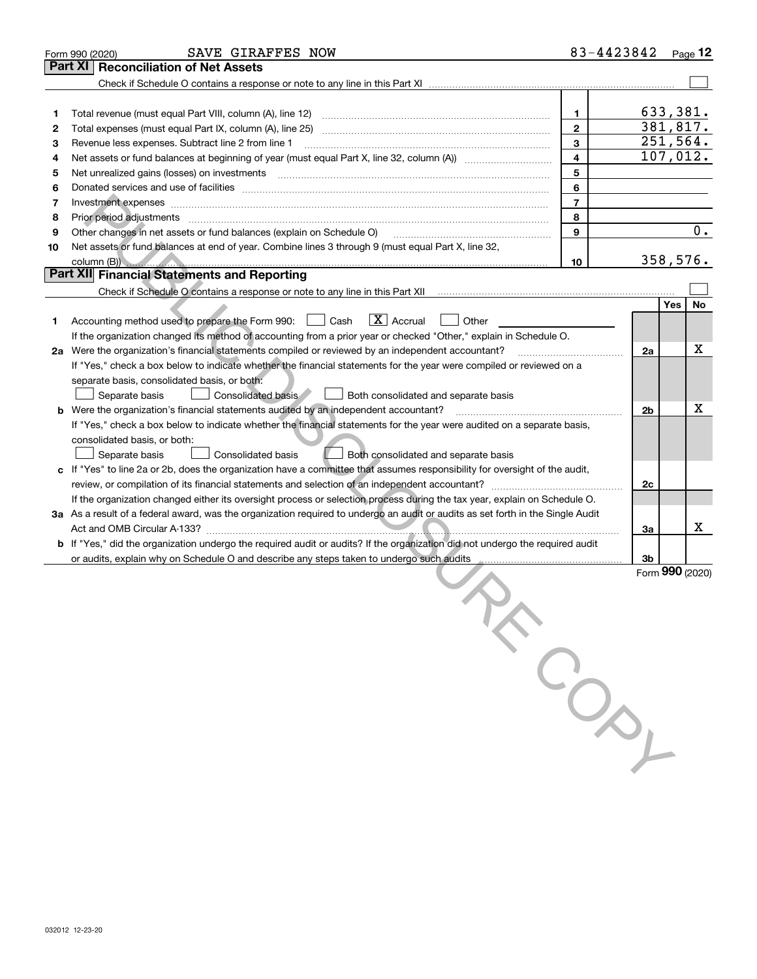|    | SAVE GIRAFFES NOW<br>Form 990 (2020)                                                                                                                                                                                           | 83-4423842              |     | $P_{\text{age}}$ 12 |
|----|--------------------------------------------------------------------------------------------------------------------------------------------------------------------------------------------------------------------------------|-------------------------|-----|---------------------|
|    | Part XI<br><b>Reconciliation of Net Assets</b>                                                                                                                                                                                 |                         |     |                     |
|    |                                                                                                                                                                                                                                |                         |     |                     |
|    |                                                                                                                                                                                                                                |                         |     |                     |
| 1  |                                                                                                                                                                                                                                | $\mathbf{1}$            |     | 633,381.            |
| 2  | Total expenses (must equal Part IX, column (A), line 25)                                                                                                                                                                       | $\mathbf{2}$            |     | 381,817.            |
| з  | Revenue less expenses. Subtract line 2 from line 1                                                                                                                                                                             | 3                       |     | 251,564.            |
| 4  |                                                                                                                                                                                                                                | $\overline{\mathbf{4}}$ |     | 107,012.            |
| 5  |                                                                                                                                                                                                                                | 5                       |     |                     |
| 6  |                                                                                                                                                                                                                                | 6                       |     |                     |
| 7  |                                                                                                                                                                                                                                | $\overline{7}$          |     |                     |
| 8  | Prior period adjustments material contents and content and content and content and content and content and content and content and content and content and content and content and content and content and content and content | 8                       |     |                     |
| 9  | Other changes in net assets or fund balances (explain on Schedule O)                                                                                                                                                           | 9                       |     | $\overline{0}$ .    |
| 10 | Net assets or fund balances at end of year. Combine lines 3 through 9 (must equal Part X, line 32,                                                                                                                             |                         |     |                     |
|    | column (B)                                                                                                                                                                                                                     | 10                      |     | 358,576.            |
|    | <b>Part XII Financial Statements and Reporting</b>                                                                                                                                                                             |                         |     |                     |
|    |                                                                                                                                                                                                                                |                         |     |                     |
|    |                                                                                                                                                                                                                                |                         | Yes | No                  |
| 1. | $\boxed{\textbf{X}}$ Accrual<br>Accounting method used to prepare the Form 990: <u>[</u> Cash<br>Other                                                                                                                         |                         |     |                     |
|    | If the organization changed its method of accounting from a prior year or checked "Other," explain in Schedule O.                                                                                                              |                         |     |                     |
|    | 2a Were the organization's financial statements compiled or reviewed by an independent accountant?                                                                                                                             | 2a                      |     | X                   |
|    | If "Yes," check a box below to indicate whether the financial statements for the year were compiled or reviewed on a                                                                                                           |                         |     |                     |
|    | separate basis, consolidated basis, or both:                                                                                                                                                                                   |                         |     |                     |
|    | Consolidated basis <b>Consolidated</b> and separate basis<br>Separate basis                                                                                                                                                    |                         |     |                     |
|    | b Were the organization's financial statements audited by an independent accountant?                                                                                                                                           | 2b                      |     | X                   |
|    | If "Yes," check a box below to indicate whether the financial statements for the year were audited on a separate basis,                                                                                                        |                         |     |                     |
|    | consolidated basis, or both:                                                                                                                                                                                                   |                         |     |                     |
|    | Separate basis<br>Consolidated basis<br>Both consolidated and separate basis                                                                                                                                                   |                         |     |                     |
|    | c If "Yes" to line 2a or 2b, does the organization have a committee that assumes responsibility for oversight of the audit,                                                                                                    |                         |     |                     |
|    |                                                                                                                                                                                                                                | 2c                      |     |                     |
|    | If the organization changed either its oversight process or selection process during the tax year, explain on Schedule O.                                                                                                      |                         |     |                     |
|    | 3a As a result of a federal award, was the organization required to undergo an audit or audits as set forth in the Single Audit                                                                                                |                         |     |                     |
|    |                                                                                                                                                                                                                                | За                      |     | х                   |
|    | b If "Yes," did the organization undergo the required audit or audits? If the organization did not undergo the required audit                                                                                                  |                         |     |                     |
|    | or audits, explain why on Schedule O and describe any steps taken to undergo such audits entity and the settle                                                                                                                 | 3b                      |     |                     |
|    |                                                                                                                                                                                                                                |                         |     | Form 990 (2020)     |
|    |                                                                                                                                                                                                                                |                         |     |                     |
|    |                                                                                                                                                                                                                                |                         |     |                     |
|    |                                                                                                                                                                                                                                |                         |     |                     |
|    |                                                                                                                                                                                                                                |                         |     |                     |
|    |                                                                                                                                                                                                                                |                         |     |                     |
|    |                                                                                                                                                                                                                                |                         |     |                     |
|    |                                                                                                                                                                                                                                |                         |     |                     |
|    |                                                                                                                                                                                                                                |                         |     |                     |
|    |                                                                                                                                                                                                                                |                         |     |                     |
|    |                                                                                                                                                                                                                                |                         |     |                     |
|    |                                                                                                                                                                                                                                |                         |     |                     |
|    |                                                                                                                                                                                                                                |                         |     |                     |
|    | RECON                                                                                                                                                                                                                          |                         |     |                     |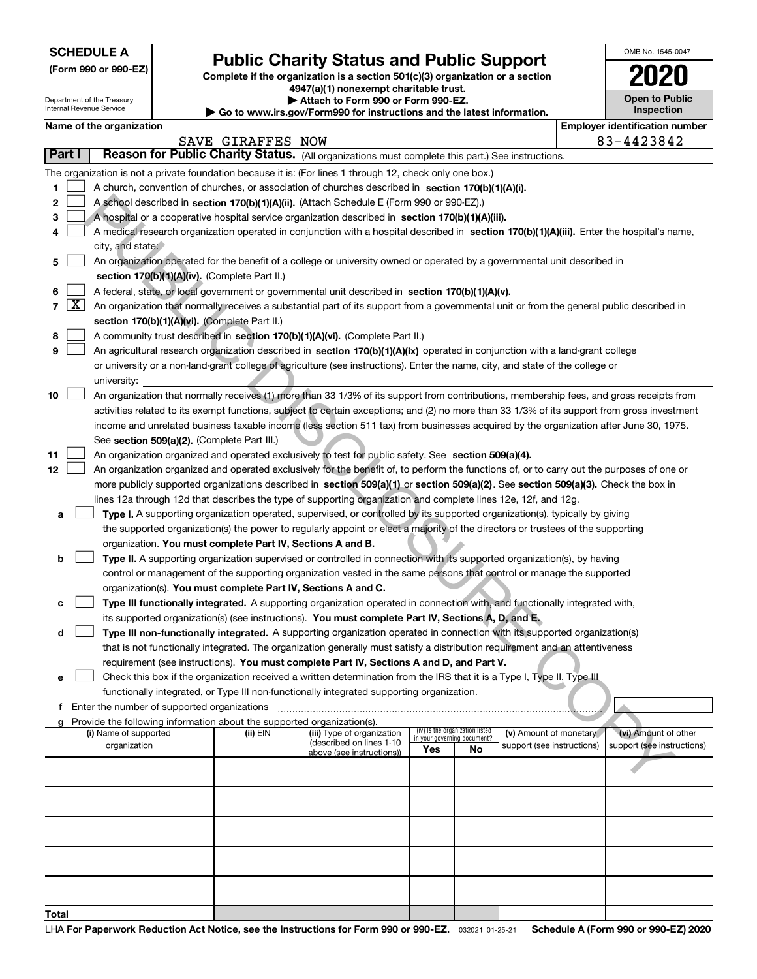| <b>SCHEDULE A</b> |
|-------------------|
|-------------------|

Department of the Treasury Internal Revenue Service

**(Form 990 or 990-EZ)**

# **Public Charity Status and Public Support**

**Complete if the organization is a section 501(c)(3) organization or a section 4947(a)(1) nonexempt charitable trust.**

**| Attach to Form 990 or Form 990-EZ.** 

| Go to www.irs.gov/Form990 for instructions and the latest information. |  |
|------------------------------------------------------------------------|--|
|                                                                        |  |

| OMB No. 1545-0047                     |
|---------------------------------------|
| 2020                                  |
| <b>Open to Public</b><br>Inspection   |
| <b>Employer identification number</b> |

|    |        |                                                                                                                                                                                               | SAVE GIRAFFES NOW |                                                        |                                                                |    |                                                      | 83-4423842                                         |
|----|--------|-----------------------------------------------------------------------------------------------------------------------------------------------------------------------------------------------|-------------------|--------------------------------------------------------|----------------------------------------------------------------|----|------------------------------------------------------|----------------------------------------------------|
|    | Part I | Reason for Public Charity Status. (All organizations must complete this part.) See instructions.                                                                                              |                   |                                                        |                                                                |    |                                                      |                                                    |
|    |        | The organization is not a private foundation because it is: (For lines 1 through 12, check only one box.)                                                                                     |                   |                                                        |                                                                |    |                                                      |                                                    |
| 1  |        | A church, convention of churches, or association of churches described in section $170(b)(1)(A)(i)$ .                                                                                         |                   |                                                        |                                                                |    |                                                      |                                                    |
| 2  |        | A school described in section 170(b)(1)(A)(ii). (Attach Schedule E (Form 990 or 990-EZ).)                                                                                                     |                   |                                                        |                                                                |    |                                                      |                                                    |
| 3  |        | A hospital or a cooperative hospital service organization described in section $170(b)(1)(A)(iii)$ .                                                                                          |                   |                                                        |                                                                |    |                                                      |                                                    |
| 4  |        | A medical research organization operated in conjunction with a hospital described in section 170(b)(1)(A)(iii). Enter the hospital's name,                                                    |                   |                                                        |                                                                |    |                                                      |                                                    |
|    |        | $city$ , and state:                                                                                                                                                                           |                   |                                                        |                                                                |    |                                                      |                                                    |
| 5  |        | An organization operated for the benefit of a college or university owned or operated by a governmental unit described in                                                                     |                   |                                                        |                                                                |    |                                                      |                                                    |
|    |        | section 170(b)(1)(A)(iv). (Complete Part II.)                                                                                                                                                 |                   |                                                        |                                                                |    |                                                      |                                                    |
| 6  |        | A federal, state, or local government or governmental unit described in section 170(b)(1)(A)(v).                                                                                              |                   |                                                        |                                                                |    |                                                      |                                                    |
|    | 7   X  | An organization that normally receives a substantial part of its support from a governmental unit or from the general public described in                                                     |                   |                                                        |                                                                |    |                                                      |                                                    |
|    |        | section 170(b)(1)(A)(vi). (Complete Part II.)                                                                                                                                                 |                   |                                                        |                                                                |    |                                                      |                                                    |
| 8  |        | A community trust described in section 170(b)(1)(A)(vi). (Complete Part II.)                                                                                                                  |                   |                                                        |                                                                |    |                                                      |                                                    |
| 9  |        | An agricultural research organization described in section 170(b)(1)(A)(ix) operated in conjunction with a land-grant college                                                                 |                   |                                                        |                                                                |    |                                                      |                                                    |
|    |        | or university or a non-land-grant college of agriculture (see instructions). Enter the name, city, and state of the college or                                                                |                   |                                                        |                                                                |    |                                                      |                                                    |
|    |        | university:                                                                                                                                                                                   |                   |                                                        |                                                                |    |                                                      |                                                    |
| 10 |        | An organization that normally receives (1) more than 33 1/3% of its support from contributions, membership fees, and gross receipts from                                                      |                   |                                                        |                                                                |    |                                                      |                                                    |
|    |        | activities related to its exempt functions, subject to certain exceptions; and (2) no more than 33 1/3% of its support from gross investment                                                  |                   |                                                        |                                                                |    |                                                      |                                                    |
|    |        | income and unrelated business taxable income (less section 511 tax) from businesses acquired by the organization after June 30, 1975.                                                         |                   |                                                        |                                                                |    |                                                      |                                                    |
|    |        | See section 509(a)(2). (Complete Part III.)                                                                                                                                                   |                   |                                                        |                                                                |    |                                                      |                                                    |
| 11 |        | An organization organized and operated exclusively to test for public safety. See section 509(a)(4).                                                                                          |                   |                                                        |                                                                |    |                                                      |                                                    |
| 12 |        | An organization organized and operated exclusively for the benefit of, to perform the functions of, or to carry out the purposes of one or                                                    |                   |                                                        |                                                                |    |                                                      |                                                    |
|    |        | more publicly supported organizations described in section 509(a)(1) or section 509(a)(2). See section 509(a)(3). Check the box in                                                            |                   |                                                        |                                                                |    |                                                      |                                                    |
|    |        | lines 12a through 12d that describes the type of supporting organization and complete lines 12e, 12f, and 12g.                                                                                |                   |                                                        |                                                                |    |                                                      |                                                    |
| а  |        | Type I. A supporting organization operated, supervised, or controlled by its supported organization(s), typically by giving                                                                   |                   |                                                        |                                                                |    |                                                      |                                                    |
|    |        | the supported organization(s) the power to regularly appoint or elect a majority of the directors or trustees of the supporting<br>organization. You must complete Part IV, Sections A and B. |                   |                                                        |                                                                |    |                                                      |                                                    |
| b  |        | Type II. A supporting organization supervised or controlled in connection with its supported organization(s), by having                                                                       |                   |                                                        |                                                                |    |                                                      |                                                    |
|    |        | control or management of the supporting organization vested in the same persons that control or manage the supported                                                                          |                   |                                                        |                                                                |    |                                                      |                                                    |
|    |        | organization(s). You must complete Part IV, Sections A and C.                                                                                                                                 |                   |                                                        |                                                                |    |                                                      |                                                    |
| с  |        | Type III functionally integrated. A supporting organization operated in connection with, and functionally integrated with,                                                                    |                   |                                                        |                                                                |    |                                                      |                                                    |
|    |        | its supported organization(s) (see instructions). You must complete Part IV, Sections A, D, and E.                                                                                            |                   |                                                        |                                                                |    |                                                      |                                                    |
| d  |        | Type III non-functionally integrated. A supporting organization operated in connection with its supported organization(s)                                                                     |                   |                                                        |                                                                |    |                                                      |                                                    |
|    |        | that is not functionally integrated. The organization generally must satisfy a distribution requirement and an attentiveness                                                                  |                   |                                                        |                                                                |    |                                                      |                                                    |
|    |        | requirement (see instructions). You must complete Part IV, Sections A and D, and Part V.                                                                                                      |                   |                                                        |                                                                |    |                                                      |                                                    |
| е  |        | Check this box if the organization received a written determination from the IRS that it is a Type I, Type II, Type III                                                                       |                   |                                                        |                                                                |    |                                                      |                                                    |
|    |        | functionally integrated, or Type III non-functionally integrated supporting organization.                                                                                                     |                   |                                                        |                                                                |    |                                                      |                                                    |
| f  |        | Enter the number of supported organizations                                                                                                                                                   |                   |                                                        |                                                                |    |                                                      |                                                    |
| a  |        | Provide the following information about the supported organization(s).                                                                                                                        |                   |                                                        |                                                                |    |                                                      |                                                    |
|    |        | (i) Name of supported<br>organization                                                                                                                                                         | (ii) EIN          | (iii) Type of organization<br>(described on lines 1-10 | (iv) Is the organization listed<br>in your governing document? |    | (v) Amount of monetary<br>support (see instructions) | (vi) Amount of other<br>support (see instructions) |
|    |        |                                                                                                                                                                                               |                   | above (see instructions))                              | Yes                                                            | No |                                                      |                                                    |
|    |        |                                                                                                                                                                                               |                   |                                                        |                                                                |    |                                                      |                                                    |
|    |        |                                                                                                                                                                                               |                   |                                                        |                                                                |    |                                                      |                                                    |
|    |        |                                                                                                                                                                                               |                   |                                                        |                                                                |    |                                                      |                                                    |
|    |        |                                                                                                                                                                                               |                   |                                                        |                                                                |    |                                                      |                                                    |
|    |        |                                                                                                                                                                                               |                   |                                                        |                                                                |    |                                                      |                                                    |
|    |        |                                                                                                                                                                                               |                   |                                                        |                                                                |    |                                                      |                                                    |
|    |        |                                                                                                                                                                                               |                   |                                                        |                                                                |    |                                                      |                                                    |
|    |        |                                                                                                                                                                                               |                   |                                                        |                                                                |    |                                                      |                                                    |
|    |        |                                                                                                                                                                                               |                   |                                                        |                                                                |    |                                                      |                                                    |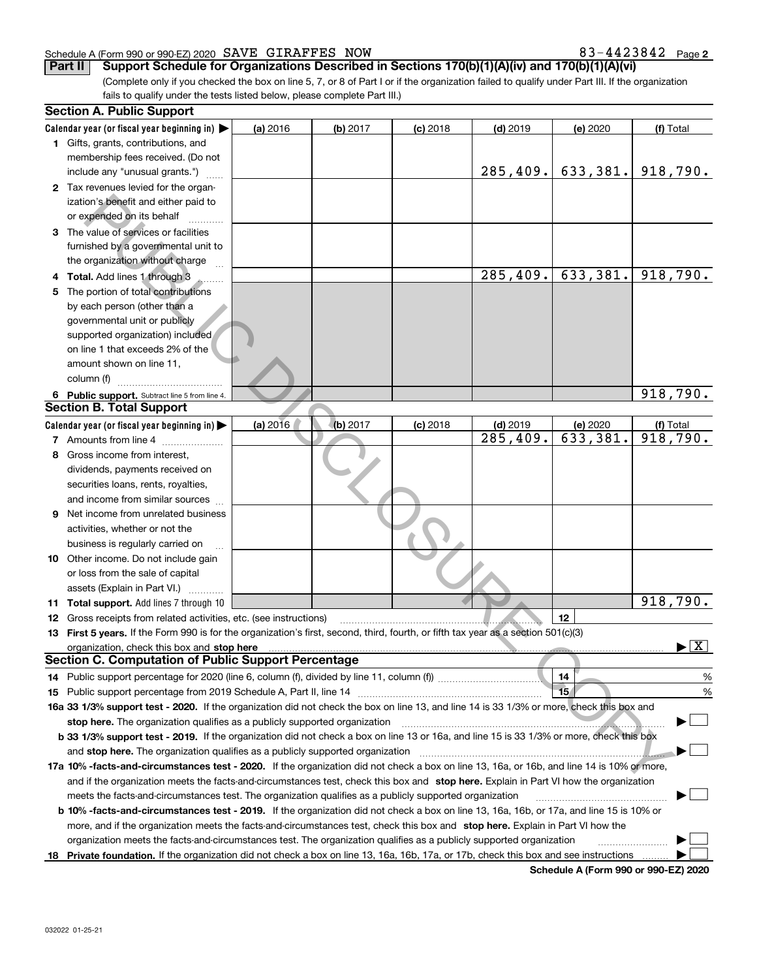### Schedule A (Form 990 or 990-EZ) 2020 Page SAVE GIRAFFES NOW 83-4423842

**2**

(Complete only if you checked the box on line 5, 7, or 8 of Part I or if the organization failed to qualify under Part III. If the organization fails to qualify under the tests listed below, please complete Part III.) **Part II Support Schedule for Organizations Described in Sections 170(b)(1)(A)(iv) and 170(b)(1)(A)(vi)** 

| Calendar year (or fiscal year beginning in) $\blacktriangleright$<br>(a) 2016<br>(b) 2017<br>$(c)$ 2018<br>$(d)$ 2019<br>(e) 2020<br>(f) Total<br><b>1</b> Gifts, grants, contributions, and<br>membership fees received. (Do not<br>633,381.<br>285, 409.<br>include any "unusual grants.")<br>2 Tax revenues levied for the organ-<br>ization's benefit and either paid to<br>or expended on its behalf<br>3 The value of services or facilities<br>furnished by a governmental unit to<br>the organization without charge<br>633,381.<br>285,409.<br>4 Total. Add lines 1 through 3<br>The portion of total contributions<br>5.<br>by each person (other than a<br>governmental unit or publicly<br>supported organization) included<br>on line 1 that exceeds 2% of the<br>amount shown on line 11,<br>column (f)<br>6 Public support. Subtract line 5 from line 4.<br><b>Section B. Total Support</b><br>(a) $2016$<br>(b) 2017<br>Calendar year (or fiscal year beginning in)<br>$(c)$ 2018<br>$(d)$ 2019<br>(e) 2020<br>(f) Total<br>$\overline{285,409}$ .<br>$\overline{633,381}$ .<br>$\overline{918,790}$ .<br>7 Amounts from line 4<br>8 Gross income from interest,<br>dividends, payments received on<br>securities loans, rents, royalties,<br>and income from similar sources<br>9 Net income from unrelated business<br>activities, whether or not the<br>business is regularly carried on<br><b>10</b> Other income. Do not include gain<br>or loss from the sale of capital<br>assets (Explain in Part VI.)<br>918,790.<br><b>11 Total support.</b> Add lines 7 through 10<br>12<br><b>12</b> Gross receipts from related activities, etc. (see instructions)<br>13 First 5 years. If the Form 990 is for the organization's first, second, third, fourth, or fifth tax year as a section 501(c)(3)<br>$\blacktriangleright$ $\overline{\mathrm{X}}$<br>organization, check this box and stop here<br><b>Section C. Computation of Public Support Percentage</b><br>14<br><b>14</b> Public support percentage for 2020 (line 6, column (f), divided by line 11, column (f)) | <b>Section A. Public Support</b> |  |  |    |          |
|------------------------------------------------------------------------------------------------------------------------------------------------------------------------------------------------------------------------------------------------------------------------------------------------------------------------------------------------------------------------------------------------------------------------------------------------------------------------------------------------------------------------------------------------------------------------------------------------------------------------------------------------------------------------------------------------------------------------------------------------------------------------------------------------------------------------------------------------------------------------------------------------------------------------------------------------------------------------------------------------------------------------------------------------------------------------------------------------------------------------------------------------------------------------------------------------------------------------------------------------------------------------------------------------------------------------------------------------------------------------------------------------------------------------------------------------------------------------------------------------------------------------------------------------------------------------------------------------------------------------------------------------------------------------------------------------------------------------------------------------------------------------------------------------------------------------------------------------------------------------------------------------------------------------------------------------------------------------------------------------------------------------------------------------------------------------------------------------|----------------------------------|--|--|----|----------|
|                                                                                                                                                                                                                                                                                                                                                                                                                                                                                                                                                                                                                                                                                                                                                                                                                                                                                                                                                                                                                                                                                                                                                                                                                                                                                                                                                                                                                                                                                                                                                                                                                                                                                                                                                                                                                                                                                                                                                                                                                                                                                                |                                  |  |  |    |          |
|                                                                                                                                                                                                                                                                                                                                                                                                                                                                                                                                                                                                                                                                                                                                                                                                                                                                                                                                                                                                                                                                                                                                                                                                                                                                                                                                                                                                                                                                                                                                                                                                                                                                                                                                                                                                                                                                                                                                                                                                                                                                                                |                                  |  |  |    |          |
|                                                                                                                                                                                                                                                                                                                                                                                                                                                                                                                                                                                                                                                                                                                                                                                                                                                                                                                                                                                                                                                                                                                                                                                                                                                                                                                                                                                                                                                                                                                                                                                                                                                                                                                                                                                                                                                                                                                                                                                                                                                                                                |                                  |  |  |    |          |
|                                                                                                                                                                                                                                                                                                                                                                                                                                                                                                                                                                                                                                                                                                                                                                                                                                                                                                                                                                                                                                                                                                                                                                                                                                                                                                                                                                                                                                                                                                                                                                                                                                                                                                                                                                                                                                                                                                                                                                                                                                                                                                |                                  |  |  |    | 918,790. |
|                                                                                                                                                                                                                                                                                                                                                                                                                                                                                                                                                                                                                                                                                                                                                                                                                                                                                                                                                                                                                                                                                                                                                                                                                                                                                                                                                                                                                                                                                                                                                                                                                                                                                                                                                                                                                                                                                                                                                                                                                                                                                                |                                  |  |  |    |          |
|                                                                                                                                                                                                                                                                                                                                                                                                                                                                                                                                                                                                                                                                                                                                                                                                                                                                                                                                                                                                                                                                                                                                                                                                                                                                                                                                                                                                                                                                                                                                                                                                                                                                                                                                                                                                                                                                                                                                                                                                                                                                                                |                                  |  |  |    |          |
|                                                                                                                                                                                                                                                                                                                                                                                                                                                                                                                                                                                                                                                                                                                                                                                                                                                                                                                                                                                                                                                                                                                                                                                                                                                                                                                                                                                                                                                                                                                                                                                                                                                                                                                                                                                                                                                                                                                                                                                                                                                                                                |                                  |  |  |    |          |
|                                                                                                                                                                                                                                                                                                                                                                                                                                                                                                                                                                                                                                                                                                                                                                                                                                                                                                                                                                                                                                                                                                                                                                                                                                                                                                                                                                                                                                                                                                                                                                                                                                                                                                                                                                                                                                                                                                                                                                                                                                                                                                |                                  |  |  |    |          |
|                                                                                                                                                                                                                                                                                                                                                                                                                                                                                                                                                                                                                                                                                                                                                                                                                                                                                                                                                                                                                                                                                                                                                                                                                                                                                                                                                                                                                                                                                                                                                                                                                                                                                                                                                                                                                                                                                                                                                                                                                                                                                                |                                  |  |  |    |          |
|                                                                                                                                                                                                                                                                                                                                                                                                                                                                                                                                                                                                                                                                                                                                                                                                                                                                                                                                                                                                                                                                                                                                                                                                                                                                                                                                                                                                                                                                                                                                                                                                                                                                                                                                                                                                                                                                                                                                                                                                                                                                                                |                                  |  |  |    |          |
|                                                                                                                                                                                                                                                                                                                                                                                                                                                                                                                                                                                                                                                                                                                                                                                                                                                                                                                                                                                                                                                                                                                                                                                                                                                                                                                                                                                                                                                                                                                                                                                                                                                                                                                                                                                                                                                                                                                                                                                                                                                                                                |                                  |  |  |    | 918,790. |
|                                                                                                                                                                                                                                                                                                                                                                                                                                                                                                                                                                                                                                                                                                                                                                                                                                                                                                                                                                                                                                                                                                                                                                                                                                                                                                                                                                                                                                                                                                                                                                                                                                                                                                                                                                                                                                                                                                                                                                                                                                                                                                |                                  |  |  |    |          |
|                                                                                                                                                                                                                                                                                                                                                                                                                                                                                                                                                                                                                                                                                                                                                                                                                                                                                                                                                                                                                                                                                                                                                                                                                                                                                                                                                                                                                                                                                                                                                                                                                                                                                                                                                                                                                                                                                                                                                                                                                                                                                                |                                  |  |  |    |          |
|                                                                                                                                                                                                                                                                                                                                                                                                                                                                                                                                                                                                                                                                                                                                                                                                                                                                                                                                                                                                                                                                                                                                                                                                                                                                                                                                                                                                                                                                                                                                                                                                                                                                                                                                                                                                                                                                                                                                                                                                                                                                                                |                                  |  |  |    |          |
|                                                                                                                                                                                                                                                                                                                                                                                                                                                                                                                                                                                                                                                                                                                                                                                                                                                                                                                                                                                                                                                                                                                                                                                                                                                                                                                                                                                                                                                                                                                                                                                                                                                                                                                                                                                                                                                                                                                                                                                                                                                                                                |                                  |  |  |    |          |
|                                                                                                                                                                                                                                                                                                                                                                                                                                                                                                                                                                                                                                                                                                                                                                                                                                                                                                                                                                                                                                                                                                                                                                                                                                                                                                                                                                                                                                                                                                                                                                                                                                                                                                                                                                                                                                                                                                                                                                                                                                                                                                |                                  |  |  |    |          |
|                                                                                                                                                                                                                                                                                                                                                                                                                                                                                                                                                                                                                                                                                                                                                                                                                                                                                                                                                                                                                                                                                                                                                                                                                                                                                                                                                                                                                                                                                                                                                                                                                                                                                                                                                                                                                                                                                                                                                                                                                                                                                                |                                  |  |  |    |          |
|                                                                                                                                                                                                                                                                                                                                                                                                                                                                                                                                                                                                                                                                                                                                                                                                                                                                                                                                                                                                                                                                                                                                                                                                                                                                                                                                                                                                                                                                                                                                                                                                                                                                                                                                                                                                                                                                                                                                                                                                                                                                                                |                                  |  |  |    |          |
|                                                                                                                                                                                                                                                                                                                                                                                                                                                                                                                                                                                                                                                                                                                                                                                                                                                                                                                                                                                                                                                                                                                                                                                                                                                                                                                                                                                                                                                                                                                                                                                                                                                                                                                                                                                                                                                                                                                                                                                                                                                                                                |                                  |  |  |    | 918,790. |
|                                                                                                                                                                                                                                                                                                                                                                                                                                                                                                                                                                                                                                                                                                                                                                                                                                                                                                                                                                                                                                                                                                                                                                                                                                                                                                                                                                                                                                                                                                                                                                                                                                                                                                                                                                                                                                                                                                                                                                                                                                                                                                |                                  |  |  |    |          |
|                                                                                                                                                                                                                                                                                                                                                                                                                                                                                                                                                                                                                                                                                                                                                                                                                                                                                                                                                                                                                                                                                                                                                                                                                                                                                                                                                                                                                                                                                                                                                                                                                                                                                                                                                                                                                                                                                                                                                                                                                                                                                                |                                  |  |  |    |          |
|                                                                                                                                                                                                                                                                                                                                                                                                                                                                                                                                                                                                                                                                                                                                                                                                                                                                                                                                                                                                                                                                                                                                                                                                                                                                                                                                                                                                                                                                                                                                                                                                                                                                                                                                                                                                                                                                                                                                                                                                                                                                                                |                                  |  |  |    |          |
|                                                                                                                                                                                                                                                                                                                                                                                                                                                                                                                                                                                                                                                                                                                                                                                                                                                                                                                                                                                                                                                                                                                                                                                                                                                                                                                                                                                                                                                                                                                                                                                                                                                                                                                                                                                                                                                                                                                                                                                                                                                                                                |                                  |  |  |    |          |
|                                                                                                                                                                                                                                                                                                                                                                                                                                                                                                                                                                                                                                                                                                                                                                                                                                                                                                                                                                                                                                                                                                                                                                                                                                                                                                                                                                                                                                                                                                                                                                                                                                                                                                                                                                                                                                                                                                                                                                                                                                                                                                |                                  |  |  |    |          |
|                                                                                                                                                                                                                                                                                                                                                                                                                                                                                                                                                                                                                                                                                                                                                                                                                                                                                                                                                                                                                                                                                                                                                                                                                                                                                                                                                                                                                                                                                                                                                                                                                                                                                                                                                                                                                                                                                                                                                                                                                                                                                                |                                  |  |  |    |          |
|                                                                                                                                                                                                                                                                                                                                                                                                                                                                                                                                                                                                                                                                                                                                                                                                                                                                                                                                                                                                                                                                                                                                                                                                                                                                                                                                                                                                                                                                                                                                                                                                                                                                                                                                                                                                                                                                                                                                                                                                                                                                                                |                                  |  |  |    |          |
|                                                                                                                                                                                                                                                                                                                                                                                                                                                                                                                                                                                                                                                                                                                                                                                                                                                                                                                                                                                                                                                                                                                                                                                                                                                                                                                                                                                                                                                                                                                                                                                                                                                                                                                                                                                                                                                                                                                                                                                                                                                                                                |                                  |  |  |    |          |
|                                                                                                                                                                                                                                                                                                                                                                                                                                                                                                                                                                                                                                                                                                                                                                                                                                                                                                                                                                                                                                                                                                                                                                                                                                                                                                                                                                                                                                                                                                                                                                                                                                                                                                                                                                                                                                                                                                                                                                                                                                                                                                |                                  |  |  |    |          |
|                                                                                                                                                                                                                                                                                                                                                                                                                                                                                                                                                                                                                                                                                                                                                                                                                                                                                                                                                                                                                                                                                                                                                                                                                                                                                                                                                                                                                                                                                                                                                                                                                                                                                                                                                                                                                                                                                                                                                                                                                                                                                                |                                  |  |  |    |          |
|                                                                                                                                                                                                                                                                                                                                                                                                                                                                                                                                                                                                                                                                                                                                                                                                                                                                                                                                                                                                                                                                                                                                                                                                                                                                                                                                                                                                                                                                                                                                                                                                                                                                                                                                                                                                                                                                                                                                                                                                                                                                                                |                                  |  |  |    |          |
|                                                                                                                                                                                                                                                                                                                                                                                                                                                                                                                                                                                                                                                                                                                                                                                                                                                                                                                                                                                                                                                                                                                                                                                                                                                                                                                                                                                                                                                                                                                                                                                                                                                                                                                                                                                                                                                                                                                                                                                                                                                                                                |                                  |  |  |    |          |
|                                                                                                                                                                                                                                                                                                                                                                                                                                                                                                                                                                                                                                                                                                                                                                                                                                                                                                                                                                                                                                                                                                                                                                                                                                                                                                                                                                                                                                                                                                                                                                                                                                                                                                                                                                                                                                                                                                                                                                                                                                                                                                |                                  |  |  |    |          |
|                                                                                                                                                                                                                                                                                                                                                                                                                                                                                                                                                                                                                                                                                                                                                                                                                                                                                                                                                                                                                                                                                                                                                                                                                                                                                                                                                                                                                                                                                                                                                                                                                                                                                                                                                                                                                                                                                                                                                                                                                                                                                                |                                  |  |  |    |          |
|                                                                                                                                                                                                                                                                                                                                                                                                                                                                                                                                                                                                                                                                                                                                                                                                                                                                                                                                                                                                                                                                                                                                                                                                                                                                                                                                                                                                                                                                                                                                                                                                                                                                                                                                                                                                                                                                                                                                                                                                                                                                                                |                                  |  |  |    |          |
|                                                                                                                                                                                                                                                                                                                                                                                                                                                                                                                                                                                                                                                                                                                                                                                                                                                                                                                                                                                                                                                                                                                                                                                                                                                                                                                                                                                                                                                                                                                                                                                                                                                                                                                                                                                                                                                                                                                                                                                                                                                                                                |                                  |  |  |    |          |
|                                                                                                                                                                                                                                                                                                                                                                                                                                                                                                                                                                                                                                                                                                                                                                                                                                                                                                                                                                                                                                                                                                                                                                                                                                                                                                                                                                                                                                                                                                                                                                                                                                                                                                                                                                                                                                                                                                                                                                                                                                                                                                |                                  |  |  |    |          |
|                                                                                                                                                                                                                                                                                                                                                                                                                                                                                                                                                                                                                                                                                                                                                                                                                                                                                                                                                                                                                                                                                                                                                                                                                                                                                                                                                                                                                                                                                                                                                                                                                                                                                                                                                                                                                                                                                                                                                                                                                                                                                                |                                  |  |  |    |          |
|                                                                                                                                                                                                                                                                                                                                                                                                                                                                                                                                                                                                                                                                                                                                                                                                                                                                                                                                                                                                                                                                                                                                                                                                                                                                                                                                                                                                                                                                                                                                                                                                                                                                                                                                                                                                                                                                                                                                                                                                                                                                                                |                                  |  |  |    | %        |
|                                                                                                                                                                                                                                                                                                                                                                                                                                                                                                                                                                                                                                                                                                                                                                                                                                                                                                                                                                                                                                                                                                                                                                                                                                                                                                                                                                                                                                                                                                                                                                                                                                                                                                                                                                                                                                                                                                                                                                                                                                                                                                |                                  |  |  | 15 | %        |
| 16a 33 1/3% support test - 2020. If the organization did not check the box on line 13, and line 14 is 33 1/3% or more, check this box and                                                                                                                                                                                                                                                                                                                                                                                                                                                                                                                                                                                                                                                                                                                                                                                                                                                                                                                                                                                                                                                                                                                                                                                                                                                                                                                                                                                                                                                                                                                                                                                                                                                                                                                                                                                                                                                                                                                                                      |                                  |  |  |    |          |
| stop here. The organization qualifies as a publicly supported organization                                                                                                                                                                                                                                                                                                                                                                                                                                                                                                                                                                                                                                                                                                                                                                                                                                                                                                                                                                                                                                                                                                                                                                                                                                                                                                                                                                                                                                                                                                                                                                                                                                                                                                                                                                                                                                                                                                                                                                                                                     |                                  |  |  |    |          |
| b 33 1/3% support test - 2019. If the organization did not check a box on line 13 or 16a, and line 15 is 33 1/3% or more, check this box                                                                                                                                                                                                                                                                                                                                                                                                                                                                                                                                                                                                                                                                                                                                                                                                                                                                                                                                                                                                                                                                                                                                                                                                                                                                                                                                                                                                                                                                                                                                                                                                                                                                                                                                                                                                                                                                                                                                                       |                                  |  |  |    |          |
| and stop here. The organization qualifies as a publicly supported organization                                                                                                                                                                                                                                                                                                                                                                                                                                                                                                                                                                                                                                                                                                                                                                                                                                                                                                                                                                                                                                                                                                                                                                                                                                                                                                                                                                                                                                                                                                                                                                                                                                                                                                                                                                                                                                                                                                                                                                                                                 |                                  |  |  |    |          |
| 17a 10% -facts-and-circumstances test - 2020. If the organization did not check a box on line 13, 16a, or 16b, and line 14 is 10% or more,                                                                                                                                                                                                                                                                                                                                                                                                                                                                                                                                                                                                                                                                                                                                                                                                                                                                                                                                                                                                                                                                                                                                                                                                                                                                                                                                                                                                                                                                                                                                                                                                                                                                                                                                                                                                                                                                                                                                                     |                                  |  |  |    |          |
| and if the organization meets the facts-and-circumstances test, check this box and stop here. Explain in Part VI how the organization                                                                                                                                                                                                                                                                                                                                                                                                                                                                                                                                                                                                                                                                                                                                                                                                                                                                                                                                                                                                                                                                                                                                                                                                                                                                                                                                                                                                                                                                                                                                                                                                                                                                                                                                                                                                                                                                                                                                                          |                                  |  |  |    |          |
| meets the facts-and-circumstances test. The organization qualifies as a publicly supported organization                                                                                                                                                                                                                                                                                                                                                                                                                                                                                                                                                                                                                                                                                                                                                                                                                                                                                                                                                                                                                                                                                                                                                                                                                                                                                                                                                                                                                                                                                                                                                                                                                                                                                                                                                                                                                                                                                                                                                                                        |                                  |  |  |    |          |
| <b>b 10% -facts-and-circumstances test - 2019.</b> If the organization did not check a box on line 13, 16a, 16b, or 17a, and line 15 is 10% or                                                                                                                                                                                                                                                                                                                                                                                                                                                                                                                                                                                                                                                                                                                                                                                                                                                                                                                                                                                                                                                                                                                                                                                                                                                                                                                                                                                                                                                                                                                                                                                                                                                                                                                                                                                                                                                                                                                                                 |                                  |  |  |    |          |
| more, and if the organization meets the facts-and-circumstances test, check this box and stop here. Explain in Part VI how the                                                                                                                                                                                                                                                                                                                                                                                                                                                                                                                                                                                                                                                                                                                                                                                                                                                                                                                                                                                                                                                                                                                                                                                                                                                                                                                                                                                                                                                                                                                                                                                                                                                                                                                                                                                                                                                                                                                                                                 |                                  |  |  |    |          |
| organization meets the facts-and-circumstances test. The organization qualifies as a publicly supported organization                                                                                                                                                                                                                                                                                                                                                                                                                                                                                                                                                                                                                                                                                                                                                                                                                                                                                                                                                                                                                                                                                                                                                                                                                                                                                                                                                                                                                                                                                                                                                                                                                                                                                                                                                                                                                                                                                                                                                                           |                                  |  |  |    |          |
| 18 Private foundation. If the organization did not check a box on line 13, 16a, 16b, 17a, or 17b, check this box and see instructions<br><b>Cohodulo A (Form 000 or 000 EZ) 2020</b>                                                                                                                                                                                                                                                                                                                                                                                                                                                                                                                                                                                                                                                                                                                                                                                                                                                                                                                                                                                                                                                                                                                                                                                                                                                                                                                                                                                                                                                                                                                                                                                                                                                                                                                                                                                                                                                                                                           |                                  |  |  |    |          |

**Schedule A (Form 990 or 990-EZ) 2020**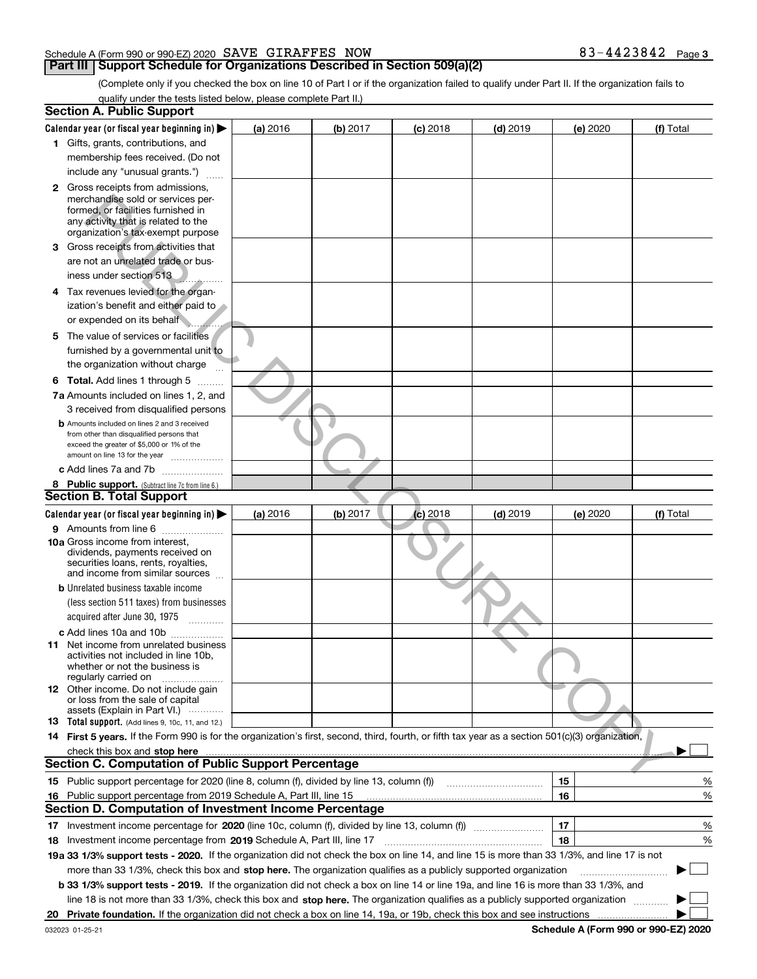### Schedule A (Form 990 or 990-EZ) 2020 Page SAVE GIRAFFES NOW 83-4423842

### **Part III** | Support Schedule for Organizations Described in Section 509(a)(2)

**3**

(Complete only if you checked the box on line 10 of Part I or if the organization failed to qualify under Part II. If the organization fails to qualify under the tests listed below, please complete Part II.)

|    | <b>Section A. Public Support</b>                                                                                                                 |          |          |            |            |          |                                      |
|----|--------------------------------------------------------------------------------------------------------------------------------------------------|----------|----------|------------|------------|----------|--------------------------------------|
|    | Calendar year (or fiscal year beginning in) $\blacktriangleright$                                                                                | (a) 2016 | (b) 2017 | $(c)$ 2018 | $(d)$ 2019 | (e) 2020 | (f) Total                            |
|    | 1 Gifts, grants, contributions, and                                                                                                              |          |          |            |            |          |                                      |
|    | membership fees received. (Do not                                                                                                                |          |          |            |            |          |                                      |
|    | include any "unusual grants.")                                                                                                                   |          |          |            |            |          |                                      |
|    | <b>2</b> Gross receipts from admissions,                                                                                                         |          |          |            |            |          |                                      |
|    | merchandise sold or services per-                                                                                                                |          |          |            |            |          |                                      |
|    | formed, or facilities furnished in                                                                                                               |          |          |            |            |          |                                      |
|    | any activity that is related to the                                                                                                              |          |          |            |            |          |                                      |
|    | organization's tax-exempt purpose                                                                                                                |          |          |            |            |          |                                      |
|    | 3 Gross receipts from activities that                                                                                                            |          |          |            |            |          |                                      |
|    | are not an unrelated trade or bus-                                                                                                               |          |          |            |            |          |                                      |
|    | iness under section 513                                                                                                                          |          |          |            |            |          |                                      |
|    | 4 Tax revenues levied for the organ-                                                                                                             |          |          |            |            |          |                                      |
|    | ization's benefit and either paid to                                                                                                             |          |          |            |            |          |                                      |
|    | or expended on its behalf                                                                                                                        |          |          |            |            |          |                                      |
|    |                                                                                                                                                  |          |          |            |            |          |                                      |
|    | 5 The value of services or facilities                                                                                                            |          |          |            |            |          |                                      |
|    | furnished by a governmental unit to                                                                                                              |          |          |            |            |          |                                      |
|    | the organization without charge                                                                                                                  |          |          |            |            |          |                                      |
|    | <b>6 Total.</b> Add lines 1 through 5                                                                                                            |          |          |            |            |          |                                      |
|    | 7a Amounts included on lines 1, 2, and                                                                                                           |          |          |            |            |          |                                      |
|    | 3 received from disqualified persons                                                                                                             |          |          |            |            |          |                                      |
|    | <b>b</b> Amounts included on lines 2 and 3 received                                                                                              |          |          |            |            |          |                                      |
|    | from other than disqualified persons that                                                                                                        |          |          |            |            |          |                                      |
|    | exceed the greater of \$5,000 or 1% of the                                                                                                       |          |          |            |            |          |                                      |
|    | amount on line 13 for the year                                                                                                                   |          |          |            |            |          |                                      |
|    | c Add lines 7a and 7b                                                                                                                            |          |          |            |            |          |                                      |
|    | 8 Public support. (Subtract line 7c from line 6.)                                                                                                |          |          |            |            |          |                                      |
|    | <b>Section B. Total Support</b>                                                                                                                  |          |          |            |            |          |                                      |
|    | Calendar year (or fiscal year beginning in)                                                                                                      | (a) 2016 | (b) 2017 | $(c)$ 2018 | $(d)$ 2019 | (e) 2020 | (f) Total                            |
|    | 9 Amounts from line 6                                                                                                                            |          |          |            |            |          |                                      |
|    | <b>10a</b> Gross income from interest,                                                                                                           |          |          |            |            |          |                                      |
|    | dividends, payments received on                                                                                                                  |          |          |            |            |          |                                      |
|    | securities loans, rents, royalties,                                                                                                              |          |          |            |            |          |                                      |
|    | and income from similar sources                                                                                                                  |          |          |            |            |          |                                      |
|    | <b>b</b> Unrelated business taxable income                                                                                                       |          |          |            |            |          |                                      |
|    | (less section 511 taxes) from businesses                                                                                                         |          |          |            |            |          |                                      |
|    | acquired after June 30, 1975                                                                                                                     |          |          |            |            |          |                                      |
|    | c Add lines 10a and 10b                                                                                                                          |          |          |            |            |          |                                      |
|    | 11 Net income from unrelated business                                                                                                            |          |          |            |            |          |                                      |
|    | activities not included in line 10b,                                                                                                             |          |          |            |            |          |                                      |
|    | whether or not the business is                                                                                                                   |          |          |            |            |          |                                      |
|    | regularly carried on<br><b>12</b> Other income. Do not include gain                                                                              |          |          |            |            |          |                                      |
|    | or loss from the sale of capital                                                                                                                 |          |          |            |            |          |                                      |
|    | assets (Explain in Part VI.)                                                                                                                     |          |          |            |            |          |                                      |
|    | <b>13</b> Total support. (Add lines 9, 10c, 11, and 12.)                                                                                         |          |          |            |            |          |                                      |
|    | 14 First 5 years. If the Form 990 is for the organization's first, second, third, fourth, or fifth tax year as a section 501(c)(3) organization, |          |          |            |            |          |                                      |
|    | check this box and <b>stop here</b> with an information and the control of the state of the change of the change of th                           |          |          |            |            |          |                                      |
|    | <b>Section C. Computation of Public Support Percentage</b>                                                                                       |          |          |            |            |          |                                      |
|    | 15 Public support percentage for 2020 (line 8, column (f), divided by line 13, column (f))                                                       |          |          |            |            | 15       | %                                    |
|    | 16 Public support percentage from 2019 Schedule A, Part III, line 15                                                                             |          |          |            |            | 16       | %                                    |
|    | Section D. Computation of Investment Income Percentage                                                                                           |          |          |            |            |          |                                      |
| 17 | Investment income percentage for 2020 (line 10c, column (f), divided by line 13, column (f))                                                     |          |          |            |            | 17       | %                                    |
|    | 18 Investment income percentage from 2019 Schedule A, Part III, line 17                                                                          |          |          |            |            | 18       | %                                    |
|    | 19a 33 1/3% support tests - 2020. If the organization did not check the box on line 14, and line 15 is more than 33 1/3%, and line 17 is not     |          |          |            |            |          |                                      |
|    |                                                                                                                                                  |          |          |            |            |          |                                      |
|    | more than 33 1/3%, check this box and stop here. The organization qualifies as a publicly supported organization                                 |          |          |            |            |          | ▶                                    |
|    | b 33 1/3% support tests - 2019. If the organization did not check a box on line 14 or line 19a, and line 16 is more than 33 1/3%, and            |          |          |            |            |          |                                      |
|    | line 18 is not more than 33 1/3%, check this box and stop here. The organization qualifies as a publicly supported organization                  |          |          |            |            |          |                                      |
| 20 | Private foundation. If the organization did not check a box on line 14, 19a, or 19b, check this box and see instructions                         |          |          |            |            |          |                                      |
|    | 032023 01-25-21                                                                                                                                  |          |          |            |            |          | Schedule A (Form 990 or 990-EZ) 2020 |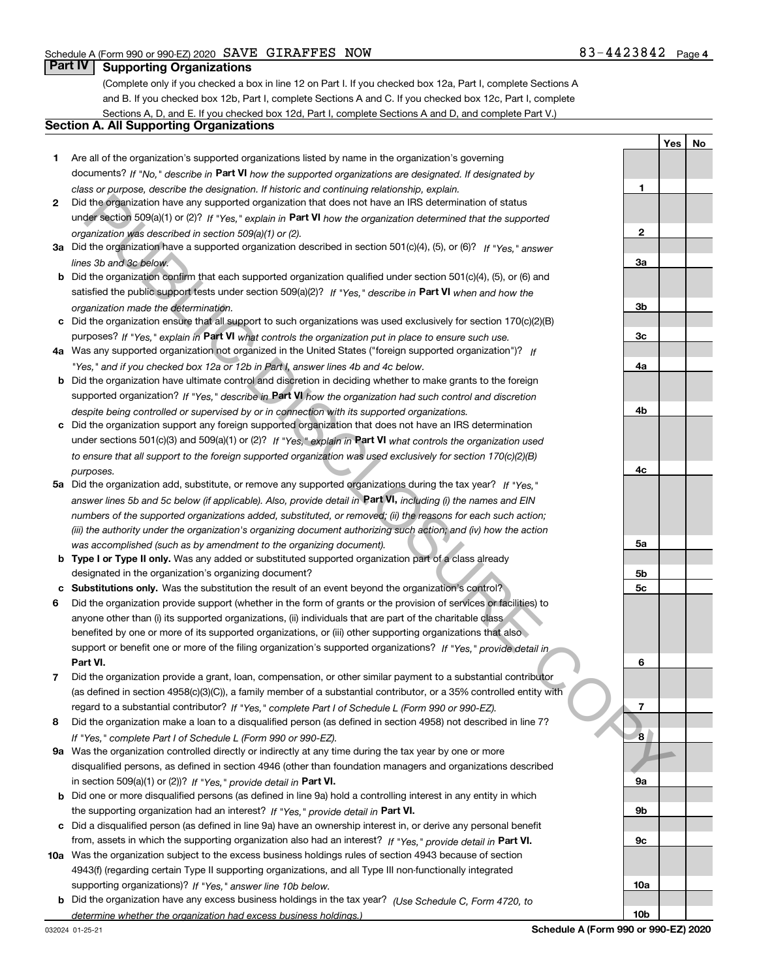**1**

**2**

**3a**

**3b**

**3c**

**4a**

**4b**

**4c**

**5a**

**5b5c**

**6**

**7**

**8**

**9a**

**9b**

**9c**

**10a**

**10b**

**Yes No**

# **Part IV Supporting Organizations**

(Complete only if you checked a box in line 12 on Part I. If you checked box 12a, Part I, complete Sections A and B. If you checked box 12b, Part I, complete Sections A and C. If you checked box 12c, Part I, complete Sections A, D, and E. If you checked box 12d, Part I, complete Sections A and D, and complete Part V.)

## **Section A. All Supporting Organizations**

- **1** Are all of the organization's supported organizations listed by name in the organization's governing documents? If "No," describe in **Part VI** how the supported organizations are designated. If designated by *class or purpose, describe the designation. If historic and continuing relationship, explain.*
- **2** Did the organization have any supported organization that does not have an IRS determination of status under section 509(a)(1) or (2)? If "Yes," explain in Part VI how the organization determined that the supported *organization was described in section 509(a)(1) or (2).*
- **3a** Did the organization have a supported organization described in section 501(c)(4), (5), or (6)? If "Yes," answer *lines 3b and 3c below.*
- **b** Did the organization confirm that each supported organization qualified under section 501(c)(4), (5), or (6) and satisfied the public support tests under section 509(a)(2)? If "Yes," describe in **Part VI** when and how the *organization made the determination.*
- **c**Did the organization ensure that all support to such organizations was used exclusively for section 170(c)(2)(B) purposes? If "Yes," explain in **Part VI** what controls the organization put in place to ensure such use.
- **4a***If* Was any supported organization not organized in the United States ("foreign supported organization")? *"Yes," and if you checked box 12a or 12b in Part I, answer lines 4b and 4c below.*
- **b** Did the organization have ultimate control and discretion in deciding whether to make grants to the foreign supported organization? If "Yes," describe in Part VI how the organization had such control and discretion *despite being controlled or supervised by or in connection with its supported organizations.*
- **c** Did the organization support any foreign supported organization that does not have an IRS determination under sections 501(c)(3) and 509(a)(1) or (2)? If "Yes," explain in **Part VI** what controls the organization used *to ensure that all support to the foreign supported organization was used exclusively for section 170(c)(2)(B) purposes.*
- **5a** Did the organization add, substitute, or remove any supported organizations during the tax year? If "Yes," answer lines 5b and 5c below (if applicable). Also, provide detail in **Part VI,** including (i) the names and EIN *numbers of the supported organizations added, substituted, or removed; (ii) the reasons for each such action; (iii) the authority under the organization's organizing document authorizing such action; and (iv) how the action was accomplished (such as by amendment to the organizing document).*
- **b** Type I or Type II only. Was any added or substituted supported organization part of a class already designated in the organization's organizing document?
- **cSubstitutions only.**  Was the substitution the result of an event beyond the organization's control?
- **6** Did the organization provide support (whether in the form of grants or the provision of services or facilities) to **Part VI.** *If "Yes," provide detail in* support or benefit one or more of the filing organization's supported organizations? anyone other than (i) its supported organizations, (ii) individuals that are part of the charitable class benefited by one or more of its supported organizations, or (iii) other supporting organizations that also Using procedures any supportioned operation that does not loss and its following that the state is a method of states.<br>
The discussion properties are control of spin in Part Where the dramation determination of sinkas.<br>
T
- **7**Did the organization provide a grant, loan, compensation, or other similar payment to a substantial contributor *If "Yes," complete Part I of Schedule L (Form 990 or 990-EZ).* regard to a substantial contributor? (as defined in section 4958(c)(3)(C)), a family member of a substantial contributor, or a 35% controlled entity with
- **8** Did the organization make a loan to a disqualified person (as defined in section 4958) not described in line 7? *If "Yes," complete Part I of Schedule L (Form 990 or 990-EZ).*
- **9a** Was the organization controlled directly or indirectly at any time during the tax year by one or more in section 509(a)(1) or (2))? If "Yes," *provide detail in* <code>Part VI.</code> disqualified persons, as defined in section 4946 (other than foundation managers and organizations described
- **b** Did one or more disqualified persons (as defined in line 9a) hold a controlling interest in any entity in which the supporting organization had an interest? If "Yes," provide detail in P**art VI**.
- **c**Did a disqualified person (as defined in line 9a) have an ownership interest in, or derive any personal benefit from, assets in which the supporting organization also had an interest? If "Yes," provide detail in P**art VI.**
- **10a** Was the organization subject to the excess business holdings rules of section 4943 because of section supporting organizations)? If "Yes," answer line 10b below. 4943(f) (regarding certain Type II supporting organizations, and all Type III non-functionally integrated
- **b** Did the organization have any excess business holdings in the tax year? (Use Schedule C, Form 4720, to *determine whether the organization had excess business holdings.)*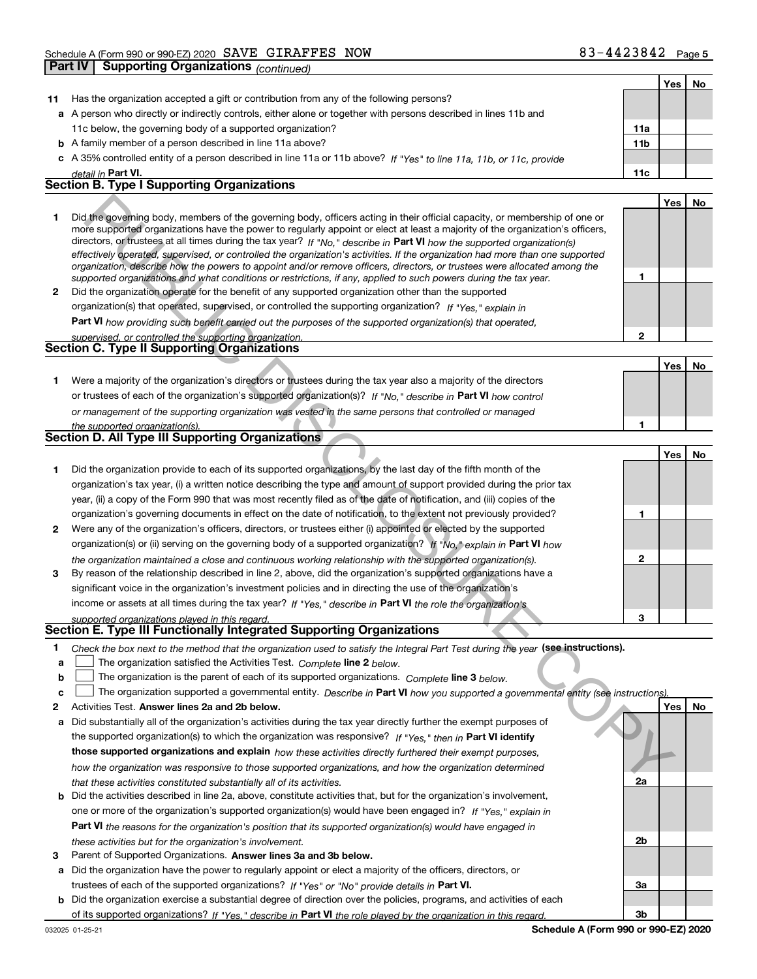|    |                                                                                                                                                                                                                                                            |                 | Yes | No |
|----|------------------------------------------------------------------------------------------------------------------------------------------------------------------------------------------------------------------------------------------------------------|-----------------|-----|----|
| 11 | Has the organization accepted a gift or contribution from any of the following persons?                                                                                                                                                                    |                 |     |    |
|    | a A person who directly or indirectly controls, either alone or together with persons described in lines 11b and                                                                                                                                           |                 |     |    |
|    | 11c below, the governing body of a supported organization?                                                                                                                                                                                                 | 11a             |     |    |
|    | <b>b</b> A family member of a person described in line 11a above?                                                                                                                                                                                          | 11 <sub>b</sub> |     |    |
|    | c A 35% controlled entity of a person described in line 11a or 11b above? If "Yes" to line 11a, 11b, or 11c, provide                                                                                                                                       |                 |     |    |
|    | detail in Part VI.                                                                                                                                                                                                                                         | 11c             |     |    |
|    | <b>Section B. Type I Supporting Organizations</b>                                                                                                                                                                                                          |                 |     |    |
|    |                                                                                                                                                                                                                                                            |                 | Yes | No |
| 1  | Did the governing body, members of the governing body, officers acting in their official capacity, or membership of one or                                                                                                                                 |                 |     |    |
|    | more supported organizations have the power to regularly appoint or elect at least a majority of the organization's officers,                                                                                                                              |                 |     |    |
|    | directors, or trustees at all times during the tax year? If "No," describe in Part VI how the supported organization(s)                                                                                                                                    |                 |     |    |
|    | effectively operated, supervised, or controlled the organization's activities. If the organization had more than one supported<br>organization, describe how the powers to appoint and/or remove officers, directors, or trustees were allocated among the |                 |     |    |
|    | supported organizations and what conditions or restrictions, if any, applied to such powers during the tax year.                                                                                                                                           | 1               |     |    |
| 2  | Did the organization operate for the benefit of any supported organization other than the supported                                                                                                                                                        |                 |     |    |
|    | organization(s) that operated, supervised, or controlled the supporting organization? If "Yes," explain in                                                                                                                                                 |                 |     |    |
|    | Part VI how providing such benefit carried out the purposes of the supported organization(s) that operated,                                                                                                                                                |                 |     |    |
|    | supervised, or controlled the supporting organization.                                                                                                                                                                                                     | $\mathbf{2}$    |     |    |
|    | <b>Section C. Type II Supporting Organizations</b>                                                                                                                                                                                                         |                 |     |    |
|    |                                                                                                                                                                                                                                                            |                 | Yes | No |
| 1. | Were a majority of the organization's directors or trustees during the tax year also a majority of the directors                                                                                                                                           |                 |     |    |
|    | or trustees of each of the organization's supported organization(s)? If "No," describe in Part VI how control                                                                                                                                              |                 |     |    |
|    | or management of the supporting organization was vested in the same persons that controlled or managed                                                                                                                                                     |                 |     |    |
|    | the supported organization(s).                                                                                                                                                                                                                             | 1               |     |    |
|    | <b>Section D. All Type III Supporting Organizations</b>                                                                                                                                                                                                    |                 |     |    |
|    |                                                                                                                                                                                                                                                            |                 | Yes | No |
| 1  | Did the organization provide to each of its supported organizations, by the last day of the fifth month of the                                                                                                                                             |                 |     |    |
|    | organization's tax year, (i) a written notice describing the type and amount of support provided during the prior tax                                                                                                                                      |                 |     |    |
|    | year, (ii) a copy of the Form 990 that was most recently filed as of the date of notification, and (iii) copies of the                                                                                                                                     |                 |     |    |
|    | organization's governing documents in effect on the date of notification, to the extent not previously provided?                                                                                                                                           | 1               |     |    |
| 2  | Were any of the organization's officers, directors, or trustees either (i) appointed or elected by the supported                                                                                                                                           |                 |     |    |
|    | organization(s) or (ii) serving on the governing body of a supported organization? If "No," explain in Part VI how                                                                                                                                         |                 |     |    |
|    | the organization maintained a close and continuous working relationship with the supported organization(s).                                                                                                                                                | $\mathbf{2}$    |     |    |
| 3  | By reason of the relationship described in line 2, above, did the organization's supported organizations have a                                                                                                                                            |                 |     |    |
|    | significant voice in the organization's investment policies and in directing the use of the organization's                                                                                                                                                 |                 |     |    |
|    | income or assets at all times during the tax year? If "Yes," describe in Part VI the role the organization's                                                                                                                                               |                 |     |    |
|    | supported organizations played in this regard.                                                                                                                                                                                                             | 3               |     |    |
|    | Section E. Type III Functionally Integrated Supporting Organizations                                                                                                                                                                                       |                 |     |    |
| 1  | Check the box next to the method that the organization used to satisfy the Integral Part Test during the year (see instructions).                                                                                                                          |                 |     |    |
| а  | The organization satisfied the Activities Test. Complete line 2 below.                                                                                                                                                                                     |                 |     |    |
| b  | The organization is the parent of each of its supported organizations. Complete line 3 below.                                                                                                                                                              |                 |     |    |
| c  | The organization supported a governmental entity. Describe in Part VI how you supported a governmental entity (see instructions).                                                                                                                          |                 |     |    |
| 2  | Activities Test. Answer lines 2a and 2b below.                                                                                                                                                                                                             |                 | Yes | No |
| а  | Did substantially all of the organization's activities during the tax year directly further the exempt purposes of                                                                                                                                         |                 |     |    |
|    | the supported organization(s) to which the organization was responsive? If "Yes," then in Part VI identify                                                                                                                                                 |                 |     |    |
|    | those supported organizations and explain how these activities directly furthered their exempt purposes,                                                                                                                                                   |                 |     |    |
|    | how the organization was responsive to those supported organizations, and how the organization determined                                                                                                                                                  |                 |     |    |
|    | that these activities constituted substantially all of its activities.                                                                                                                                                                                     | 2a              |     |    |
| b  | Did the activities described in line 2a, above, constitute activities that, but for the organization's involvement,                                                                                                                                        |                 |     |    |
|    | one or more of the organization's supported organization(s) would have been engaged in? If "Yes," explain in                                                                                                                                               |                 |     |    |
|    | <b>Part VI</b> the reasons for the organization's position that its supported organization(s) would have engaged in                                                                                                                                        |                 |     |    |
|    | these activities but for the organization's involvement.                                                                                                                                                                                                   | 2b              |     |    |
| З  | Parent of Supported Organizations. Answer lines 3a and 3b below.                                                                                                                                                                                           |                 |     |    |
| а  | Did the organization have the power to regularly appoint or elect a majority of the officers, directors, or                                                                                                                                                |                 |     |    |
|    | trustees of each of the supported organizations? If "Yes" or "No" provide details in Part VI.                                                                                                                                                              | За              |     |    |
| b  | Did the organization exercise a substantial degree of direction over the policies, programs, and activities of each                                                                                                                                        |                 |     |    |
|    | of its supported organizations? If "Yes." describe in Part VI the role played by the organization in this regard.                                                                                                                                          | 3b              |     |    |

**Schedule A (Form 990 or 990-EZ) 2020**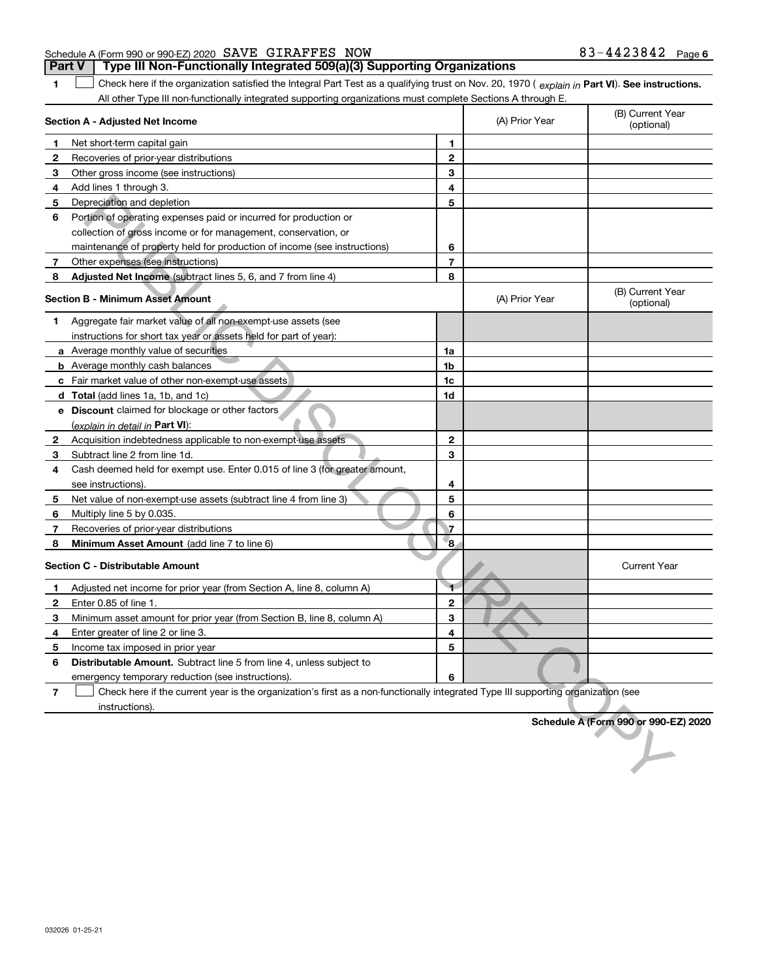|                                                        |  | <b>Part V</b> Type III Non-Functionally Integrated 509(a)(3) Supporting Organizations |                       |  |
|--------------------------------------------------------|--|---------------------------------------------------------------------------------------|-----------------------|--|
| Schedule A (Form 990 or 990-EZ) 2020 SAVE GIRAFFES NOW |  |                                                                                       | $83 - 4423842$ Page 6 |  |

**1**

The Check here if the organization satisfied the Integral Part Test as a qualifying trust on Nov. 20, 1970 (explain in **Part VI). See instructions.**<br>All other Type III pen functionally integrated supporting examizations mu All other Type III non-functionally integrated supporting organizations must complete Sections A through E.

|    | Section A - Adjusted Net Income                                                                                                   |                | (A) Prior Year | (B) Current Year<br>(optional)       |
|----|-----------------------------------------------------------------------------------------------------------------------------------|----------------|----------------|--------------------------------------|
| 1  | Net short-term capital gain                                                                                                       | 1              |                |                                      |
| 2  | Recoveries of prior-year distributions                                                                                            | $\mathbf{2}$   |                |                                      |
| 3  | Other gross income (see instructions)                                                                                             | 3              |                |                                      |
| 4  | Add lines 1 through 3.                                                                                                            | 4              |                |                                      |
| 5  | Depreciation and depletion                                                                                                        | 5              |                |                                      |
| 6  | Portion of operating expenses paid or incurred for production or                                                                  |                |                |                                      |
|    | collection of gross income or for management, conservation, or                                                                    |                |                |                                      |
|    | maintenance of property held for production of income (see instructions)                                                          | 6              |                |                                      |
| 7  | Other expenses (see instructions)                                                                                                 | $\overline{7}$ |                |                                      |
| 8  | Adjusted Net Income (subtract lines 5, 6, and 7 from line 4)                                                                      | 8              |                |                                      |
|    | <b>Section B - Minimum Asset Amount</b>                                                                                           |                | (A) Prior Year | (B) Current Year<br>(optional)       |
| 1. | Aggregate fair market value of all non-exempt-use assets (see                                                                     |                |                |                                      |
|    | instructions for short tax year or assets held for part of year):                                                                 |                |                |                                      |
|    | a Average monthly value of securities                                                                                             | 1a             |                |                                      |
|    | <b>b</b> Average monthly cash balances                                                                                            | 1b             |                |                                      |
|    | c Fair market value of other non-exempt-use assets                                                                                | 1c             |                |                                      |
|    | d Total (add lines 1a, 1b, and 1c)                                                                                                | 1d             |                |                                      |
|    | e Discount claimed for blockage or other factors                                                                                  |                |                |                                      |
|    | (explain in detail in Part VI):                                                                                                   |                |                |                                      |
| 2  | Acquisition indebtedness applicable to non-exempt-use assets                                                                      | $\mathbf{2}$   |                |                                      |
| 3  | Subtract line 2 from line 1d.                                                                                                     | 3              |                |                                      |
| 4  | Cash deemed held for exempt use. Enter 0.015 of line 3 (for greater amount,                                                       |                |                |                                      |
|    | see instructions).                                                                                                                | 4              |                |                                      |
| 5  | Net value of non-exempt-use assets (subtract line 4 from line 3)                                                                  | 5              |                |                                      |
| 6  | Multiply line 5 by 0.035.                                                                                                         | 6              |                |                                      |
| 7  | Recoveries of prior-year distributions                                                                                            | $\overline{7}$ |                |                                      |
| 8  | Minimum Asset Amount (add line 7 to line 6)                                                                                       | 8              |                |                                      |
|    | <b>Section C - Distributable Amount</b>                                                                                           |                |                | <b>Current Year</b>                  |
| 1  | Adjusted net income for prior year (from Section A, line 8, column A)                                                             | 4              |                |                                      |
| 2  | Enter 0.85 of line 1.                                                                                                             | $\mathbf{2}$   |                |                                      |
| 3  | Minimum asset amount for prior year (from Section B, line 8, column A)                                                            | 3              |                |                                      |
| 4  | Enter greater of line 2 or line 3.                                                                                                | 4              |                |                                      |
| 5  | Income tax imposed in prior year                                                                                                  | 5              |                |                                      |
| 6  | Distributable Amount. Subtract line 5 from line 4, unless subject to                                                              |                |                |                                      |
|    | emergency temporary reduction (see instructions).                                                                                 | 6              |                |                                      |
| 7  | Check here if the current year is the organization's first as a non-functionally integrated Type III supporting organization (see |                |                |                                      |
|    | instructions).                                                                                                                    |                |                |                                      |
|    |                                                                                                                                   |                |                | Schedule A (Form 990 or 990-EZ) 2020 |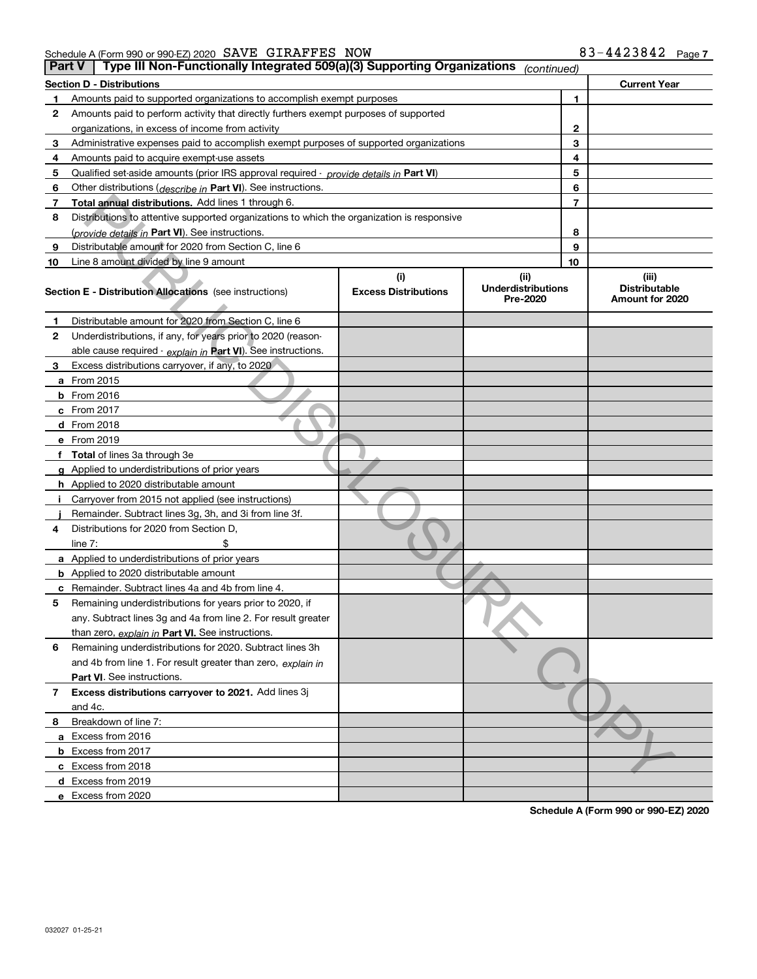| Schedule A (Form 990 or 990-EZ) 2020 $\,$ SAVE $\,$ GIRAFFES $\,$ NOW |  |  | 83-4423842 | Page |
|-----------------------------------------------------------------------|--|--|------------|------|
|                                                                       |  |  |            |      |

| Part V | Type III Non-Functionally Integrated 509(a)(3) Supporting Organizations                    |                             | (continued)                           |                      |
|--------|--------------------------------------------------------------------------------------------|-----------------------------|---------------------------------------|----------------------|
|        | <b>Section D - Distributions</b>                                                           |                             |                                       | <b>Current Year</b>  |
| 1.     | Amounts paid to supported organizations to accomplish exempt purposes                      |                             | 1                                     |                      |
| 2      | Amounts paid to perform activity that directly furthers exempt purposes of supported       |                             |                                       |                      |
|        | organizations, in excess of income from activity                                           |                             | 2                                     |                      |
| 3      | Administrative expenses paid to accomplish exempt purposes of supported organizations      |                             | 3                                     |                      |
| 4      | Amounts paid to acquire exempt-use assets                                                  |                             | 4                                     |                      |
| 5      | Qualified set-aside amounts (prior IRS approval required - provide details in Part VI)     |                             | 5                                     |                      |
| 6      | Other distributions (describe in Part VI). See instructions.                               |                             | 6                                     |                      |
| 7      | Total annual distributions. Add lines 1 through 6.                                         |                             | $\overline{7}$                        |                      |
| 8      | Distributions to attentive supported organizations to which the organization is responsive |                             |                                       |                      |
|        | (provide details in Part VI). See instructions.                                            |                             | 8                                     |                      |
| 9      | Distributable amount for 2020 from Section C, line 6                                       |                             | 9                                     |                      |
| 10     | Line 8 amount divided by line 9 amount                                                     |                             | 10                                    |                      |
|        |                                                                                            | (i)                         | (ii)                                  | (iii)                |
|        | Section E - Distribution Allocations (see instructions)                                    | <b>Excess Distributions</b> | <b>Underdistributions</b><br>Pre-2020 | <b>Distributable</b> |
|        |                                                                                            |                             |                                       | Amount for 2020      |
| 1.     | Distributable amount for 2020 from Section C, line 6                                       |                             |                                       |                      |
| 2      | Underdistributions, if any, for years prior to 2020 (reason-                               |                             |                                       |                      |
|        | able cause required - explain in Part VI). See instructions.                               |                             |                                       |                      |
| 3      | Excess distributions carryover, if any, to 2020                                            |                             |                                       |                      |
|        | <b>a</b> From 2015                                                                         |                             |                                       |                      |
|        | <b>b</b> From 2016                                                                         |                             |                                       |                      |
|        | $c$ From 2017                                                                              |                             |                                       |                      |
|        | d From 2018                                                                                |                             |                                       |                      |
|        | e From 2019                                                                                |                             |                                       |                      |
|        | f Total of lines 3a through 3e                                                             |                             |                                       |                      |
|        | g Applied to underdistributions of prior years                                             |                             |                                       |                      |
|        | <b>h</b> Applied to 2020 distributable amount                                              |                             |                                       |                      |
| j.     | Carryover from 2015 not applied (see instructions)                                         |                             |                                       |                      |
|        | Remainder. Subtract lines 3g, 3h, and 3i from line 3f.                                     |                             |                                       |                      |
| 4      | Distributions for 2020 from Section D,                                                     |                             |                                       |                      |
|        | line $7:$<br>\$                                                                            |                             |                                       |                      |
|        | a Applied to underdistributions of prior years                                             |                             |                                       |                      |
|        | <b>b</b> Applied to 2020 distributable amount                                              |                             |                                       |                      |
|        | <b>c</b> Remainder. Subtract lines 4a and 4b from line 4.                                  |                             |                                       |                      |
| 5      | Remaining underdistributions for years prior to 2020, if                                   |                             |                                       |                      |
|        | any. Subtract lines 3g and 4a from line 2. For result greater                              |                             |                                       |                      |
|        | than zero, explain in Part VI. See instructions.                                           |                             |                                       |                      |
| 6      | Remaining underdistributions for 2020. Subtract lines 3h                                   |                             |                                       |                      |
|        | and 4b from line 1. For result greater than zero, explain in                               |                             |                                       |                      |
|        | Part VI. See instructions.                                                                 |                             |                                       |                      |
| 7      | Excess distributions carryover to 2021. Add lines 3j                                       |                             |                                       |                      |
|        | and 4c.                                                                                    |                             |                                       |                      |
| 8      | Breakdown of line 7:                                                                       |                             |                                       |                      |
|        | a Excess from 2016                                                                         |                             |                                       |                      |
|        | <b>b</b> Excess from 2017                                                                  |                             |                                       |                      |
|        | c Excess from 2018                                                                         |                             |                                       |                      |
|        | d Excess from 2019                                                                         |                             |                                       |                      |
|        | e Excess from 2020                                                                         |                             |                                       |                      |

**Schedule A (Form 990 or 990-EZ) 2020**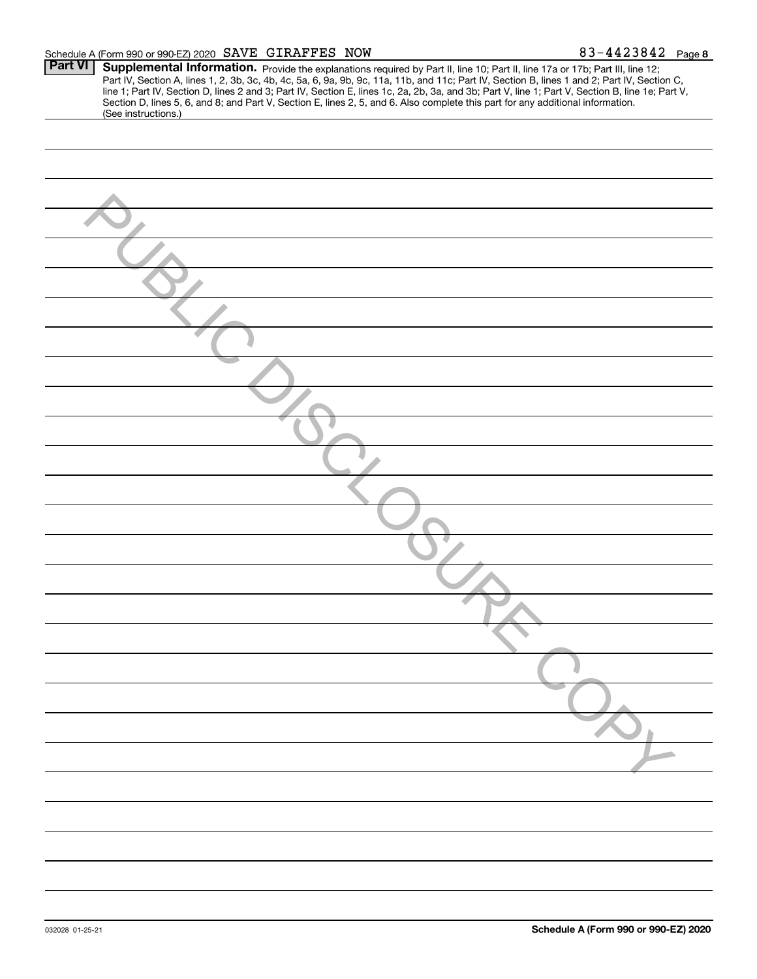### Schedule A (Form 990 or 990-EZ) 2020 Page SAVE GIRAFFES NOW 83-4423842

| <b>Part VI</b> | Supplemental Information. Provide the explanations required by Part II, line 10; Part II, line 17a or 17b; Part III, line 12;                                                                                                                                                                    |
|----------------|--------------------------------------------------------------------------------------------------------------------------------------------------------------------------------------------------------------------------------------------------------------------------------------------------|
|                | Part IV, Section A, lines 1, 2, 3b, 3c, 4b, 4c, 5a, 6, 9a, 9b, 9c, 11a, 11b, and 11c; Part IV, Section B, lines 1 and 2; Part IV, Section C,<br>line 1; Part IV, Section D, lines 2 and 3; Part IV, Section E, lines 1c, 2a, 2b, 3a, and 3b; Part V, line 1; Part V, Section B, line 1e; Part V, |
|                | Section D, lines 5, 6, and 8; and Part V, Section E, lines 2, 5, and 6. Also complete this part for any additional information.<br>(See instructions.)                                                                                                                                           |
|                |                                                                                                                                                                                                                                                                                                  |
|                |                                                                                                                                                                                                                                                                                                  |
|                |                                                                                                                                                                                                                                                                                                  |
|                |                                                                                                                                                                                                                                                                                                  |
|                |                                                                                                                                                                                                                                                                                                  |
|                |                                                                                                                                                                                                                                                                                                  |
|                |                                                                                                                                                                                                                                                                                                  |
|                |                                                                                                                                                                                                                                                                                                  |
|                |                                                                                                                                                                                                                                                                                                  |
|                |                                                                                                                                                                                                                                                                                                  |
|                |                                                                                                                                                                                                                                                                                                  |
|                |                                                                                                                                                                                                                                                                                                  |
|                |                                                                                                                                                                                                                                                                                                  |
|                |                                                                                                                                                                                                                                                                                                  |
|                |                                                                                                                                                                                                                                                                                                  |
|                |                                                                                                                                                                                                                                                                                                  |
|                |                                                                                                                                                                                                                                                                                                  |
|                |                                                                                                                                                                                                                                                                                                  |
|                |                                                                                                                                                                                                                                                                                                  |
|                |                                                                                                                                                                                                                                                                                                  |
|                |                                                                                                                                                                                                                                                                                                  |
|                |                                                                                                                                                                                                                                                                                                  |
|                |                                                                                                                                                                                                                                                                                                  |
|                |                                                                                                                                                                                                                                                                                                  |
|                |                                                                                                                                                                                                                                                                                                  |
|                |                                                                                                                                                                                                                                                                                                  |
|                |                                                                                                                                                                                                                                                                                                  |
|                |                                                                                                                                                                                                                                                                                                  |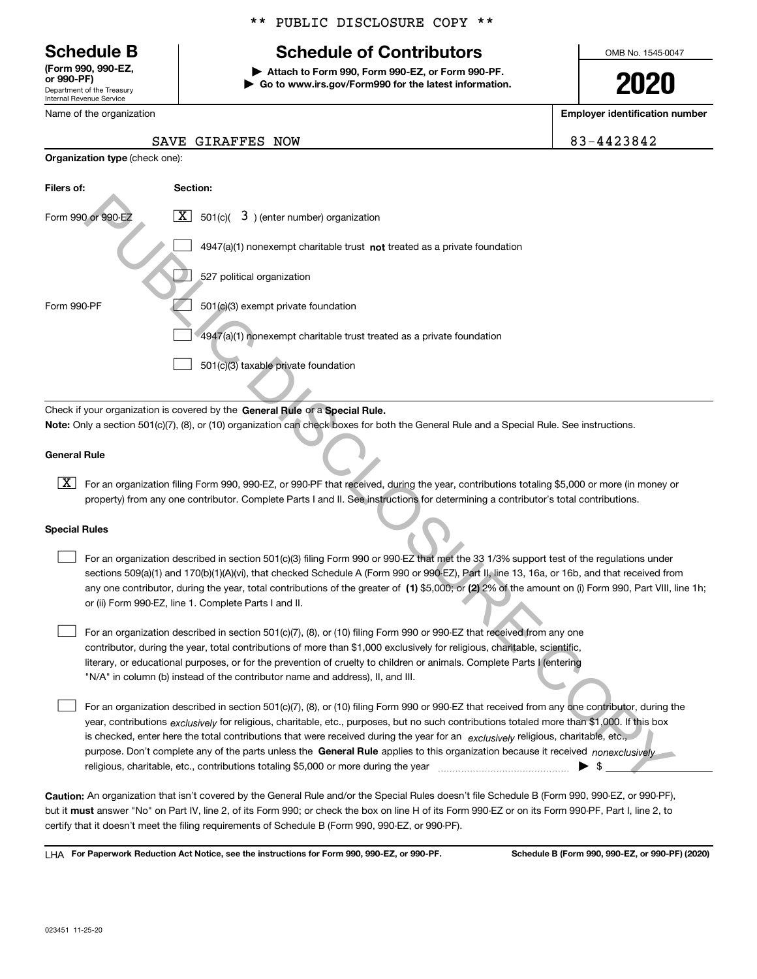Depa Inter **(Form 990, 990-EZ, or 990-PF)**

\*\* PUBLIC DISCLOSURE COPY \*\*

# **Schedule B Schedule of Contributors**

**| Attach to Form 990, Form 990-EZ, or Form 990-PF. | Go to www.irs.gov/Form990 for the latest information.** OMB No. 1545-0047

**2020**

**Employer identification number**

| Department of the Treasury |  |
|----------------------------|--|
| Internal Revenue Service   |  |
| Name of the organization   |  |

**Organization type** (check one):

## SAVE GIRAFFES NOW 83-4423842

| Filers of:           | Section:                                                                                                                                                                                                                                                                                           |
|----------------------|----------------------------------------------------------------------------------------------------------------------------------------------------------------------------------------------------------------------------------------------------------------------------------------------------|
| Form 990 or 990-EZ   | $\vert X \vert$<br>3) (enter number) organization<br>501(c)(                                                                                                                                                                                                                                       |
|                      | $4947(a)(1)$ nonexempt charitable trust not treated as a private foundation                                                                                                                                                                                                                        |
|                      | 527 political organization                                                                                                                                                                                                                                                                         |
| Form 990-PF          | 501(c)(3) exempt private foundation                                                                                                                                                                                                                                                                |
|                      | 4947(a)(1) nonexempt charitable trust treated as a private foundation                                                                                                                                                                                                                              |
|                      | 501(c)(3) taxable private foundation                                                                                                                                                                                                                                                               |
|                      |                                                                                                                                                                                                                                                                                                    |
|                      | Check if your organization is covered by the General Rule or a Special Rule.                                                                                                                                                                                                                       |
|                      | Note: Only a section 501(c)(7), (8), or (10) organization can check boxes for both the General Rule and a Special Rule. See instructions.                                                                                                                                                          |
| <b>General Rule</b>  |                                                                                                                                                                                                                                                                                                    |
|                      | $\boxed{\text{X}}$ For an organization filing Form 990, 990-EZ, or 990-PF that received, during the year, contributions totaling \$5,000 or more (in money o<br>property) from any one contributor. Complete Parts I and II. See instructions for determining a contributor's total contributions. |
| <b>Special Rules</b> |                                                                                                                                                                                                                                                                                                    |
|                      |                                                                                                                                                                                                                                                                                                    |
|                      | For an organization described in section 501(c)(3) filing Form 990 or 990-EZ that met the 33 1/3% support test of the regulations under<br>sections 509(a)(1) and 170(b)(1)(A)(vi), that checked Schedule A (Form 990 or 990-EZ), Part II, line 13, 16a, or 16b, and that received froi            |
|                      | any one contributor, during the year, total contributions of the greater of (1) \$5,000; or (2) 2% of the amount on (i) Form 990, Part VIII, I<br>or (ii) Form 990-EZ, line 1. Complete Parts I and II.                                                                                            |
|                      | For an organization described in section 501(c)(7), (8), or (10) filing Form 990 or 990-EZ that received from any one                                                                                                                                                                              |
|                      | contributor, during the year, total contributions of more than \$1,000 exclusively for religious, charitable, scientific,                                                                                                                                                                          |
|                      | literary, or educational purposes, or for the prevention of cruelty to children or animals. Complete Parts I (entering                                                                                                                                                                             |
|                      | "N/A" in column (b) instead of the contributor name and address), II, and III.                                                                                                                                                                                                                     |
|                      | For an organization described in section 501(c)(7), (8), or (10) filing Form 990 or 990-EZ that received from any one contributor, during tl                                                                                                                                                       |
|                      | year, contributions exclusively for religious, charitable, etc., purposes, but no such contributions totaled more than \$1,000. If this box                                                                                                                                                        |
|                      | is checked, enter here the total contributions that were received during the year for an exclusively religious, charitable, etc.,                                                                                                                                                                  |
|                      | purpose. Don't complete any of the parts unless the General Rule applies to this organization because it received nonexclusively<br>\$                                                                                                                                                             |
|                      |                                                                                                                                                                                                                                                                                                    |

### **General Rule**

### **Special Rules**

| For an organization described in section 501(c)(3) filing Form 990 or 990-EZ that met the 33 1/3% support test of the regulations under               |
|-------------------------------------------------------------------------------------------------------------------------------------------------------|
| sections 509(a)(1) and 170(b)(1)(A)(vi), that checked Schedule A (Form 990 or 990-EZ), Part II, line 13, 16a, or 16b, and that received from          |
| any one contributor, during the year, total contributions of the greater of (1) \$5,000; or (2) 2% of the amount on (i) Form 990, Part VIII, line 1h; |
| or (ii) Form 990-EZ, line 1. Complete Parts I and II.                                                                                                 |

**Caution:**  An organization that isn't covered by the General Rule and/or the Special Rules doesn't file Schedule B (Form 990, 990-EZ, or 990-PF), but it **must** answer "No" on Part IV, line 2, of its Form 990; or check the box on line H of its Form 990-EZ or on its Form 990-PF, Part I, line 2, to<br>cortify that it doesn't meet the filipe requirements of Schodule B (Fer certify that it doesn't meet the filing requirements of Schedule B (Form 990, 990-EZ, or 990-PF).

**For Paperwork Reduction Act Notice, see the instructions for Form 990, 990-EZ, or 990-PF. Schedule B (Form 990, 990-EZ, or 990-PF) (2020)** LHA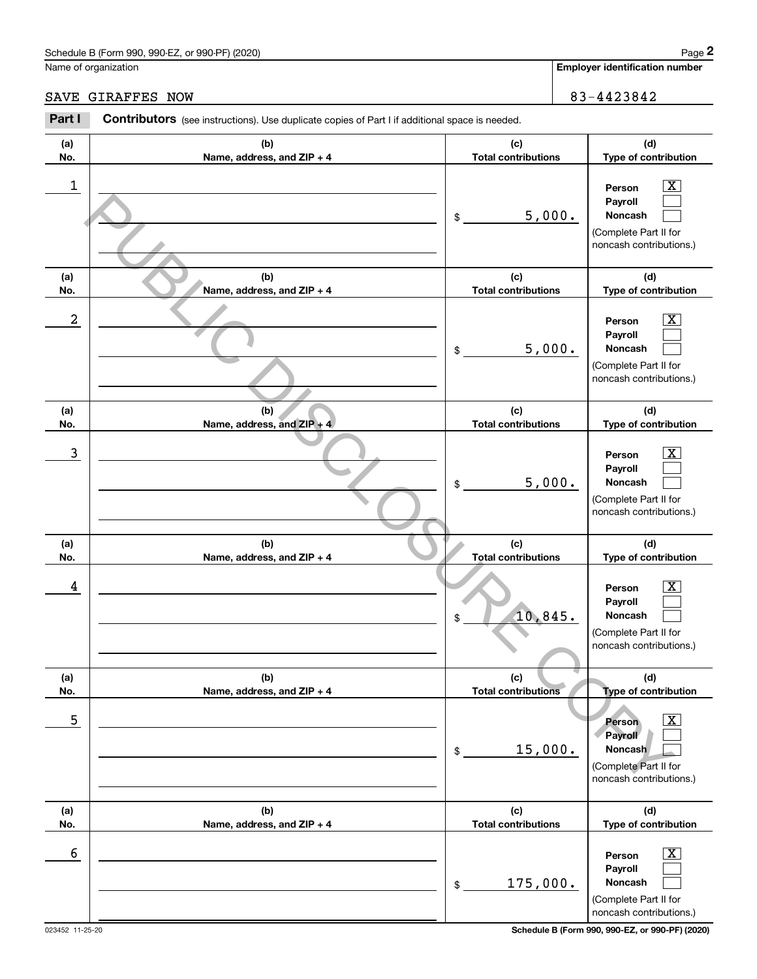# SAVE GIRAFFES NOW 83-4423842

|             | Schedule B (Form 990, 990-EZ, or 990-PF) (2020)                                                |                                   | Page 2                                                                                                      |
|-------------|------------------------------------------------------------------------------------------------|-----------------------------------|-------------------------------------------------------------------------------------------------------------|
|             | Name of organization                                                                           |                                   | <b>Employer identification number</b>                                                                       |
|             | SAVE GIRAFFES NOW                                                                              |                                   | 83-4423842                                                                                                  |
| Part I      | Contributors (see instructions). Use duplicate copies of Part I if additional space is needed. |                                   |                                                                                                             |
| (a)<br>No.  | (b)<br>Name, address, and ZIP + 4                                                              | (c)<br><b>Total contributions</b> | (d)<br>Type of contribution                                                                                 |
| $\mathbf 1$ |                                                                                                | 5,000.<br>\$                      | $\overline{\text{X}}$<br>Person<br>Payroll<br>Noncash<br>(Complete Part II for<br>noncash contributions.)   |
| (a)<br>No.  | (b)<br>Name, address, and ZIP + 4                                                              | (c)<br><b>Total contributions</b> | (d)<br>Type of contribution                                                                                 |
| 2           |                                                                                                | 5,000.<br>\$                      | $\overline{\text{X}}$<br>Person<br>Payroll<br>Noncash<br>(Complete Part II for<br>noncash contributions.)   |
| (a)<br>No.  | (b)<br>Name, address, and ZIP + 4                                                              | (c)<br><b>Total contributions</b> | (d)<br>Type of contribution                                                                                 |
| 3           |                                                                                                | 5,000.<br>\$                      | $\overline{\text{X}}$<br>Person<br>Payroll<br>Noncash<br>(Complete Part II for<br>noncash contributions.)   |
| (a)<br>No.  | (b)<br>Name, address, and ZIP + 4                                                              | (c)<br><b>Total contributions</b> | (d)<br>Type of contribution                                                                                 |
| 4           |                                                                                                | 10,845.<br>\$                     | $\overline{\text{X}}$<br>Person<br>Payroll<br>Noncash<br>(Complete Part II for<br>noncash contributions.)   |
| (a)<br>No.  | (b)<br>Name, address, and ZIP + 4                                                              | (c)<br><b>Total contributions</b> | (d)<br>Type of contribution                                                                                 |
| 5           |                                                                                                | 15,000.<br>\$                     | $\overline{\mathbf{X}}$<br>Person<br>Payroll<br>Noncash<br>(Complete Part II for<br>noncash contributions.) |
| (a)<br>No.  | (b)<br>Name, address, and ZIP + 4                                                              | (c)<br><b>Total contributions</b> | (d)<br>Type of contribution                                                                                 |
| 6           |                                                                                                | 175,000.<br>\$                    | $\overline{\mathbf{X}}$<br>Person<br>Payroll<br>Noncash<br>(Complete Part II for<br>noncash contributions.) |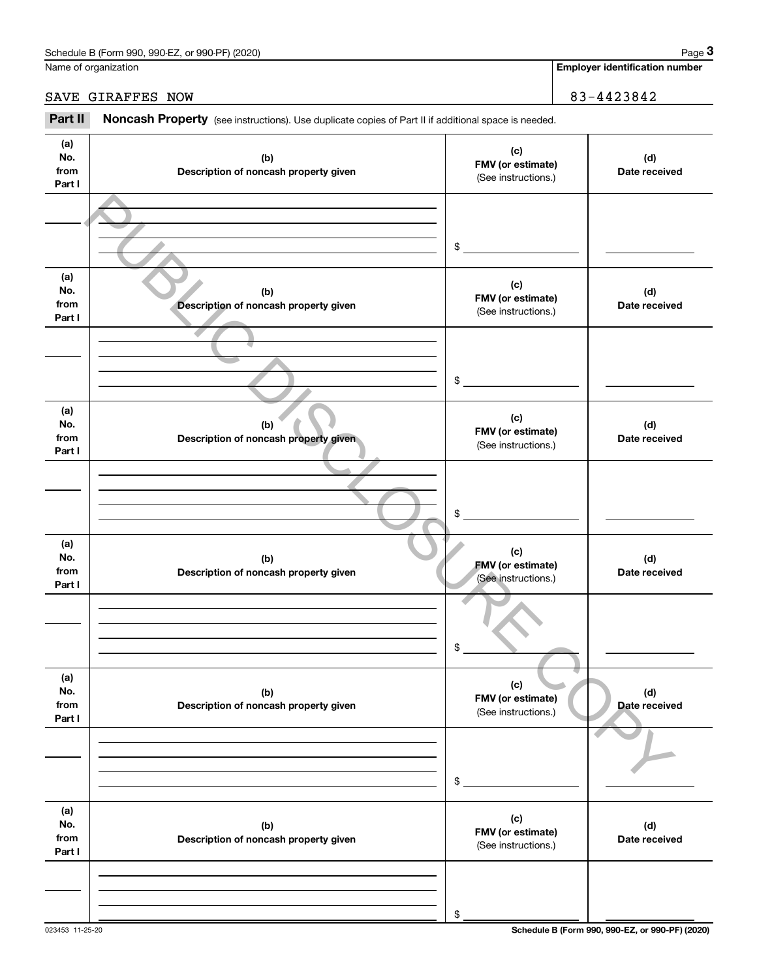# SAVE GIRAFFES NOW 83-4423842

|                              | Schedule B (Form 990, 990-EZ, or 990-PF) (2020)                                                     |                                                 |            | Page 3                                |  |
|------------------------------|-----------------------------------------------------------------------------------------------------|-------------------------------------------------|------------|---------------------------------------|--|
|                              | Name of organization                                                                                |                                                 |            | <b>Employer identification number</b> |  |
|                              | SAVE GIRAFFES NOW                                                                                   |                                                 | 83-4423842 |                                       |  |
| Part II                      | Noncash Property (see instructions). Use duplicate copies of Part II if additional space is needed. |                                                 |            |                                       |  |
| (a)<br>No.<br>from<br>Part I | (b)<br>Description of noncash property given                                                        | (c)<br>FMV (or estimate)<br>(See instructions.) |            | (d)<br>Date received                  |  |
|                              |                                                                                                     | \$                                              |            |                                       |  |
| (a)<br>No.<br>from<br>Part I | (b)<br>Description of noncash property given                                                        | (c)<br>FMV (or estimate)<br>(See instructions.) |            | (d)<br>Date received                  |  |
|                              |                                                                                                     | \$                                              |            |                                       |  |
| (a)<br>No.<br>from<br>Part I | (b)<br>Description of noncash property given                                                        | (c)<br>FMV (or estimate)<br>(See instructions.) |            | (d)<br>Date received                  |  |
| (a)                          |                                                                                                     | \$                                              |            |                                       |  |
| No.<br>from<br>Part I        | (b)<br>Description of noncash property given                                                        | (c)<br>FMV (or estimate)<br>(See instructions.) |            | (d)<br>Date received                  |  |
|                              |                                                                                                     | \$                                              |            |                                       |  |
| (a)<br>No.<br>from<br>Part I | (b)<br>Description of noncash property given                                                        | (c)<br>FMV (or estimate)<br>(See instructions.) |            | (d)<br>Date received                  |  |
|                              |                                                                                                     | \$                                              |            |                                       |  |
| (a)<br>No.<br>from<br>Part I | (b)<br>Description of noncash property given                                                        | (c)<br>FMV (or estimate)<br>(See instructions.) |            | (d)<br>Date received                  |  |
|                              |                                                                                                     |                                                 |            |                                       |  |
|                              |                                                                                                     | \$                                              |            |                                       |  |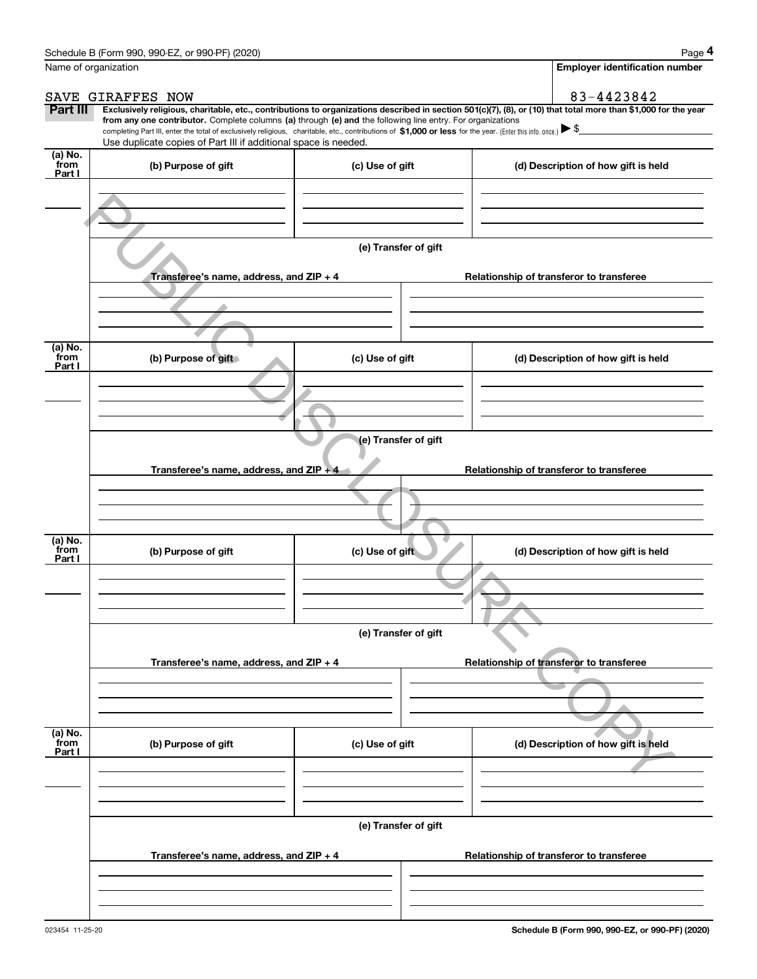|                           | Schedule B (Form 990, 990-EZ, or 990-PF) (2020)                                                                                                                                                                                                                            |                      | Page 4                                                                                                                                                         |  |  |  |  |  |  |
|---------------------------|----------------------------------------------------------------------------------------------------------------------------------------------------------------------------------------------------------------------------------------------------------------------------|----------------------|----------------------------------------------------------------------------------------------------------------------------------------------------------------|--|--|--|--|--|--|
|                           | Name of organization                                                                                                                                                                                                                                                       |                      | <b>Employer identification number</b>                                                                                                                          |  |  |  |  |  |  |
| SAVE                      | <b>GIRAFFES NOW</b>                                                                                                                                                                                                                                                        |                      | 83-4423842                                                                                                                                                     |  |  |  |  |  |  |
| Part III                  |                                                                                                                                                                                                                                                                            |                      | Exclusively religious, charitable, etc., contributions to organizations described in section 501(c)(7), (8), or (10) that total more than \$1,000 for the year |  |  |  |  |  |  |
|                           | from any one contributor. Complete columns (a) through (e) and the following line entry. For organizations<br>completing Part III, enter the total of exclusively religious, charitable, etc., contributions of \$1,000 or less for the year. (Enter this info. once.) \\$ |                      |                                                                                                                                                                |  |  |  |  |  |  |
|                           | Use duplicate copies of Part III if additional space is needed.                                                                                                                                                                                                            |                      |                                                                                                                                                                |  |  |  |  |  |  |
| (a) No.<br>from           | (b) Purpose of gift                                                                                                                                                                                                                                                        | (c) Use of gift      | (d) Description of how gift is held                                                                                                                            |  |  |  |  |  |  |
| Part I                    |                                                                                                                                                                                                                                                                            |                      |                                                                                                                                                                |  |  |  |  |  |  |
|                           |                                                                                                                                                                                                                                                                            |                      |                                                                                                                                                                |  |  |  |  |  |  |
|                           |                                                                                                                                                                                                                                                                            |                      |                                                                                                                                                                |  |  |  |  |  |  |
|                           |                                                                                                                                                                                                                                                                            |                      |                                                                                                                                                                |  |  |  |  |  |  |
|                           |                                                                                                                                                                                                                                                                            | (e) Transfer of gift |                                                                                                                                                                |  |  |  |  |  |  |
|                           |                                                                                                                                                                                                                                                                            |                      |                                                                                                                                                                |  |  |  |  |  |  |
|                           | Transferee's name, address, and ZIP + 4                                                                                                                                                                                                                                    |                      | Relationship of transferor to transferee                                                                                                                       |  |  |  |  |  |  |
|                           |                                                                                                                                                                                                                                                                            |                      |                                                                                                                                                                |  |  |  |  |  |  |
|                           |                                                                                                                                                                                                                                                                            |                      |                                                                                                                                                                |  |  |  |  |  |  |
|                           |                                                                                                                                                                                                                                                                            |                      |                                                                                                                                                                |  |  |  |  |  |  |
| (a) No.                   |                                                                                                                                                                                                                                                                            |                      |                                                                                                                                                                |  |  |  |  |  |  |
| from<br>Part I            | (b) Purpose of gift                                                                                                                                                                                                                                                        | (c) Use of gift      | (d) Description of how gift is held                                                                                                                            |  |  |  |  |  |  |
|                           |                                                                                                                                                                                                                                                                            |                      |                                                                                                                                                                |  |  |  |  |  |  |
|                           |                                                                                                                                                                                                                                                                            |                      |                                                                                                                                                                |  |  |  |  |  |  |
|                           |                                                                                                                                                                                                                                                                            |                      |                                                                                                                                                                |  |  |  |  |  |  |
|                           |                                                                                                                                                                                                                                                                            | (e) Transfer of gift |                                                                                                                                                                |  |  |  |  |  |  |
|                           |                                                                                                                                                                                                                                                                            |                      |                                                                                                                                                                |  |  |  |  |  |  |
|                           | Transferee's name, address, and $ZIP + 4$                                                                                                                                                                                                                                  |                      | Relationship of transferor to transferee                                                                                                                       |  |  |  |  |  |  |
|                           |                                                                                                                                                                                                                                                                            |                      |                                                                                                                                                                |  |  |  |  |  |  |
|                           |                                                                                                                                                                                                                                                                            |                      |                                                                                                                                                                |  |  |  |  |  |  |
|                           |                                                                                                                                                                                                                                                                            |                      |                                                                                                                                                                |  |  |  |  |  |  |
| (a) No.                   |                                                                                                                                                                                                                                                                            |                      |                                                                                                                                                                |  |  |  |  |  |  |
| from<br>Part I            | (b) Purpose of gift                                                                                                                                                                                                                                                        | (c) Use of gift      | (d) Description of how gift is held                                                                                                                            |  |  |  |  |  |  |
|                           |                                                                                                                                                                                                                                                                            |                      |                                                                                                                                                                |  |  |  |  |  |  |
|                           |                                                                                                                                                                                                                                                                            |                      |                                                                                                                                                                |  |  |  |  |  |  |
|                           |                                                                                                                                                                                                                                                                            |                      |                                                                                                                                                                |  |  |  |  |  |  |
|                           |                                                                                                                                                                                                                                                                            |                      |                                                                                                                                                                |  |  |  |  |  |  |
|                           | (e) Transfer of gift                                                                                                                                                                                                                                                       |                      |                                                                                                                                                                |  |  |  |  |  |  |
|                           | Transferee's name, address, and ZIP + 4                                                                                                                                                                                                                                    |                      | Relationship of transferor to transferee                                                                                                                       |  |  |  |  |  |  |
|                           |                                                                                                                                                                                                                                                                            |                      |                                                                                                                                                                |  |  |  |  |  |  |
|                           |                                                                                                                                                                                                                                                                            |                      |                                                                                                                                                                |  |  |  |  |  |  |
|                           |                                                                                                                                                                                                                                                                            |                      |                                                                                                                                                                |  |  |  |  |  |  |
|                           |                                                                                                                                                                                                                                                                            |                      |                                                                                                                                                                |  |  |  |  |  |  |
| (a) No.<br>from<br>Part I | (b) Purpose of gift                                                                                                                                                                                                                                                        | (c) Use of gift      | (d) Description of how gift is held                                                                                                                            |  |  |  |  |  |  |
|                           |                                                                                                                                                                                                                                                                            |                      |                                                                                                                                                                |  |  |  |  |  |  |
|                           |                                                                                                                                                                                                                                                                            |                      |                                                                                                                                                                |  |  |  |  |  |  |
|                           |                                                                                                                                                                                                                                                                            |                      |                                                                                                                                                                |  |  |  |  |  |  |
|                           |                                                                                                                                                                                                                                                                            |                      |                                                                                                                                                                |  |  |  |  |  |  |
|                           |                                                                                                                                                                                                                                                                            | (e) Transfer of gift |                                                                                                                                                                |  |  |  |  |  |  |
|                           | Transferee's name, address, and ZIP + 4                                                                                                                                                                                                                                    |                      | Relationship of transferor to transferee                                                                                                                       |  |  |  |  |  |  |
|                           |                                                                                                                                                                                                                                                                            |                      |                                                                                                                                                                |  |  |  |  |  |  |
|                           |                                                                                                                                                                                                                                                                            |                      |                                                                                                                                                                |  |  |  |  |  |  |
|                           |                                                                                                                                                                                                                                                                            |                      |                                                                                                                                                                |  |  |  |  |  |  |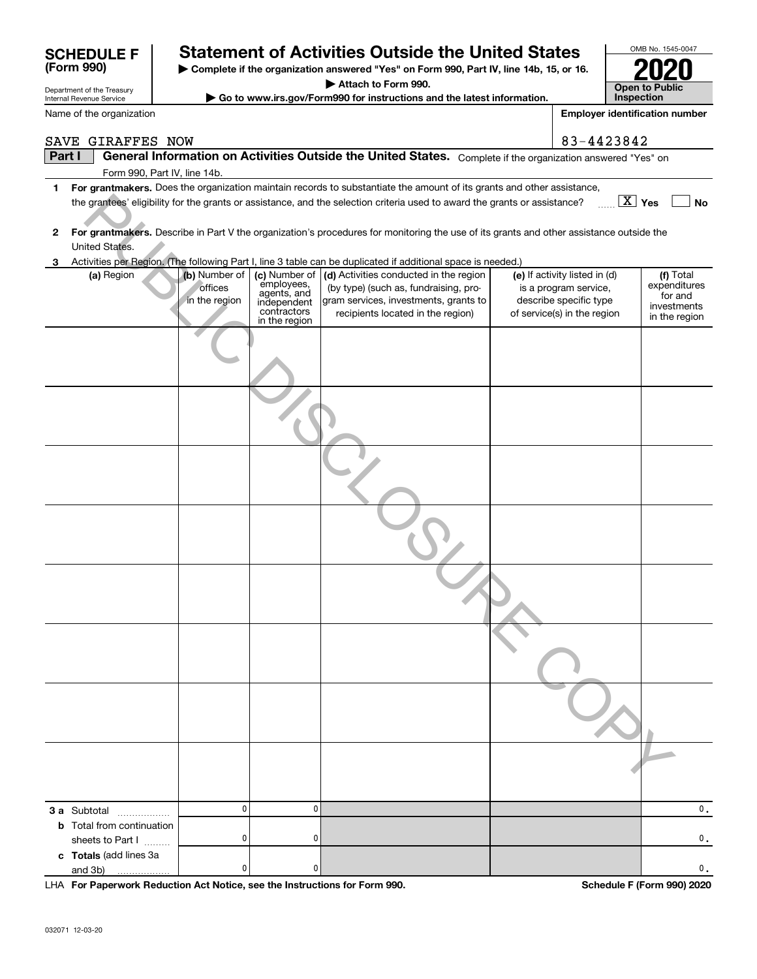| <b>SCHEDULE F</b>                                                                     |                              |                             | <b>Statement of Activities Outside the United States</b>                                                                                |                                                 | OMB No. 1545-0047                     |
|---------------------------------------------------------------------------------------|------------------------------|-----------------------------|-----------------------------------------------------------------------------------------------------------------------------------------|-------------------------------------------------|---------------------------------------|
| (Form 990)                                                                            |                              |                             | Complete if the organization answered "Yes" on Form 990, Part IV, line 14b, 15, or 16.                                                  |                                                 |                                       |
| Department of the Treasury                                                            |                              |                             | Attach to Form 990.<br>Go to www.irs.gov/Form990 for instructions and the latest information.                                           |                                                 | <b>Open to Public</b><br>Inspection   |
| Internal Revenue Service<br>Name of the organization                                  |                              |                             |                                                                                                                                         |                                                 | <b>Employer identification number</b> |
|                                                                                       |                              |                             |                                                                                                                                         |                                                 |                                       |
| <b>GIRAFFES NOW</b><br>SAVE                                                           |                              |                             |                                                                                                                                         | 83-4423842                                      |                                       |
| Part I                                                                                |                              |                             | General Information on Activities Outside the United States. Complete if the organization answered "Yes" on                             |                                                 |                                       |
|                                                                                       | Form 990, Part IV, line 14b. |                             |                                                                                                                                         |                                                 |                                       |
| 1                                                                                     |                              |                             | For grantmakers. Does the organization maintain records to substantiate the amount of its grants and other assistance,                  |                                                 | $\boxed{\text{X}}$ Yes                |
|                                                                                       |                              |                             | the grantees' eligibility for the grants or assistance, and the selection criteria used to award the grants or assistance?              |                                                 | <b>No</b>                             |
| 2                                                                                     |                              |                             | For grantmakers. Describe in Part V the organization's procedures for monitoring the use of its grants and other assistance outside the |                                                 |                                       |
| United States.                                                                        |                              |                             |                                                                                                                                         |                                                 |                                       |
| 3                                                                                     |                              |                             | Activities per Region. (The following Part I, line 3 table can be duplicated if additional space is needed.)                            |                                                 |                                       |
| (a) Region                                                                            | (b) Number of<br>offices     | (c) Number of<br>employees, | (d) Activities conducted in the region                                                                                                  | (e) If activity listed in (d)                   | (f) Total<br>expenditures             |
|                                                                                       | in the region                | agents, and<br>independent  | (by type) (such as, fundraising, pro-<br>gram services, investments, grants to                                                          | is a program service,<br>describe specific type | for and                               |
|                                                                                       |                              | contractors                 | recipients located in the region)                                                                                                       | of service(s) in the region                     | investments<br>in the region          |
|                                                                                       |                              | in the region               |                                                                                                                                         |                                                 |                                       |
|                                                                                       |                              |                             |                                                                                                                                         |                                                 |                                       |
|                                                                                       |                              |                             |                                                                                                                                         |                                                 |                                       |
|                                                                                       |                              |                             |                                                                                                                                         |                                                 |                                       |
|                                                                                       |                              |                             |                                                                                                                                         |                                                 |                                       |
|                                                                                       |                              |                             |                                                                                                                                         |                                                 |                                       |
|                                                                                       |                              |                             |                                                                                                                                         |                                                 |                                       |
|                                                                                       |                              |                             |                                                                                                                                         |                                                 |                                       |
|                                                                                       |                              |                             |                                                                                                                                         |                                                 |                                       |
|                                                                                       |                              |                             |                                                                                                                                         |                                                 |                                       |
|                                                                                       |                              |                             |                                                                                                                                         |                                                 |                                       |
|                                                                                       |                              |                             |                                                                                                                                         |                                                 |                                       |
|                                                                                       |                              |                             |                                                                                                                                         |                                                 |                                       |
|                                                                                       |                              |                             |                                                                                                                                         |                                                 |                                       |
|                                                                                       |                              |                             |                                                                                                                                         |                                                 |                                       |
|                                                                                       |                              |                             |                                                                                                                                         |                                                 |                                       |
|                                                                                       |                              |                             |                                                                                                                                         |                                                 |                                       |
|                                                                                       |                              |                             |                                                                                                                                         |                                                 |                                       |
|                                                                                       |                              |                             |                                                                                                                                         |                                                 |                                       |
|                                                                                       |                              |                             |                                                                                                                                         |                                                 |                                       |
|                                                                                       |                              |                             |                                                                                                                                         |                                                 |                                       |
|                                                                                       |                              |                             |                                                                                                                                         |                                                 |                                       |
|                                                                                       |                              |                             |                                                                                                                                         |                                                 |                                       |
|                                                                                       |                              |                             |                                                                                                                                         |                                                 |                                       |
|                                                                                       |                              |                             |                                                                                                                                         |                                                 |                                       |
|                                                                                       |                              |                             |                                                                                                                                         |                                                 |                                       |
|                                                                                       |                              |                             |                                                                                                                                         |                                                 |                                       |
|                                                                                       |                              |                             |                                                                                                                                         |                                                 |                                       |
| 3 a Subtotal<br>.                                                                     | $\mathbf{0}$                 | 0                           |                                                                                                                                         |                                                 | 0.                                    |
| <b>b</b> Total from continuation                                                      |                              |                             |                                                                                                                                         |                                                 |                                       |
| sheets to Part I                                                                      | 0                            | 0                           |                                                                                                                                         |                                                 | 0.                                    |
| c Totals (add lines 3a                                                                | 0                            | 0                           |                                                                                                                                         |                                                 |                                       |
| and 3b)<br>LHA For Paperwork Reduction Act Notice, see the Instructions for Form 990. |                              |                             |                                                                                                                                         |                                                 | 0.<br>Schedule F (Form 990) 2020      |
|                                                                                       |                              |                             |                                                                                                                                         |                                                 |                                       |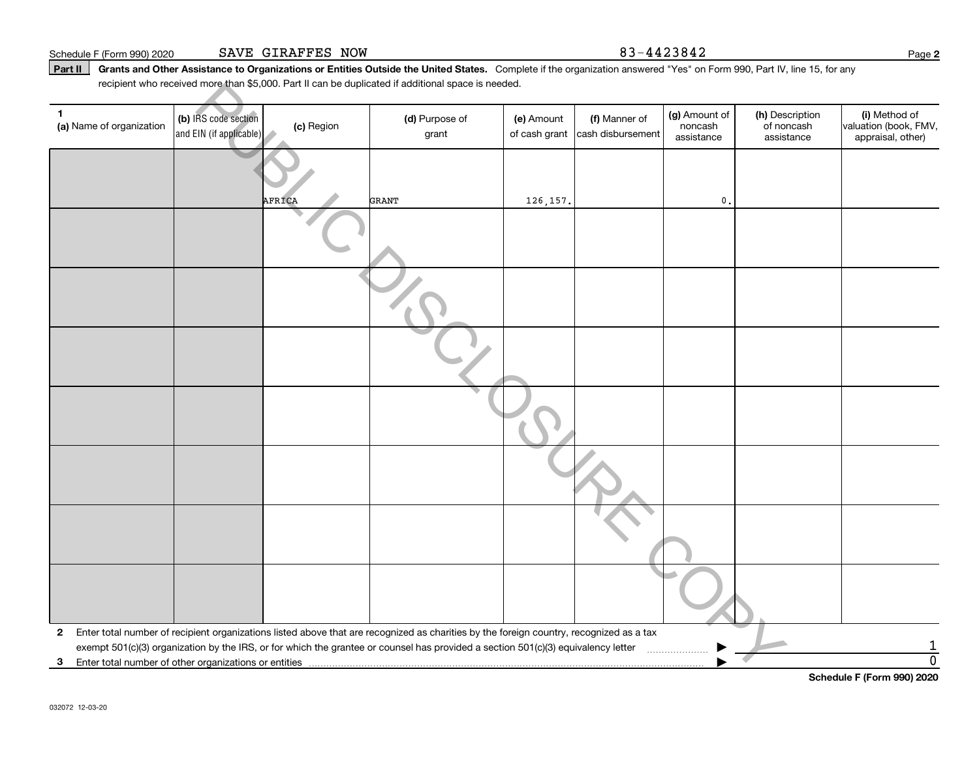Schedule F (Form 990) 2020 Page SAVE GIRAFFES NOW 83-4423842

**Part II** Grants and Other Assistance to Organizations or Entities Outside the United States. Complete if the organization answered "Yes" on Form 990, Part IV, line 15, for any<br>recisiont who received more than \$5,000. Part recipient who received more than \$5,000. Part II can be duplicated if additional space is needed.

| recipient who received more than \$5,000. Part if can be duplicated if additional space is needed.            |                                                 |            |                                                                                                                                         |                             |                                    |                                        |                                             |                                                             |
|---------------------------------------------------------------------------------------------------------------|-------------------------------------------------|------------|-----------------------------------------------------------------------------------------------------------------------------------------|-----------------------------|------------------------------------|----------------------------------------|---------------------------------------------|-------------------------------------------------------------|
| $\mathbf{1}$<br>(a) Name of organization                                                                      | (b) IRS code section<br>and EIN (if applicable) | (c) Region | (d) Purpose of<br>grant                                                                                                                 | (e) Amount<br>of cash grant | (f) Manner of<br>cash disbursement | (g) Amount of<br>noncash<br>assistance | (h) Description<br>of noncash<br>assistance | (i) Method of<br>valuation (book, FMV,<br>appraisal, other) |
|                                                                                                               |                                                 |            |                                                                                                                                         |                             |                                    |                                        |                                             |                                                             |
|                                                                                                               |                                                 | AFRICA     | <b>GRANT</b>                                                                                                                            | 126,157.                    |                                    | $\boldsymbol{0}$ .                     |                                             |                                                             |
|                                                                                                               |                                                 |            |                                                                                                                                         |                             |                                    |                                        |                                             |                                                             |
|                                                                                                               |                                                 |            |                                                                                                                                         |                             |                                    |                                        |                                             |                                                             |
|                                                                                                               |                                                 |            |                                                                                                                                         |                             |                                    |                                        |                                             |                                                             |
|                                                                                                               |                                                 |            |                                                                                                                                         |                             |                                    |                                        |                                             |                                                             |
|                                                                                                               |                                                 |            |                                                                                                                                         |                             |                                    |                                        |                                             |                                                             |
|                                                                                                               |                                                 |            |                                                                                                                                         |                             |                                    |                                        |                                             |                                                             |
|                                                                                                               |                                                 |            |                                                                                                                                         |                             |                                    |                                        |                                             |                                                             |
| $\mathbf{2}$                                                                                                  |                                                 |            | Enter total number of recipient organizations listed above that are recognized as charities by the foreign country, recognized as a tax |                             |                                    |                                        |                                             |                                                             |
|                                                                                                               |                                                 |            | exempt 501(c)(3) organization by the IRS, or for which the grantee or counsel has provided a section 501(c)(3) equivalency letter       |                             |                                    |                                        |                                             |                                                             |
| $\overline{0}$<br>Enter total number of other organizations or entities<br>3<br>Cabadula E (Fauna<br>0.001000 |                                                 |            |                                                                                                                                         |                             |                                    |                                        |                                             |                                                             |

**Schedule F (Form 990) 2020**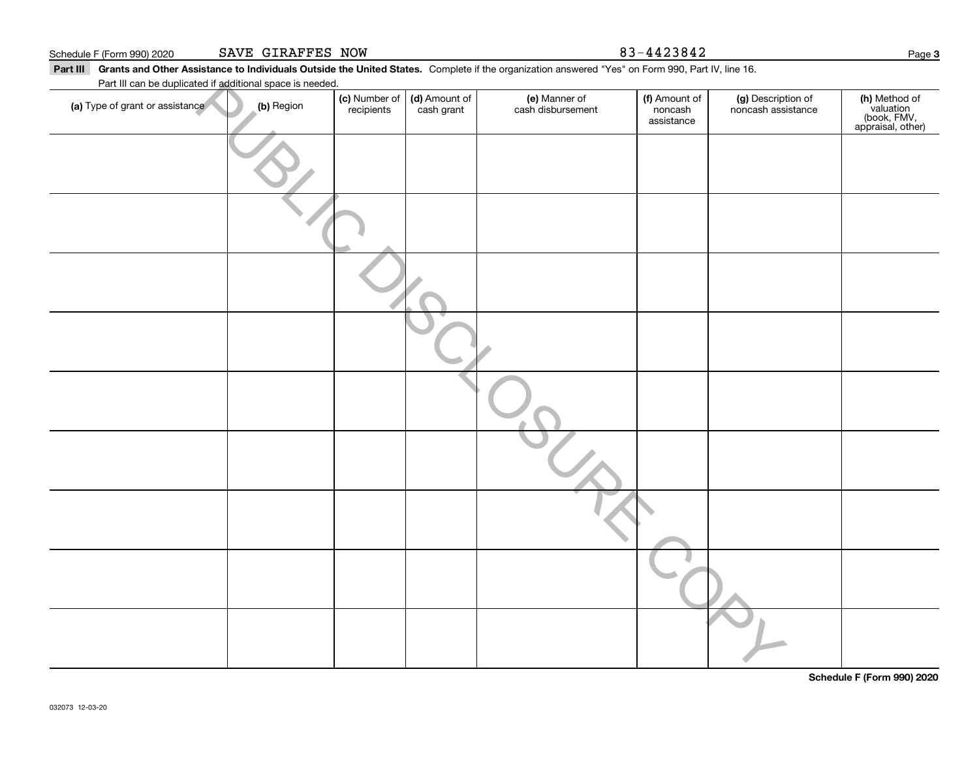Schedule F (Form 990) 2020 **SAVE GIRAFFES NOW** 8 3-4 4 2 3 8 4 2 Page

**Part III Grants and Other Assistance to Individuals Outside the United States.**  Complete if the organization answered "Yes" on Form 990, Part IV, line 16.

Part III can be duplicated if additional space is needed.

| Part III can be duplicated if additional space is needed.<br>(a) Type of grant or assistance | (b) Region | (c) Number of<br>recipients | (d) Amount of<br>cash grant | (e) Manner of<br>cash disbursement | (f) Amount of<br>noncash<br>assistance | (g) Description of<br>noncash assistance | (h) Method of<br>valuation<br>(book, FMV,<br>appraisal, other) |
|----------------------------------------------------------------------------------------------|------------|-----------------------------|-----------------------------|------------------------------------|----------------------------------------|------------------------------------------|----------------------------------------------------------------|
|                                                                                              |            |                             |                             |                                    |                                        |                                          |                                                                |
|                                                                                              |            |                             |                             |                                    |                                        |                                          |                                                                |
|                                                                                              |            |                             |                             |                                    |                                        |                                          |                                                                |
|                                                                                              |            |                             |                             |                                    |                                        |                                          |                                                                |
|                                                                                              |            |                             |                             |                                    |                                        |                                          |                                                                |
|                                                                                              |            |                             |                             |                                    |                                        |                                          |                                                                |
|                                                                                              |            |                             |                             |                                    |                                        |                                          |                                                                |
|                                                                                              |            |                             |                             |                                    |                                        |                                          |                                                                |
|                                                                                              |            |                             |                             |                                    |                                        |                                          |                                                                |

**Schedule F (Form 990) 2020**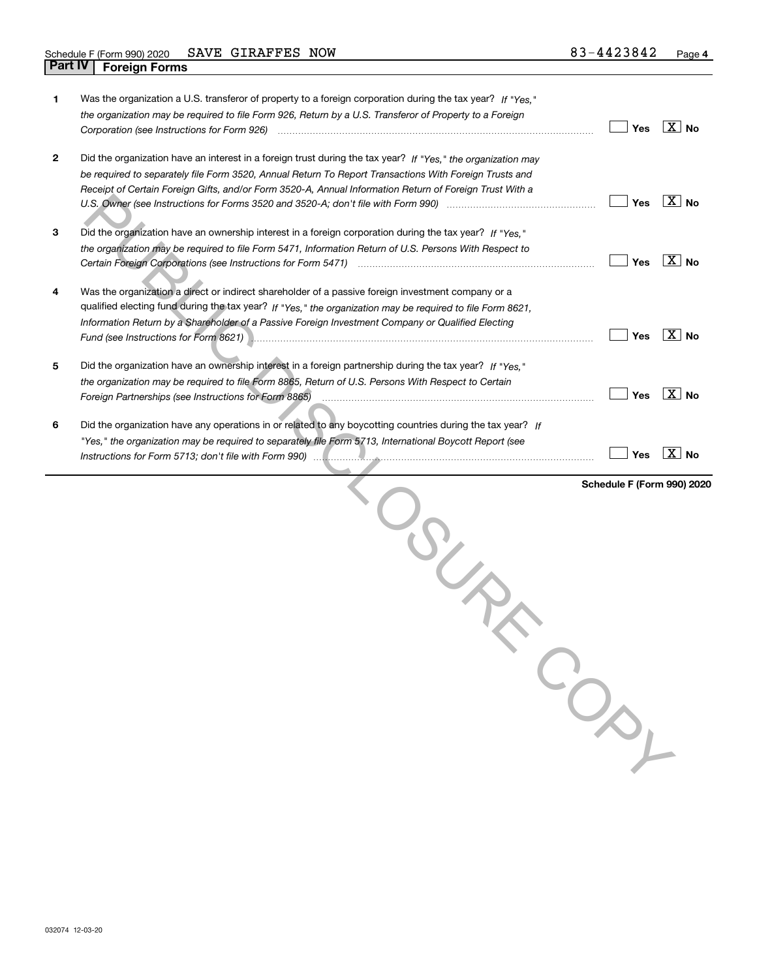| 1<br>2 | Was the organization a U.S. transferor of property to a foreign corporation during the tax year? If "Yes."<br>the organization may be required to file Form 926, Return by a U.S. Transferor of Property to a Foreign<br>Did the organization have an interest in a foreign trust during the tax year? If "Yes," the organization may | Yes                               | $X \mid No$                   |
|--------|---------------------------------------------------------------------------------------------------------------------------------------------------------------------------------------------------------------------------------------------------------------------------------------------------------------------------------------|-----------------------------------|-------------------------------|
|        | be required to separately file Form 3520, Annual Return To Report Transactions With Foreign Trusts and<br>Receipt of Certain Foreign Gifts, and/or Form 3520-A, Annual Information Return of Foreign Trust With a                                                                                                                     | Yes                               | $\lceil$ $\text{X}$ $\mid$ No |
| з      | Did the organization have an ownership interest in a foreign corporation during the tax year? If "Yes."<br>the organization may be required to file Form 5471, Information Return of U.S. Persons With Respect to                                                                                                                     | Yes                               | $X \mid N_{0}$                |
| 4      | Was the organization a direct or indirect shareholder of a passive foreign investment company or a<br>qualified electing fund during the tax year? If "Yes," the organization may be required to file Form 8621,<br>Information Return by a Shareholder of a Passive Foreign Investment Company or Qualified Electing                 | Yes                               | $\overline{\mathbf{X}}$   No  |
| 5      | Did the organization have an ownership interest in a foreign partnership during the tax year? If "Yes,"<br>the organization may be required to file Form 8865, Return of U.S. Persons With Respect to Certain<br>Foreign Partnerships (see Instructions for Form 8865)                                                                | Yes                               | $\overline{X}$   No           |
| 6      | Did the organization have any operations in or related to any boycotting countries during the tax year? If<br>"Yes," the organization may be required to separately file Form 5713, International Boycott Report (see                                                                                                                 | Yes                               | $\overline{X}$   No           |
|        | Journal                                                                                                                                                                                                                                                                                                                               | <b>Schedule F (Form 990) 2020</b> |                               |
|        | CON                                                                                                                                                                                                                                                                                                                                   |                                   |                               |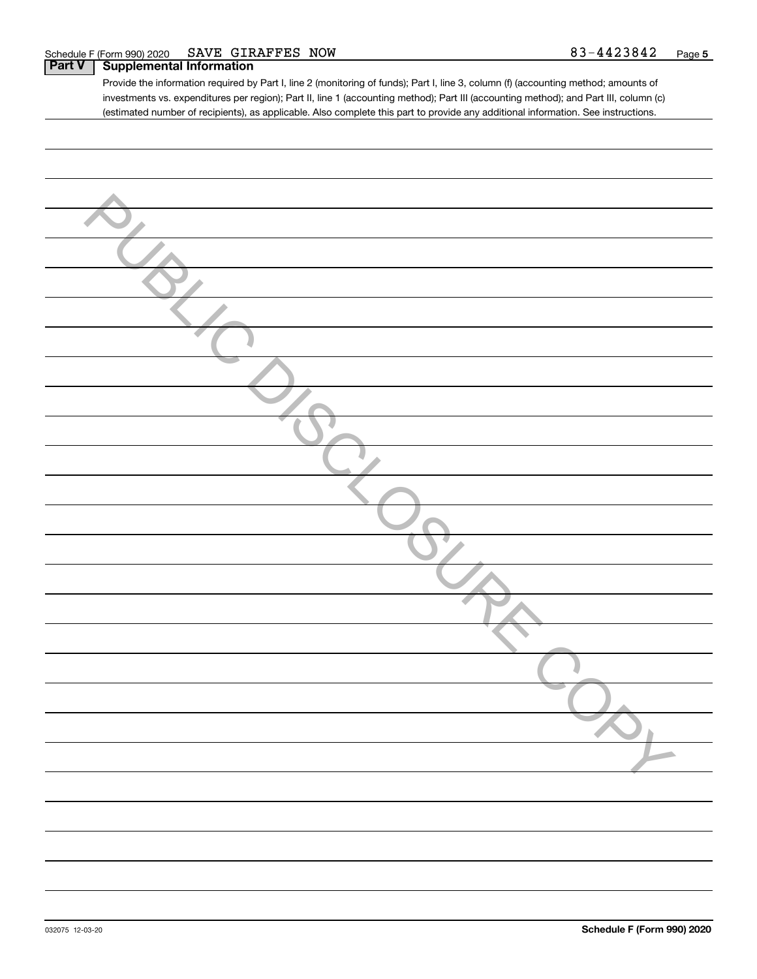# **Part V Supplemental Information**

Provide the information required by Part I, line 2 (monitoring of funds); Part I, line 3, column (f) (accounting method; amounts of investments vs. expenditures per region); Part II, line 1 (accounting method); Part III (accounting method); and Part III, column (c) (estimated number of recipients), as applicable. Also complete this part to provide any additional information. See instructions.

| b |
|---|
|   |
|   |
|   |
|   |
|   |
|   |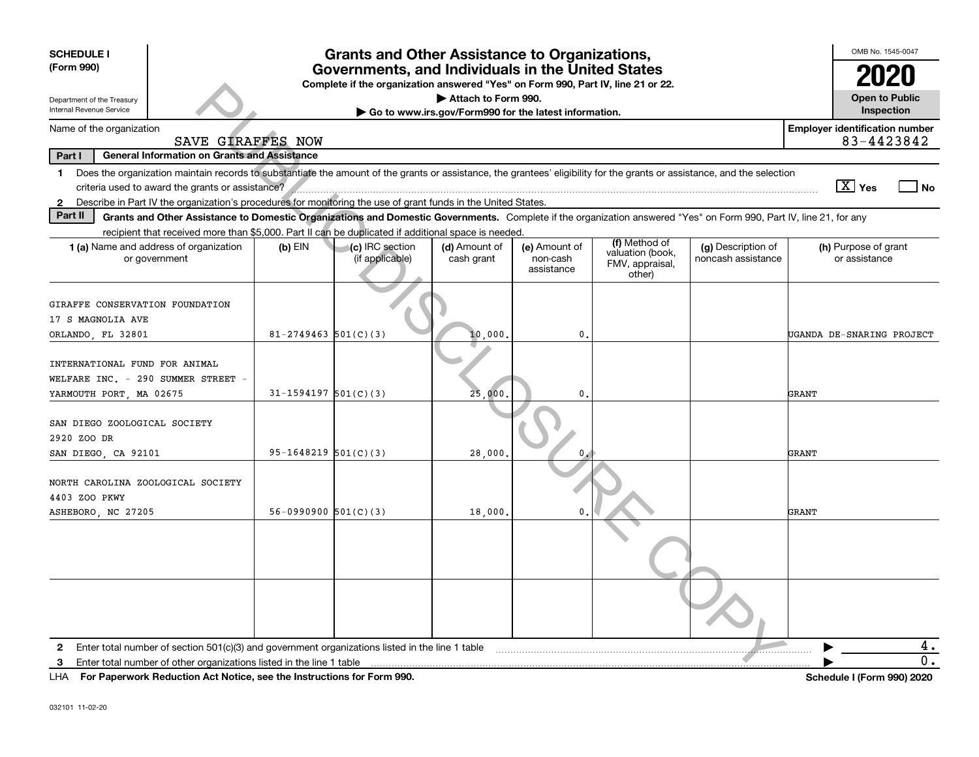| <b>SCHEDULE I</b><br>(Form 990)                                                                                                                                                                                                                                                                                                                                     |                          | <b>Grants and Other Assistance to Organizations,</b><br>Governments, and Individuals in the United States |                             |                                         |                                                                |                                          | OMB No. 1545-0047                                   |  |
|---------------------------------------------------------------------------------------------------------------------------------------------------------------------------------------------------------------------------------------------------------------------------------------------------------------------------------------------------------------------|--------------------------|-----------------------------------------------------------------------------------------------------------|-----------------------------|-----------------------------------------|----------------------------------------------------------------|------------------------------------------|-----------------------------------------------------|--|
|                                                                                                                                                                                                                                                                                                                                                                     |                          | Complete if the organization answered "Yes" on Form 990, Part IV, line 21 or 22.                          |                             |                                         |                                                                |                                          |                                                     |  |
| Department of the Treasury                                                                                                                                                                                                                                                                                                                                          |                          |                                                                                                           | Attach to Form 990.         |                                         |                                                                |                                          | <b>Open to Public</b>                               |  |
| Internal Revenue Service<br>Go to www.irs.gov/Form990 for the latest information.                                                                                                                                                                                                                                                                                   |                          |                                                                                                           |                             |                                         |                                                                |                                          |                                                     |  |
| Name of the organization<br>SAVE GIRAFFES NOW                                                                                                                                                                                                                                                                                                                       |                          |                                                                                                           |                             |                                         |                                                                |                                          | <b>Employer identification number</b><br>83-4423842 |  |
| Part I<br><b>General Information on Grants and Assistance</b>                                                                                                                                                                                                                                                                                                       |                          |                                                                                                           |                             |                                         |                                                                |                                          |                                                     |  |
| Does the organization maintain records to substantiate the amount of the grants or assistance, the grantees' eligibility for the grants or assistance, and the selection<br>1.<br>criteria used to award the grants or assistance?<br>Describe in Part IV the organization's procedures for monitoring the use of grant funds in the United States.<br>$\mathbf{2}$ |                          |                                                                                                           |                             |                                         |                                                                |                                          | $\boxed{\text{X}}$ Yes<br>  No                      |  |
| Part II<br>Grants and Other Assistance to Domestic Organizations and Domestic Governments. Complete if the organization answered "Yes" on Form 990, Part IV, line 21, for any                                                                                                                                                                                       |                          |                                                                                                           |                             |                                         |                                                                |                                          |                                                     |  |
| recipient that received more than \$5,000. Part II can be duplicated if additional space is needed.                                                                                                                                                                                                                                                                 |                          |                                                                                                           |                             |                                         |                                                                |                                          |                                                     |  |
| 1 (a) Name and address of organization<br>or government                                                                                                                                                                                                                                                                                                             | $(b)$ EIN                | (c) IRC section<br>(if applicable)                                                                        | (d) Amount of<br>cash grant | (e) Amount of<br>non-cash<br>assistance | (f) Method of<br>valuation (book,<br>FMV, appraisal,<br>other) | (g) Description of<br>noncash assistance | (h) Purpose of grant<br>or assistance               |  |
| GIRAFFE CONSERVATION FOUNDATION<br>17 S MAGNOLIA AVE                                                                                                                                                                                                                                                                                                                |                          |                                                                                                           |                             |                                         |                                                                |                                          |                                                     |  |
| ORLANDO FL 32801                                                                                                                                                                                                                                                                                                                                                    | $81 - 2749463$ 501(C)(3) |                                                                                                           | 10,000                      | 0                                       |                                                                |                                          | UGANDA DE-SNARING PROJECT                           |  |
| INTERNATIONAL FUND FOR ANIMAL<br>WELFARE INC. - 290 SUMMER STREET -<br>YARMOUTH PORT, MA 02675                                                                                                                                                                                                                                                                      | $31 - 1594197$ 501(C)(3) |                                                                                                           | 25,000.                     | 0                                       |                                                                |                                          | GRANT                                               |  |
| SAN DIEGO ZOOLOGICAL SOCIETY<br>2920 ZOO DR<br>SAN DIEGO, CA 92101                                                                                                                                                                                                                                                                                                  | $95-1648219$ $501(C)(3)$ |                                                                                                           | 28,000                      |                                         |                                                                |                                          | GRANT                                               |  |
| NORTH CAROLINA ZOOLOGICAL SOCIETY<br>4403 ZOO PKWY                                                                                                                                                                                                                                                                                                                  |                          |                                                                                                           |                             |                                         |                                                                |                                          |                                                     |  |
| ASHEBORO, NC 27205                                                                                                                                                                                                                                                                                                                                                  | $56-0990900$ $501(C)(3)$ |                                                                                                           | 18,000                      |                                         |                                                                |                                          | GRANT                                               |  |
|                                                                                                                                                                                                                                                                                                                                                                     |                          |                                                                                                           |                             |                                         |                                                                |                                          |                                                     |  |
|                                                                                                                                                                                                                                                                                                                                                                     |                          |                                                                                                           |                             |                                         |                                                                |                                          |                                                     |  |
| Enter total number of section 501(c)(3) and government organizations listed in the line 1 table<br>2                                                                                                                                                                                                                                                                |                          |                                                                                                           |                             |                                         |                                                                |                                          | 4.                                                  |  |
| Enter total number of other organizations listed in the line 1 table<br>3                                                                                                                                                                                                                                                                                           |                          |                                                                                                           |                             |                                         |                                                                |                                          | 0.                                                  |  |

**For Paperwork Reduction Act Notice, see the Instructions for Form 990. Schedule I (Form 990) 2020** LHA

Schedule I (Form 990) 2020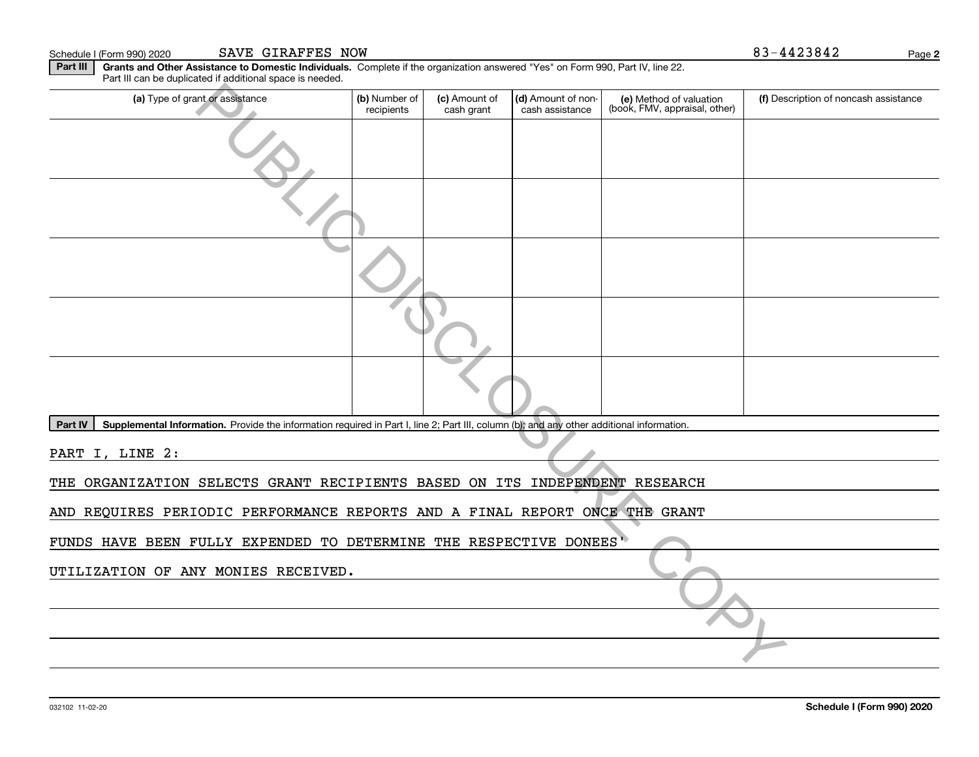032102 11-02-20

| (a) Type of grant or assistance                                                                                                                      | (b) Number of<br>recipients | (c) Amount of<br>cash grant | (d) Amount of non-<br>cash assistance | (e) Method of valuation<br>(book, FMV, appraisal, other) | (f) Description of noncash assistance |
|------------------------------------------------------------------------------------------------------------------------------------------------------|-----------------------------|-----------------------------|---------------------------------------|----------------------------------------------------------|---------------------------------------|
|                                                                                                                                                      |                             |                             |                                       |                                                          |                                       |
|                                                                                                                                                      |                             |                             |                                       |                                                          |                                       |
|                                                                                                                                                      |                             |                             |                                       |                                                          |                                       |
|                                                                                                                                                      |                             |                             |                                       |                                                          |                                       |
|                                                                                                                                                      |                             |                             |                                       |                                                          |                                       |
| Part IV<br>Supplemental Information. Provide the information required in Part I, line 2; Part III, column (b); and any other additional information. |                             |                             |                                       |                                                          |                                       |
| PART I, LINE 2:                                                                                                                                      |                             |                             |                                       |                                                          |                                       |
| THE ORGANIZATION SELECTS GRANT RECIPIENTS BASED ON ITS INDEPENDENT RESEARCH                                                                          |                             |                             |                                       |                                                          |                                       |
| AND REQUIRES PERIODIC PERFORMANCE REPORTS AND A FINAL REPORT ONCE THE GRANT                                                                          |                             |                             |                                       |                                                          |                                       |
|                                                                                                                                                      |                             |                             |                                       |                                                          |                                       |
| FUNDS HAVE BEEN FULLY EXPENDED TO DETERMINE THE RESPECTIVE DONEES'                                                                                   |                             |                             |                                       |                                                          |                                       |
| UTILIZATION OF ANY MONIES RECEIVED.                                                                                                                  |                             |                             |                                       |                                                          |                                       |
|                                                                                                                                                      |                             |                             |                                       |                                                          |                                       |
|                                                                                                                                                      |                             |                             |                                       |                                                          |                                       |
|                                                                                                                                                      |                             |                             |                                       |                                                          |                                       |

### **Part III** | Grants and Other Assistance to Domestic Individuals. Complete if the organization answered "Yes" on Form 990, Part IV, line 22. Part III can be duplicated if additional space is needed.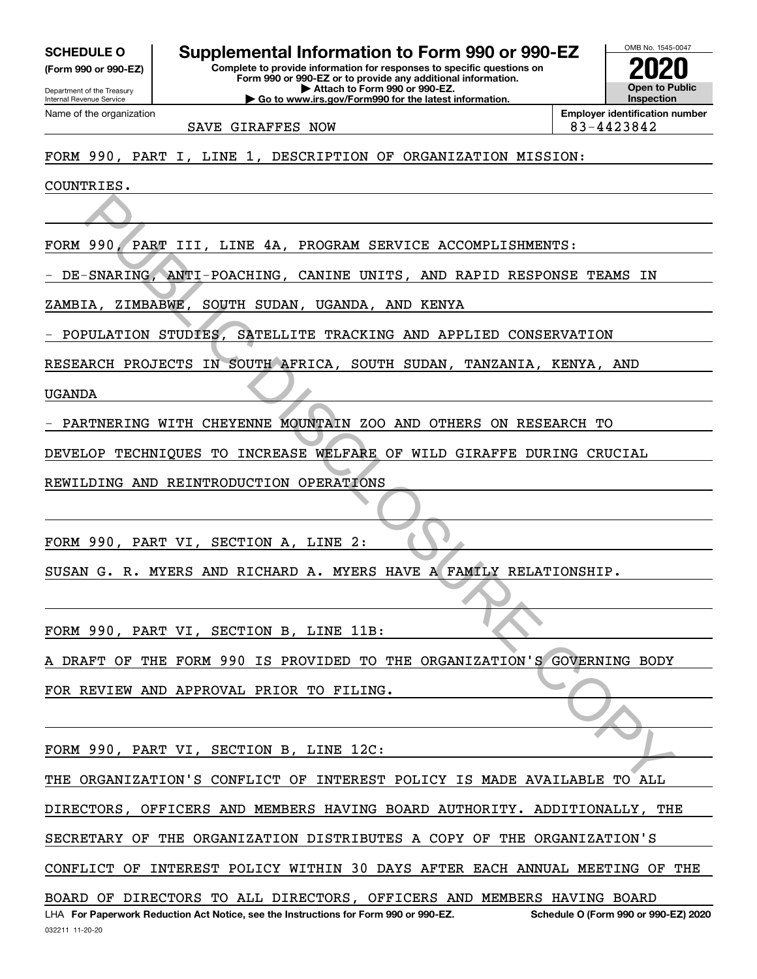**(Form 990 or 990-EZ)**

Department of the Treasury Internal Revenue Service Name of the organization

**Complete to provide information for responses to specific questions on Form 990 or 990-EZ or to provide any additional information. SCHEDULE O Supplemental Information to Form 990 or 990-EZ**

**| Attach to Form 990 or 990-EZ. | Go to www.irs.gov/Form990 for the latest information.** **Open to Public Inspection2020**

**Employer identification number**

OMB No. 1545-0047

SAVE GIRAFFES NOW 83-4423842

FORM 990, PART I, LINE 1, DESCRIPTION OF ORGANIZATION MISSION:

COUNTRIES.

FORM 990, PART III, LINE 4A, PROGRAM SERVICE ACCOMPLISHMENTS:

- DE-SNARING, ANTI-POACHING, CANINE UNITS, AND RAPID RESPONSE TEAMS IN

ZAMBIA, ZIMBABWE, SOUTH SUDAN, UGANDA, AND KENYA

- POPULATION STUDIES, SATELLITE TRACKING AND APPLIED CONSERVATION

RESEARCH PROJECTS IN SOUTH AFRICA, SOUTH SUDAN, TANZANIA, KENYA, AND 990 PART III, LINE 4A, PROGRAM SERVICE ACCOMPLISHMENTS;<br>
SNARING ANTI-POACHING, CANINE UNITS, AND RAPID RESPONSE TEMS IN<br>
THE SNARING SUUL SUDAN, UGANDA, AND APPLIED CONSERVATION<br>
NACH PROJECTS IN SOUTH AFRICA, SOUTH SUDAN

UGANDA

- PARTNERING WITH CHEYENNE MOUNTAIN ZOO AND OTHERS ON RESEARCH TO

DEVELOP TECHNIQUES TO INCREASE WELFARE OF WILD GIRAFFE DURING CRUCIAL

REWILDING AND REINTRODUCTION OPERATIONS

FORM 990, PART VI, SECTION A, LINE 2:

SUSAN G. R. MYERS AND RICHARD A. MYERS HAVE A FAMILY RELATIONSHIP.

FORM 990, PART VI, SECTION B, LINE 11B:

A DRAFT OF THE FORM 990 IS PROVIDED TO THE ORGANIZATION'S GOVERNING BODY

FOR REVIEW AND APPROVAL PRIOR TO FILING.

FORM 990, PART VI, SECTION B, LINE 12C:

THE ORGANIZATION'S CONFLICT OF INTEREST POLICY IS MADE AVAILABLE TO ALL

DIRECTORS, OFFICERS AND MEMBERS HAVING BOARD AUTHORITY. ADDITIONALLY, THE

SECRETARY OF THE ORGANIZATION DISTRIBUTES A COPY OF THE ORGANIZATION'S

CONFLICT OF INTEREST POLICY WITHIN 30 DAYS AFTER EACH ANNUAL MEETING OF THE